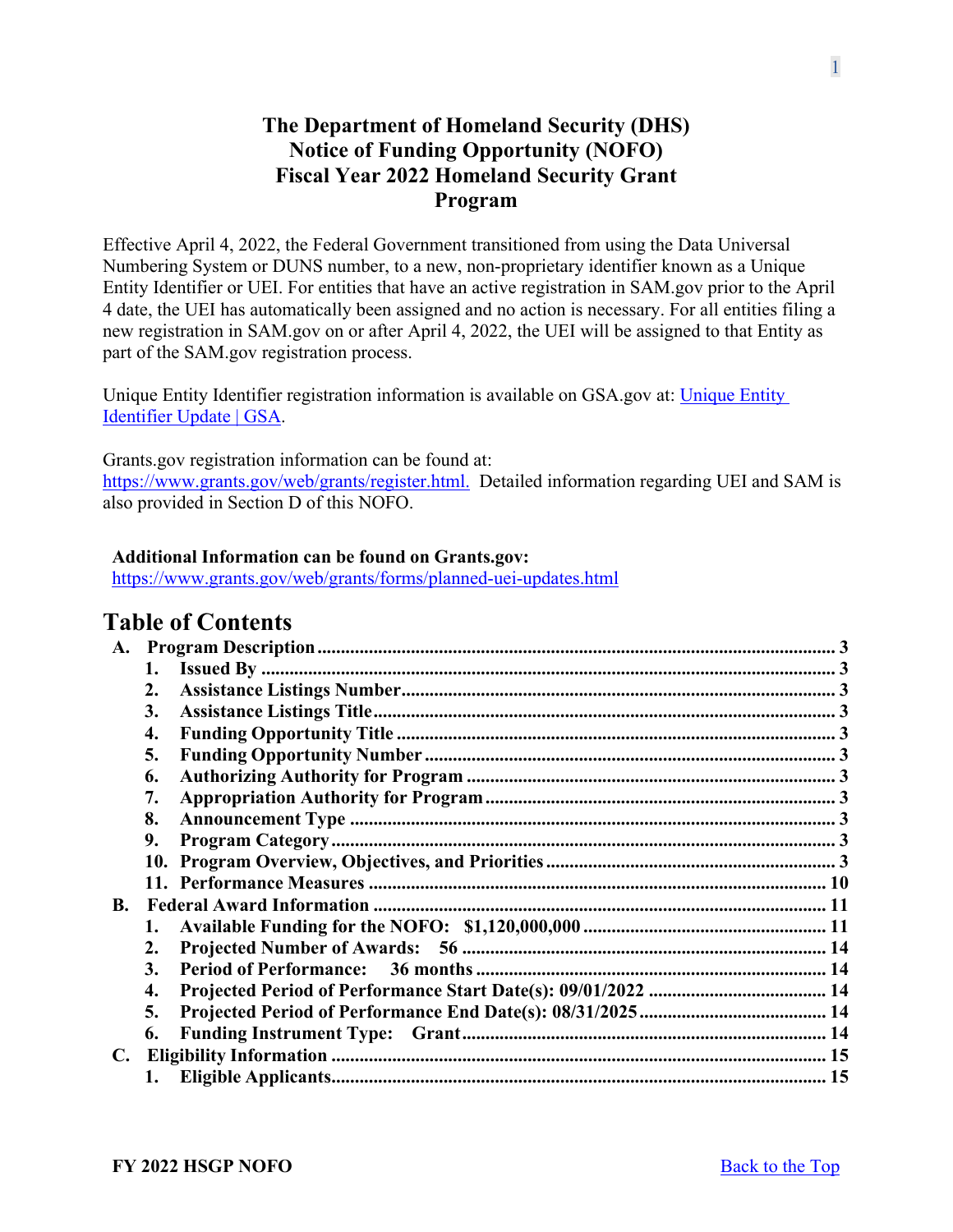# **The Department of Homeland Security (DHS) Notice of Funding Opportunity (NOFO) Fiscal Year 2022 Homeland Security Grant Program**

Effective April 4, 2022, the Federal Government transitioned from using the Data Universal Numbering System or DUNS number, to a new, non-proprietary identifier known as a Unique Entity Identifier or UEI. For entities that have an active registration in SAM.gov prior to the April 4 date, the UEI has automatically been assigned and no action is necessary. For all entities filing a new registration in SAM.gov on or after April 4, 2022, the UEI will be assigned to that Entity as part of the SAM.gov registration process.

Unique Entity Identifier registration information is available on GSA.gov at: [Unique Entity](https://www.gsa.gov/about-us/organization/federal-acquisition-service/office-of-systems-management/integrated-award-environment-iae/iae-systems-information-kit/unique-entity-identifier-update)  [Identifier Update | GSA.](https://www.gsa.gov/about-us/organization/federal-acquisition-service/office-of-systems-management/integrated-award-environment-iae/iae-systems-information-kit/unique-entity-identifier-update)

Grants.gov registration information can be found at: [https://www.grants.gov/web/grants/register.html.](https://www.grants.gov/web/grants/register.html) Detailed information regarding UEI and SAM is also provided in Section D of this NOFO.

### **Additional Information can be found on Grants.gov:**

<https://www.grants.gov/web/grants/forms/planned-uei-updates.html>

# **Table of Contents**

| A.        |    |  |
|-----------|----|--|
|           | 1. |  |
|           | 2. |  |
|           | 3. |  |
|           | 4. |  |
|           | 5. |  |
|           | 6. |  |
|           | 7. |  |
|           | 8. |  |
|           | 9. |  |
|           |    |  |
|           |    |  |
| <b>B.</b> |    |  |
|           | 1. |  |
|           | 2. |  |
|           | 3. |  |
|           | 4. |  |
|           | 5. |  |
|           | 6. |  |
| C.        |    |  |
|           | 1. |  |
|           |    |  |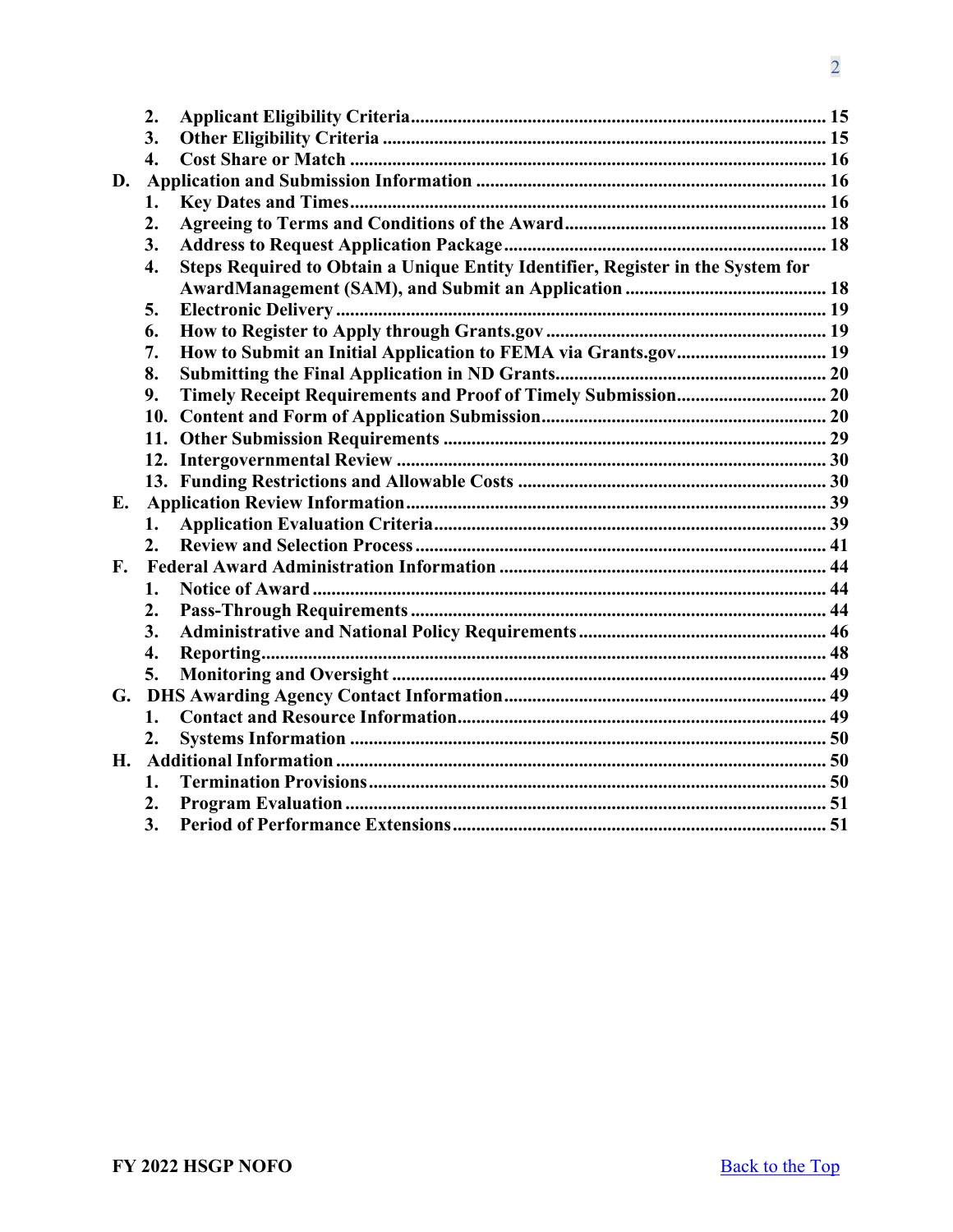|    | 2.               |                                                                                 |  |
|----|------------------|---------------------------------------------------------------------------------|--|
|    | 3.               |                                                                                 |  |
|    | $\overline{4}$ . |                                                                                 |  |
| D. |                  |                                                                                 |  |
|    | 1.               |                                                                                 |  |
|    | 2.               |                                                                                 |  |
|    | 3.               |                                                                                 |  |
|    | 4.               | Steps Required to Obtain a Unique Entity Identifier, Register in the System for |  |
|    |                  |                                                                                 |  |
|    | 5.               |                                                                                 |  |
|    | 6.               |                                                                                 |  |
|    | 7.               | How to Submit an Initial Application to FEMA via Grants.gov 19                  |  |
|    | 8.               |                                                                                 |  |
|    | 9.               |                                                                                 |  |
|    | 10.              |                                                                                 |  |
|    | 11.              |                                                                                 |  |
|    |                  |                                                                                 |  |
|    |                  |                                                                                 |  |
| Е. |                  |                                                                                 |  |
|    | 1.               |                                                                                 |  |
|    | 2.               |                                                                                 |  |
| F. |                  |                                                                                 |  |
|    | 1.               |                                                                                 |  |
|    | 2.               |                                                                                 |  |
|    | 3.               |                                                                                 |  |
|    | 4.               |                                                                                 |  |
|    | 5.               |                                                                                 |  |
| G. |                  |                                                                                 |  |
|    | 1.               |                                                                                 |  |
|    | 2.               |                                                                                 |  |
| Η. |                  |                                                                                 |  |
|    | 1.               |                                                                                 |  |
|    | 2.               |                                                                                 |  |
|    | 3.               |                                                                                 |  |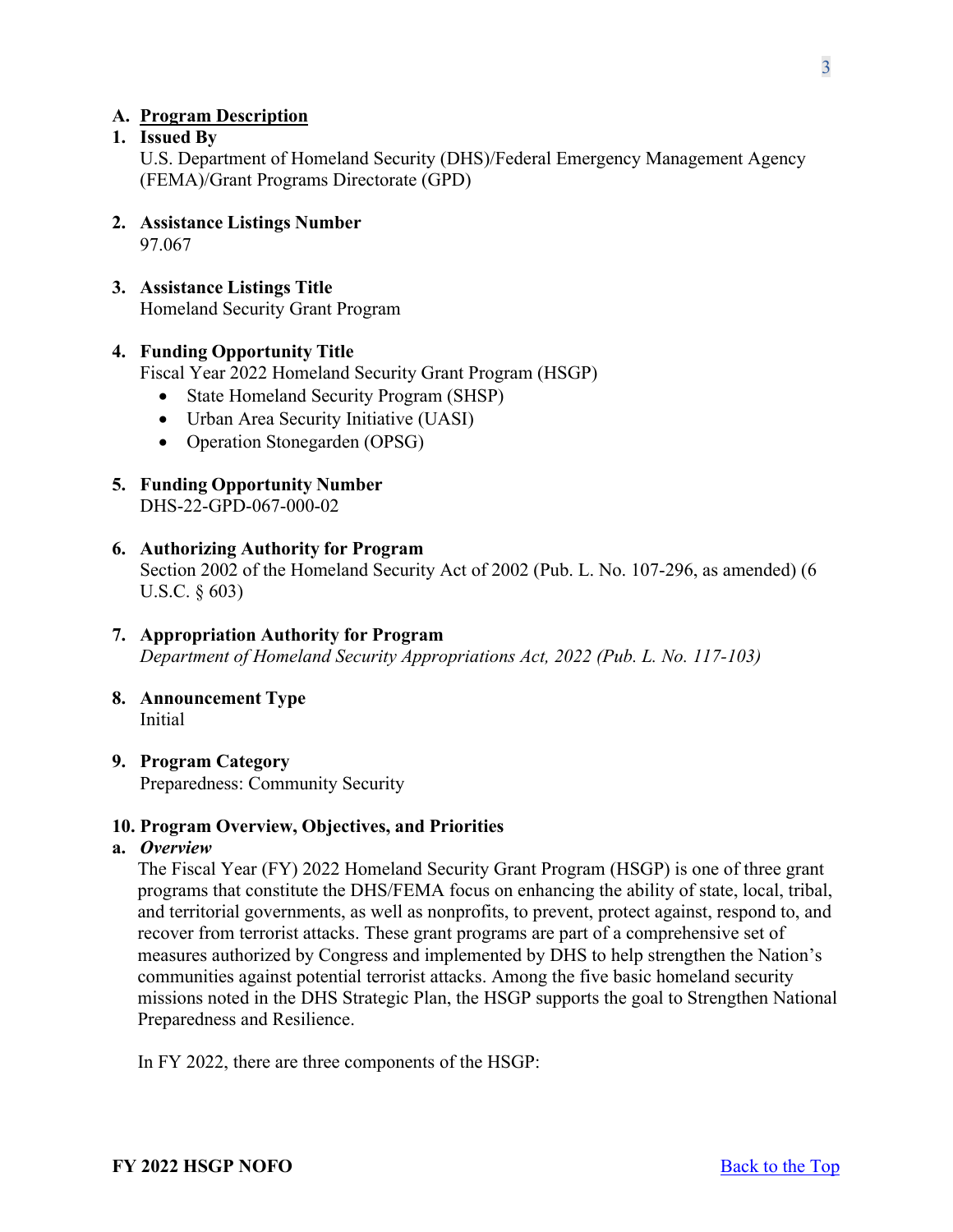### <span id="page-2-0"></span>**A. Program Description**

# <span id="page-2-1"></span>**1. Issued By**

U.S. Department of Homeland Security (DHS)/Federal Emergency Management Agency (FEMA)/Grant Programs Directorate (GPD)

- <span id="page-2-2"></span>**2. Assistance Listings Number** 97.067
- <span id="page-2-3"></span>**3. Assistance Listings Title**

Homeland Security Grant Program

### <span id="page-2-4"></span>**4. Funding Opportunity Title**

Fiscal Year 2022 Homeland Security Grant Program (HSGP)

- State Homeland Security Program (SHSP)
- Urban Area Security Initiative (UASI)
- Operation Stonegarden (OPSG)
- <span id="page-2-5"></span>**5. Funding Opportunity Number** DHS-22-GPD-067-000-02

#### <span id="page-2-6"></span>**6. Authorizing Authority for Program**

Section 2002 of the Homeland Security Act of 2002 (Pub. L. No. 107-296, as amended) (6 U.S.C. § 603)

- <span id="page-2-7"></span>**7. Appropriation Authority for Program** *Department of Homeland Security Appropriations Act, 2022 (Pub. L. No. 117-103)*
- <span id="page-2-8"></span>**8. Announcement Type** Initial
- <span id="page-2-9"></span>**9. Program Category** Preparedness: Community Security

#### <span id="page-2-10"></span>**10. Program Overview, Objectives, and Priorities**

#### **a.** *Overview*

The Fiscal Year (FY) 2022 Homeland Security Grant Program (HSGP) is one of three grant programs that constitute the DHS/FEMA focus on enhancing the ability of state, local, tribal, and territorial governments, as well as nonprofits, to prevent, protect against, respond to, and recover from terrorist attacks. These grant programs are part of a comprehensive set of measures authorized by Congress and implemented by DHS to help strengthen the Nation's communities against potential terrorist attacks. Among the five basic homeland security missions noted in the DHS Strategic Plan, the HSGP supports the goal to Strengthen National Preparedness and Resilience.

In FY 2022, there are three components of the HSGP: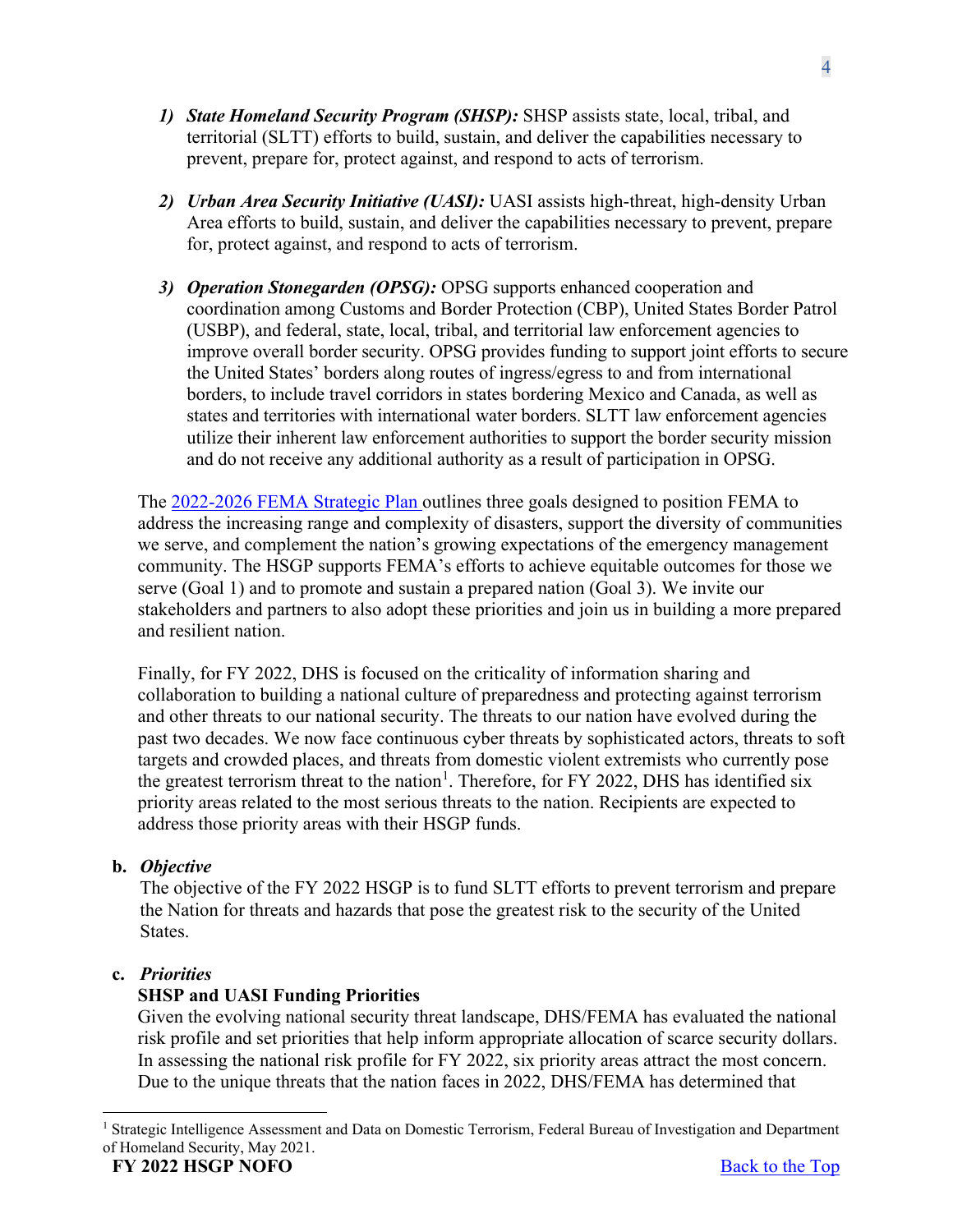- *1) State Homeland Security Program (SHSP):* SHSP assists state, local, tribal, and territorial (SLTT) efforts to build, sustain, and deliver the capabilities necessary to prevent, prepare for, protect against, and respond to acts of terrorism.
- *2) Urban Area Security Initiative (UASI):* UASI assists high-threat, high-density Urban Area efforts to build, sustain, and deliver the capabilities necessary to prevent, prepare for, protect against, and respond to acts of terrorism.
- *3) Operation Stonegarden (OPSG):* OPSG supports enhanced cooperation and coordination among Customs and Border Protection (CBP), United States Border Patrol (USBP), and federal, state, local, tribal, and territorial law enforcement agencies to improve overall border security. OPSG provides funding to support joint efforts to secure the United States' borders along routes of ingress/egress to and from international borders, to include travel corridors in states bordering Mexico and Canada, as well as states and territories with international water borders. SLTT law enforcement agencies utilize their inherent law enforcement authorities to support the border security mission and do not receive any additional authority as a result of participation in OPSG.

The [2022-2026 FEMA Strategic Plan](https://www.fema.gov/about/strategic-plan) outlines three goals designed to position FEMA to address the increasing range and complexity of disasters, support the diversity of communities we serve, and complement the nation's growing expectations of the emergency management community. The HSGP supports FEMA's efforts to achieve equitable outcomes for those we serve (Goal 1) and to promote and sustain a prepared nation (Goal 3). We invite our stakeholders and partners to also adopt these priorities and join us in building a more prepared and resilient nation.

Finally, for FY 2022, DHS is focused on the criticality of information sharing and collaboration to building a national culture of preparedness and protecting against terrorism and other threats to our national security. The threats to our nation have evolved during the past two decades. We now face continuous cyber threats by sophisticated actors, threats to soft targets and crowded places, and threats from domestic violent extremists who currently pose the greatest terrorism threat to the nation<sup>[1](#page-3-0)</sup>. Therefore, for FY 2022, DHS has identified six priority areas related to the most serious threats to the nation. Recipients are expected to address those priority areas with their HSGP funds.

# **b.** *Objective*

The objective of the FY 2022 HSGP is to fund SLTT efforts to prevent terrorism and prepare the Nation for threats and hazards that pose the greatest risk to the security of the United States.

# **c.** *Priorities*

# **SHSP and UASI Funding Priorities**

Given the evolving national security threat landscape, DHS/FEMA has evaluated the national risk profile and set priorities that help inform appropriate allocation of scarce security dollars. In assessing the national risk profile for FY 2022, six priority areas attract the most concern. Due to the unique threats that the nation faces in 2022, DHS/FEMA has determined that

<span id="page-3-0"></span><sup>&</sup>lt;sup>1</sup> Strategic Intelligence Assessment and Data on Domestic Terrorism, Federal Bureau of Investigation and Department of Homeland Security, May 2021.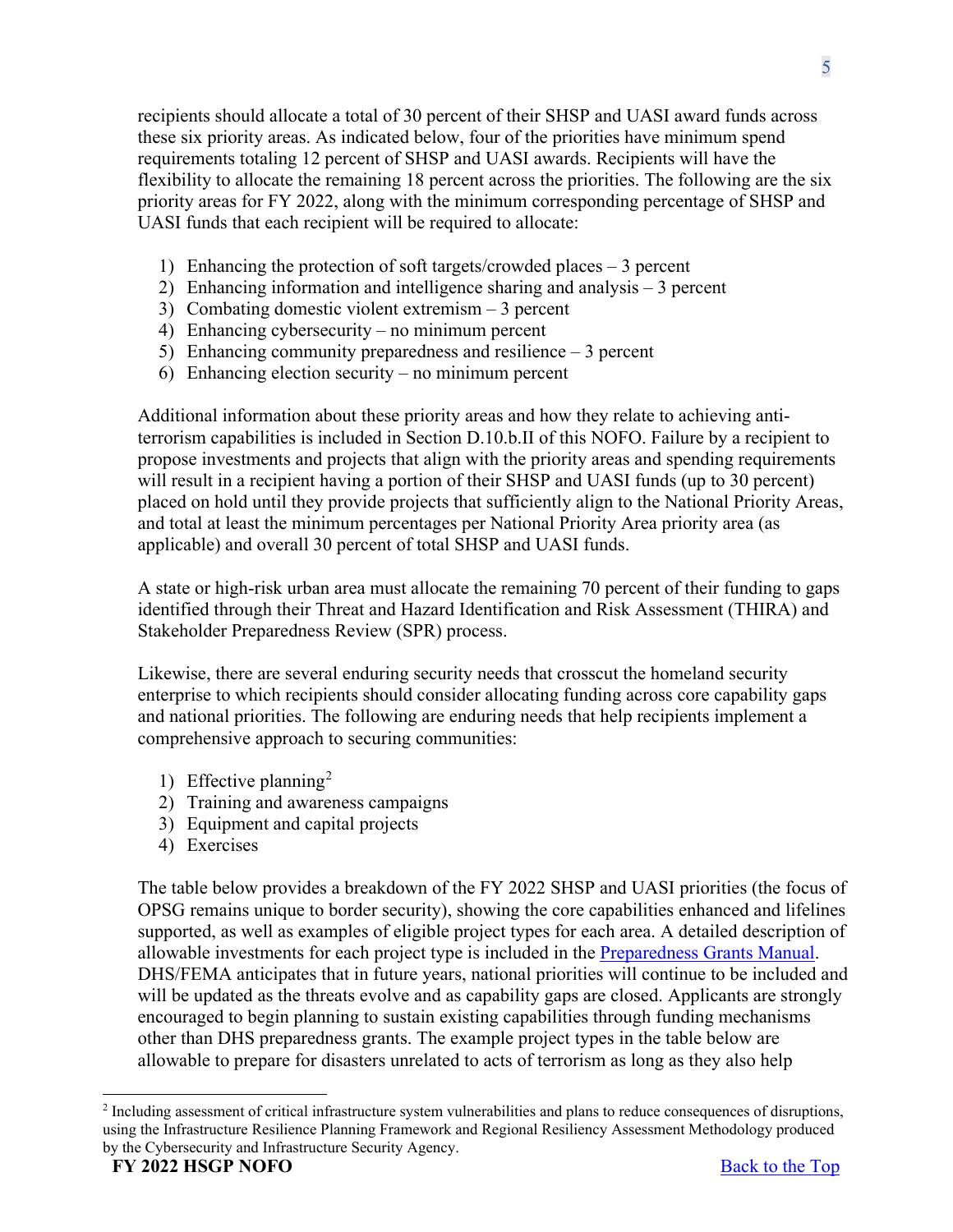recipients should allocate a total of 30 percent of their SHSP and UASI award funds across these six priority areas. As indicated below, four of the priorities have minimum spend requirements totaling 12 percent of SHSP and UASI awards. Recipients will have the flexibility to allocate the remaining 18 percent across the priorities. The following are the six priority areas for FY 2022, along with the minimum corresponding percentage of SHSP and UASI funds that each recipient will be required to allocate:

- 1) Enhancing the protection of soft targets/crowded places 3 percent
- 2) Enhancing information and intelligence sharing and analysis 3 percent
- 3) Combating domestic violent extremism 3 percent
- 4) Enhancing cybersecurity no minimum percent
- 5) Enhancing community preparedness and resilience 3 percent
- 6) Enhancing election security no minimum percent

Additional information about these priority areas and how they relate to achieving antiterrorism capabilities is included in Section D.10.b.II of this NOFO. Failure by a recipient to propose investments and projects that align with the priority areas and spending requirements will result in a recipient having a portion of their SHSP and UASI funds (up to 30 percent) placed on hold until they provide projects that sufficiently align to the National Priority Areas, and total at least the minimum percentages per National Priority Area priority area (as applicable) and overall 30 percent of total SHSP and UASI funds.

A state or high-risk urban area must allocate the remaining 70 percent of their funding to gaps identified through their Threat and Hazard Identification and Risk Assessment (THIRA) and Stakeholder Preparedness Review (SPR) process.

Likewise, there are several enduring security needs that crosscut the homeland security enterprise to which recipients should consider allocating funding across core capability gaps and national priorities. The following are enduring needs that help recipients implement a comprehensive approach to securing communities:

- 1) Effective planning<sup>[2](#page-4-0)</sup>
- 2) Training and awareness campaigns
- 3) Equipment and capital projects
- 4) Exercises

The table below provides a breakdown of the FY 2022 SHSP and UASI priorities (the focus of OPSG remains unique to border security), showing the core capabilities enhanced and lifelines supported, as well as examples of eligible project types for each area. A detailed description of allowable investments for each project type is included in the [Preparedness Grants Manual.](https://www.fema.gov/media-library/assets/documents/178291) DHS/FEMA anticipates that in future years, national priorities will continue to be included and will be updated as the threats evolve and as capability gaps are closed. Applicants are strongly encouraged to begin planning to sustain existing capabilities through funding mechanisms other than DHS preparedness grants. The example project types in the table below are allowable to prepare for disasters unrelated to acts of terrorism as long as they also help

<span id="page-4-0"></span><sup>2</sup> Including assessment of critical infrastructure system vulnerabilities and plans to reduce consequences of disruptions, using the Infrastructure Resilience Planning Framework and Regional Resiliency Assessment Methodology produced by the Cybersecurity and Infrastructure Security Agency.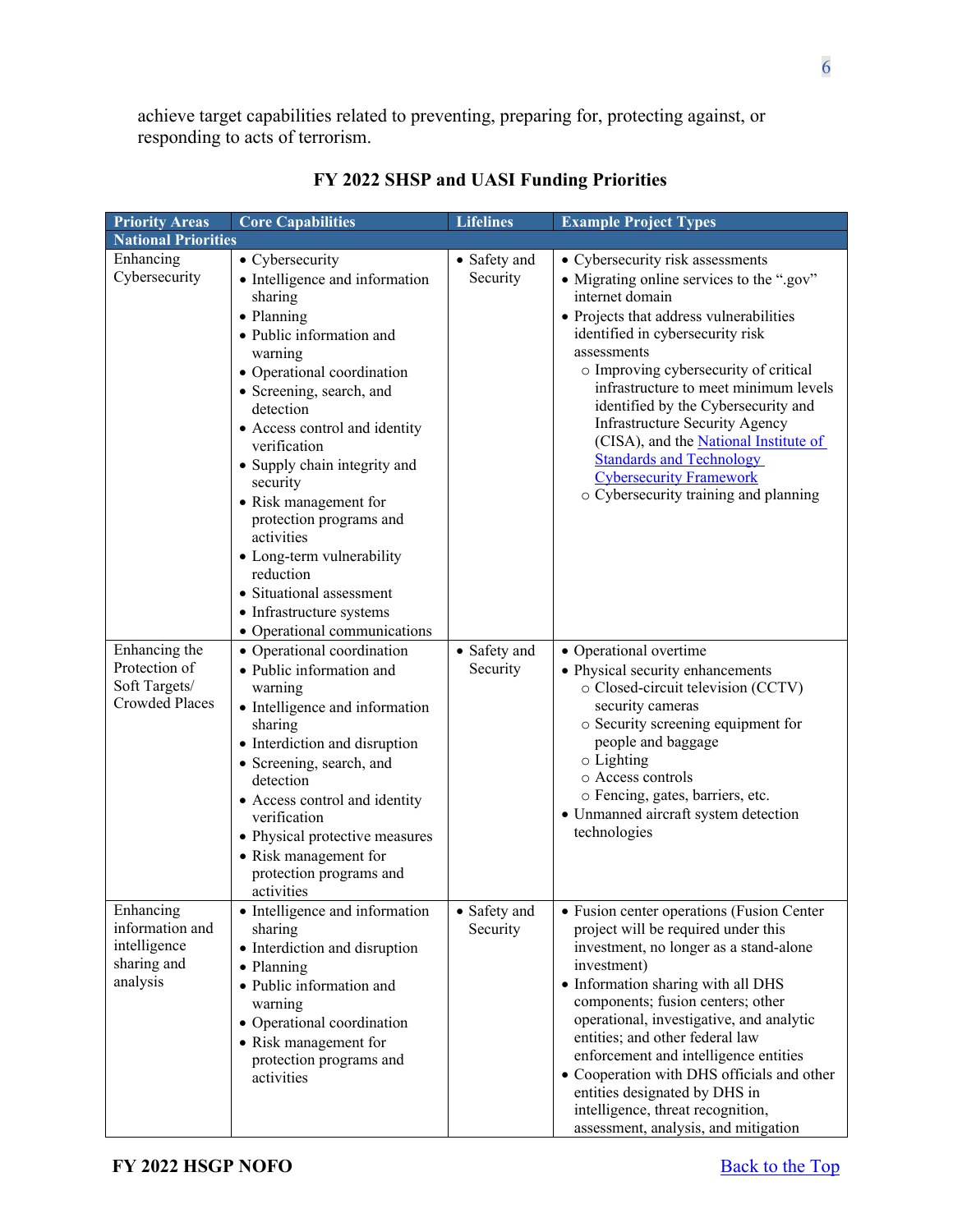achieve target capabilities related to preventing, preparing for, protecting against, or responding to acts of terrorism.

| <b>Priority Areas</b>                                                    | <b>Core Capabilities</b>                                                                                                                                                                                                                                                                                                                                                                                                                                  | <b>Lifelines</b>         | <b>Example Project Types</b>                                                                                                                                                                                                                                                                                                                                                                                                                                                                                                   |
|--------------------------------------------------------------------------|-----------------------------------------------------------------------------------------------------------------------------------------------------------------------------------------------------------------------------------------------------------------------------------------------------------------------------------------------------------------------------------------------------------------------------------------------------------|--------------------------|--------------------------------------------------------------------------------------------------------------------------------------------------------------------------------------------------------------------------------------------------------------------------------------------------------------------------------------------------------------------------------------------------------------------------------------------------------------------------------------------------------------------------------|
| <b>National Priorities</b>                                               |                                                                                                                                                                                                                                                                                                                                                                                                                                                           |                          |                                                                                                                                                                                                                                                                                                                                                                                                                                                                                                                                |
| Enhancing<br>Cybersecurity                                               | • Cybersecurity<br>• Intelligence and information<br>sharing<br>• Planning<br>· Public information and<br>warning<br>• Operational coordination<br>• Screening, search, and<br>detection<br>• Access control and identity<br>verification<br>• Supply chain integrity and<br>security<br>• Risk management for<br>protection programs and<br>activities<br>• Long-term vulnerability<br>reduction<br>· Situational assessment<br>• Infrastructure systems | • Safety and<br>Security | • Cybersecurity risk assessments<br>• Migrating online services to the ".gov"<br>internet domain<br>• Projects that address vulnerabilities<br>identified in cybersecurity risk<br>assessments<br>o Improving cybersecurity of critical<br>infrastructure to meet minimum levels<br>identified by the Cybersecurity and<br><b>Infrastructure Security Agency</b><br>(CISA), and the <b>National Institute of</b><br><b>Standards and Technology</b><br><b>Cybersecurity Framework</b><br>o Cybersecurity training and planning |
| Enhancing the<br>Protection of<br>Soft Targets/<br><b>Crowded Places</b> | • Operational communications<br>• Operational coordination<br>· Public information and<br>warning<br>• Intelligence and information<br>sharing<br>• Interdiction and disruption<br>• Screening, search, and<br>detection<br>• Access control and identity<br>verification<br>• Physical protective measures<br>• Risk management for<br>protection programs and<br>activities                                                                             | • Safety and<br>Security | • Operational overtime<br>• Physical security enhancements<br>o Closed-circuit television (CCTV)<br>security cameras<br>o Security screening equipment for<br>people and baggage<br>$\circ$ Lighting<br>o Access controls<br>o Fencing, gates, barriers, etc.<br>• Unmanned aircraft system detection<br>technologies                                                                                                                                                                                                          |
| Enhancing<br>information and<br>intelligence<br>sharing and<br>analysis  | • Intelligence and information<br>sharing<br>• Interdiction and disruption<br>· Planning<br>· Public information and<br>warning<br>• Operational coordination<br>• Risk management for<br>protection programs and<br>activities                                                                                                                                                                                                                           | • Safety and<br>Security | · Fusion center operations (Fusion Center<br>project will be required under this<br>investment, no longer as a stand-alone<br>investment)<br>• Information sharing with all DHS<br>components; fusion centers; other<br>operational, investigative, and analytic<br>entities; and other federal law<br>enforcement and intelligence entities<br>• Cooperation with DHS officials and other<br>entities designated by DHS in<br>intelligence, threat recognition,<br>assessment, analysis, and mitigation                       |

# **FY 2022 SHSP and UASI Funding Priorities**

6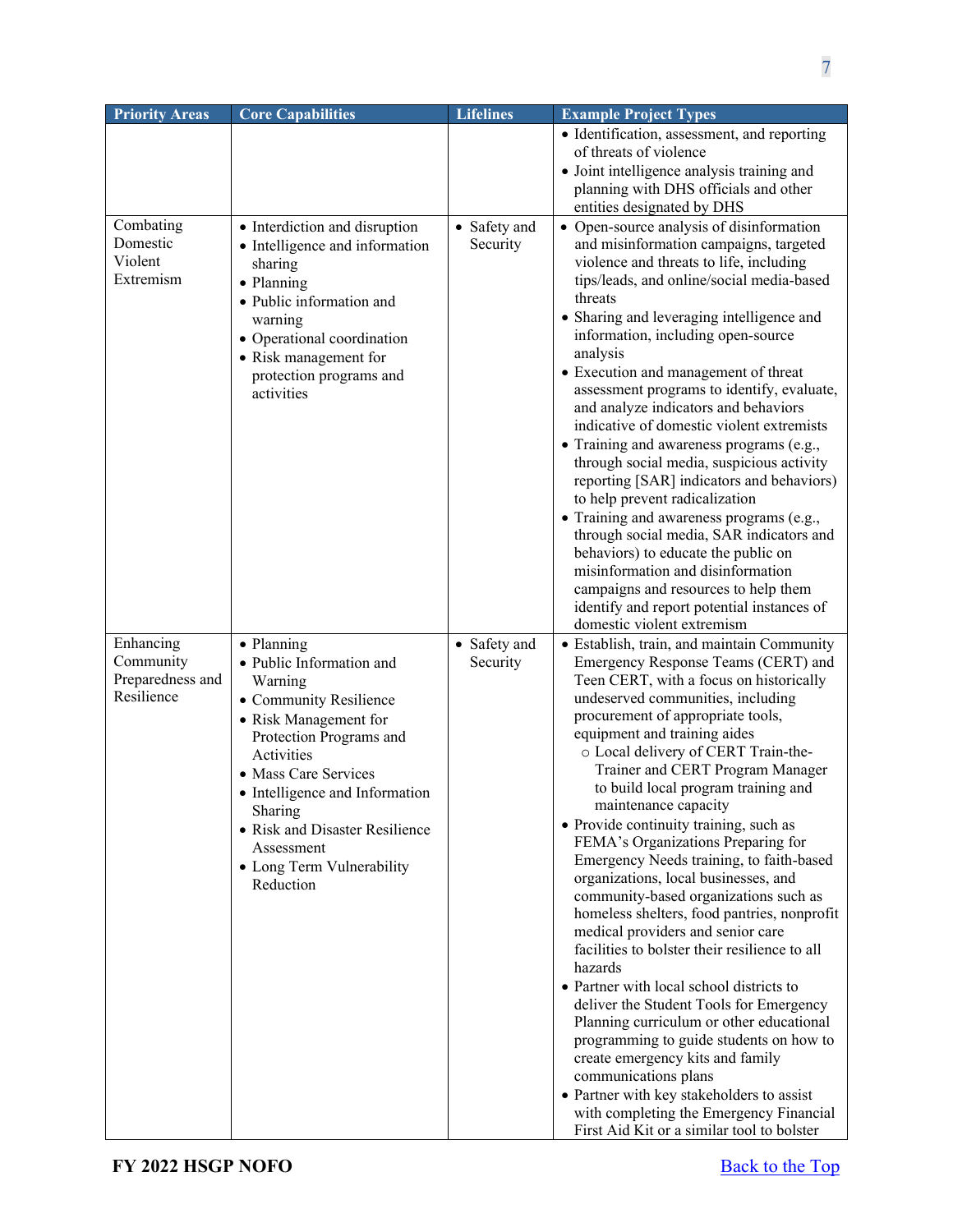| <b>Priority Areas</b>                                    | <b>Core Capabilities</b>                                                                                                                                                                                                                                                                                     | <b>Lifelines</b>         | <b>Example Project Types</b>                                                                                                                                                                                                                                                                                                                                                                                                                                                                                                                                                                                                                                                                                                                                                                                                                                                                                                                                                                                                                                                                                                  |
|----------------------------------------------------------|--------------------------------------------------------------------------------------------------------------------------------------------------------------------------------------------------------------------------------------------------------------------------------------------------------------|--------------------------|-------------------------------------------------------------------------------------------------------------------------------------------------------------------------------------------------------------------------------------------------------------------------------------------------------------------------------------------------------------------------------------------------------------------------------------------------------------------------------------------------------------------------------------------------------------------------------------------------------------------------------------------------------------------------------------------------------------------------------------------------------------------------------------------------------------------------------------------------------------------------------------------------------------------------------------------------------------------------------------------------------------------------------------------------------------------------------------------------------------------------------|
|                                                          |                                                                                                                                                                                                                                                                                                              |                          | • Identification, assessment, and reporting<br>of threats of violence                                                                                                                                                                                                                                                                                                                                                                                                                                                                                                                                                                                                                                                                                                                                                                                                                                                                                                                                                                                                                                                         |
|                                                          |                                                                                                                                                                                                                                                                                                              |                          | • Joint intelligence analysis training and<br>planning with DHS officials and other<br>entities designated by DHS                                                                                                                                                                                                                                                                                                                                                                                                                                                                                                                                                                                                                                                                                                                                                                                                                                                                                                                                                                                                             |
| Combating<br>Domestic<br>Violent<br>Extremism            | • Interdiction and disruption<br>• Intelligence and information<br>sharing<br>• Planning<br>· Public information and<br>warning<br>• Operational coordination<br>• Risk management for<br>protection programs and<br>activities                                                                              | • Safety and<br>Security | • Open-source analysis of disinformation<br>and misinformation campaigns, targeted<br>violence and threats to life, including<br>tips/leads, and online/social media-based<br>threats<br>• Sharing and leveraging intelligence and<br>information, including open-source<br>analysis<br>• Execution and management of threat<br>assessment programs to identify, evaluate,<br>and analyze indicators and behaviors<br>indicative of domestic violent extremists<br>• Training and awareness programs (e.g.,<br>through social media, suspicious activity<br>reporting [SAR] indicators and behaviors)<br>to help prevent radicalization<br>• Training and awareness programs (e.g.,<br>through social media, SAR indicators and<br>behaviors) to educate the public on<br>misinformation and disinformation<br>campaigns and resources to help them<br>identify and report potential instances of<br>domestic violent extremism                                                                                                                                                                                               |
| Enhancing<br>Community<br>Preparedness and<br>Resilience | • Planning<br>· Public Information and<br>Warning<br>• Community Resilience<br>• Risk Management for<br>Protection Programs and<br>Activities<br>• Mass Care Services<br>• Intelligence and Information<br>Sharing<br>• Risk and Disaster Resilience<br>Assessment<br>• Long Term Vulnerability<br>Reduction | • Safety and<br>Security | · Establish, train, and maintain Community<br>Emergency Response Teams (CERT) and<br>Teen CERT, with a focus on historically<br>undeserved communities, including<br>procurement of appropriate tools,<br>equipment and training aides<br>o Local delivery of CERT Train-the-<br>Trainer and CERT Program Manager<br>to build local program training and<br>maintenance capacity<br>• Provide continuity training, such as<br>FEMA's Organizations Preparing for<br>Emergency Needs training, to faith-based<br>organizations, local businesses, and<br>community-based organizations such as<br>homeless shelters, food pantries, nonprofit<br>medical providers and senior care<br>facilities to bolster their resilience to all<br>hazards<br>• Partner with local school districts to<br>deliver the Student Tools for Emergency<br>Planning curriculum or other educational<br>programming to guide students on how to<br>create emergency kits and family<br>communications plans<br>• Partner with key stakeholders to assist<br>with completing the Emergency Financial<br>First Aid Kit or a similar tool to bolster |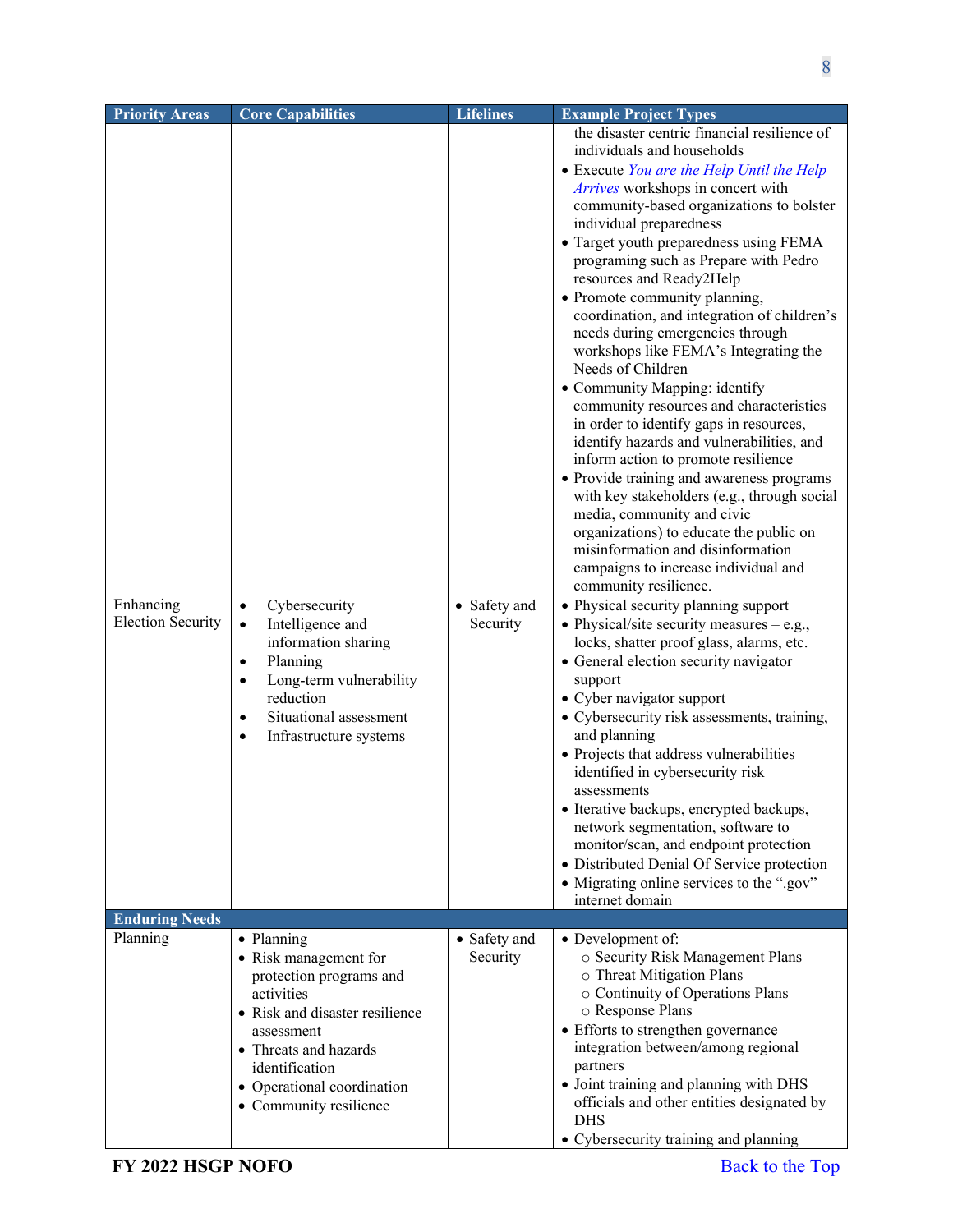| <b>Priority Areas</b>                 | <b>Core Capabilities</b>                                                                                                                                                                                                          | <b>Lifelines</b>         | <b>Example Project Types</b>                                                                                                                                                                                                                                                                                                                                                                                                                                                                                                                                                                                                                                                                                                                                                                                                                                                                                                                                                                                                                                                                                                                                                                                                                                                                                                                                                                                                                                                                                                                |
|---------------------------------------|-----------------------------------------------------------------------------------------------------------------------------------------------------------------------------------------------------------------------------------|--------------------------|---------------------------------------------------------------------------------------------------------------------------------------------------------------------------------------------------------------------------------------------------------------------------------------------------------------------------------------------------------------------------------------------------------------------------------------------------------------------------------------------------------------------------------------------------------------------------------------------------------------------------------------------------------------------------------------------------------------------------------------------------------------------------------------------------------------------------------------------------------------------------------------------------------------------------------------------------------------------------------------------------------------------------------------------------------------------------------------------------------------------------------------------------------------------------------------------------------------------------------------------------------------------------------------------------------------------------------------------------------------------------------------------------------------------------------------------------------------------------------------------------------------------------------------------|
| Enhancing<br><b>Election Security</b> | Cybersecurity<br>$\bullet$<br>Intelligence and<br>$\bullet$<br>information sharing<br>Planning<br>$\bullet$<br>Long-term vulnerability<br>reduction<br>Situational assessment<br>$\bullet$<br>Infrastructure systems<br>$\bullet$ | • Safety and<br>Security | the disaster centric financial resilience of<br>individuals and households<br>• Execute You are the Help Until the Help<br><b>Arrives</b> workshops in concert with<br>community-based organizations to bolster<br>individual preparedness<br>• Target youth preparedness using FEMA<br>programing such as Prepare with Pedro<br>resources and Ready2Help<br>• Promote community planning,<br>coordination, and integration of children's<br>needs during emergencies through<br>workshops like FEMA's Integrating the<br>Needs of Children<br>• Community Mapping: identify<br>community resources and characteristics<br>in order to identify gaps in resources,<br>identify hazards and vulnerabilities, and<br>inform action to promote resilience<br>• Provide training and awareness programs<br>with key stakeholders (e.g., through social<br>media, community and civic<br>organizations) to educate the public on<br>misinformation and disinformation<br>campaigns to increase individual and<br>community resilience.<br>• Physical security planning support<br>• Physical/site security measures $-$ e.g.,<br>locks, shatter proof glass, alarms, etc.<br>• General election security navigator<br>support<br>• Cyber navigator support<br>• Cybersecurity risk assessments, training,<br>and planning<br>• Projects that address vulnerabilities<br>identified in cybersecurity risk<br>assessments<br>• Iterative backups, encrypted backups,<br>network segmentation, software to<br>monitor/scan, and endpoint protection |
|                                       |                                                                                                                                                                                                                                   |                          | • Distributed Denial Of Service protection<br>• Migrating online services to the ".gov"<br>internet domain                                                                                                                                                                                                                                                                                                                                                                                                                                                                                                                                                                                                                                                                                                                                                                                                                                                                                                                                                                                                                                                                                                                                                                                                                                                                                                                                                                                                                                  |
| <b>Enduring Needs</b>                 |                                                                                                                                                                                                                                   |                          |                                                                                                                                                                                                                                                                                                                                                                                                                                                                                                                                                                                                                                                                                                                                                                                                                                                                                                                                                                                                                                                                                                                                                                                                                                                                                                                                                                                                                                                                                                                                             |
| Planning                              | • Planning<br>• Risk management for<br>protection programs and<br>activities<br>• Risk and disaster resilience<br>assessment<br>• Threats and hazards<br>identification<br>• Operational coordination<br>• Community resilience   | • Safety and<br>Security | • Development of:<br>o Security Risk Management Plans<br>o Threat Mitigation Plans<br>o Continuity of Operations Plans<br>o Response Plans<br>• Efforts to strengthen governance<br>integration between/among regional<br>partners<br>• Joint training and planning with DHS<br>officials and other entities designated by<br><b>DHS</b><br>• Cybersecurity training and planning                                                                                                                                                                                                                                                                                                                                                                                                                                                                                                                                                                                                                                                                                                                                                                                                                                                                                                                                                                                                                                                                                                                                                           |
|                                       |                                                                                                                                                                                                                                   |                          |                                                                                                                                                                                                                                                                                                                                                                                                                                                                                                                                                                                                                                                                                                                                                                                                                                                                                                                                                                                                                                                                                                                                                                                                                                                                                                                                                                                                                                                                                                                                             |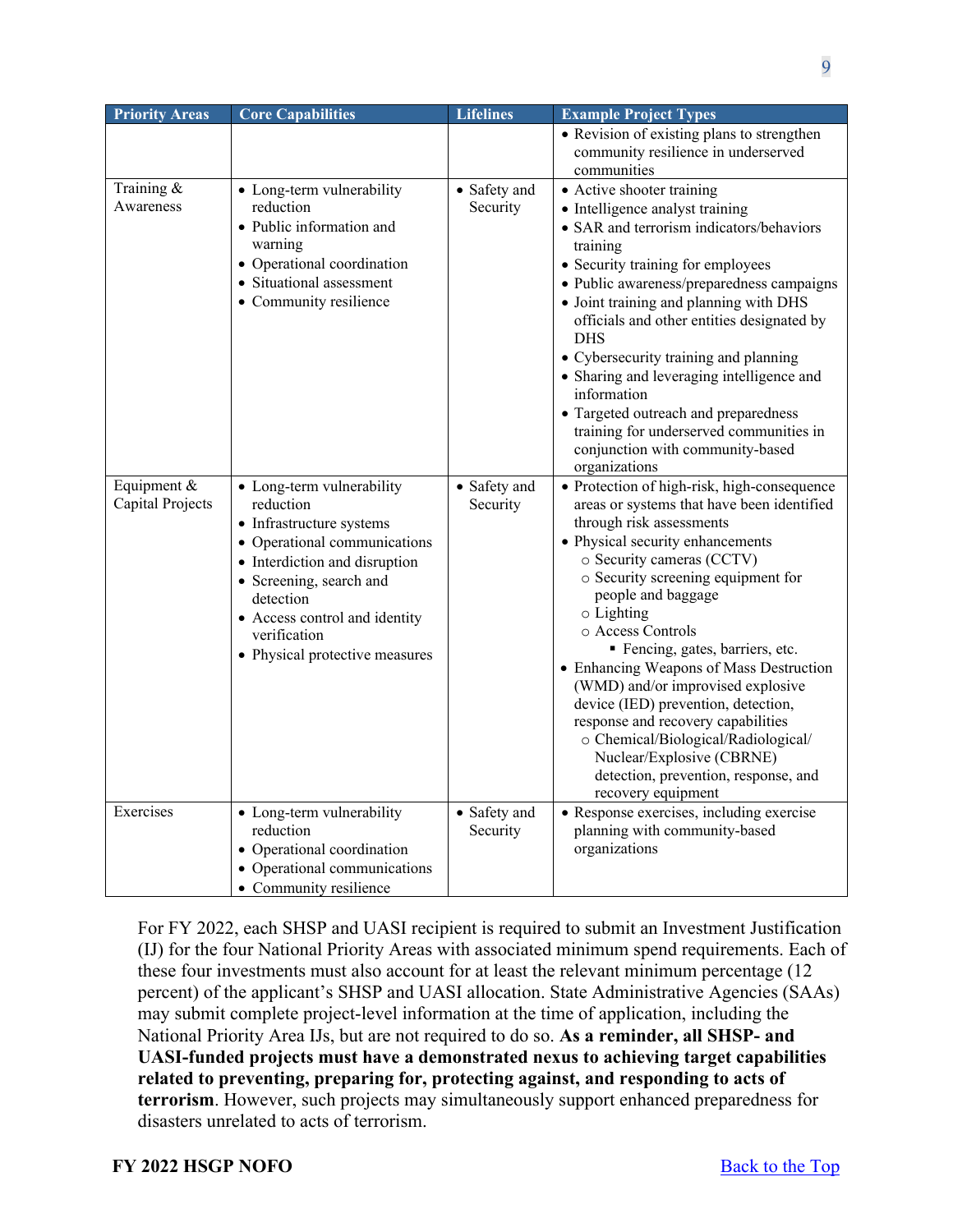| <b>Priority Areas</b>           | <b>Core Capabilities</b>                                                                                                                                                                                                                                       | <b>Lifelines</b>         | <b>Example Project Types</b>                                                                                                                                                                                                                                                                                                                                                                                                                                                                                                                                                                                                 |
|---------------------------------|----------------------------------------------------------------------------------------------------------------------------------------------------------------------------------------------------------------------------------------------------------------|--------------------------|------------------------------------------------------------------------------------------------------------------------------------------------------------------------------------------------------------------------------------------------------------------------------------------------------------------------------------------------------------------------------------------------------------------------------------------------------------------------------------------------------------------------------------------------------------------------------------------------------------------------------|
|                                 |                                                                                                                                                                                                                                                                |                          | • Revision of existing plans to strengthen<br>community resilience in underserved<br>communities                                                                                                                                                                                                                                                                                                                                                                                                                                                                                                                             |
| Training &<br>Awareness         | • Long-term vulnerability<br>reduction<br>• Public information and<br>warning<br>• Operational coordination<br>• Situational assessment<br>• Community resilience                                                                                              | • Safety and<br>Security | • Active shooter training<br>• Intelligence analyst training<br>• SAR and terrorism indicators/behaviors<br>training<br>• Security training for employees<br>· Public awareness/preparedness campaigns<br>• Joint training and planning with DHS<br>officials and other entities designated by<br><b>DHS</b><br>• Cybersecurity training and planning<br>• Sharing and leveraging intelligence and<br>information<br>• Targeted outreach and preparedness<br>training for underserved communities in<br>conjunction with community-based<br>organizations                                                                    |
| Equipment &<br>Capital Projects | • Long-term vulnerability<br>reduction<br>• Infrastructure systems<br>• Operational communications<br>• Interdiction and disruption<br>• Screening, search and<br>detection<br>• Access control and identity<br>verification<br>• Physical protective measures | • Safety and<br>Security | · Protection of high-risk, high-consequence<br>areas or systems that have been identified<br>through risk assessments<br>• Physical security enhancements<br>o Security cameras (CCTV)<br>o Security screening equipment for<br>people and baggage<br>$\circ$ Lighting<br>o Access Controls<br>Fencing, gates, barriers, etc.<br>• Enhancing Weapons of Mass Destruction<br>(WMD) and/or improvised explosive<br>device (IED) prevention, detection,<br>response and recovery capabilities<br>o Chemical/Biological/Radiological/<br>Nuclear/Explosive (CBRNE)<br>detection, prevention, response, and<br>recovery equipment |
| Exercises                       | • Long-term vulnerability<br>reduction<br>• Operational coordination<br>• Operational communications<br>• Community resilience                                                                                                                                 | • Safety and<br>Security | · Response exercises, including exercise<br>planning with community-based<br>organizations                                                                                                                                                                                                                                                                                                                                                                                                                                                                                                                                   |

For FY 2022, each SHSP and UASI recipient is required to submit an Investment Justification (IJ) for the four National Priority Areas with associated minimum spend requirements. Each of these four investments must also account for at least the relevant minimum percentage (12 percent) of the applicant's SHSP and UASI allocation. State Administrative Agencies (SAAs) may submit complete project-level information at the time of application, including the National Priority Area IJs, but are not required to do so. **As a reminder, all SHSP- and UASI-funded projects must have a demonstrated nexus to achieving target capabilities related to preventing, preparing for, protecting against, and responding to acts of terrorism**. However, such projects may simultaneously support enhanced preparedness for disasters unrelated to acts of terrorism.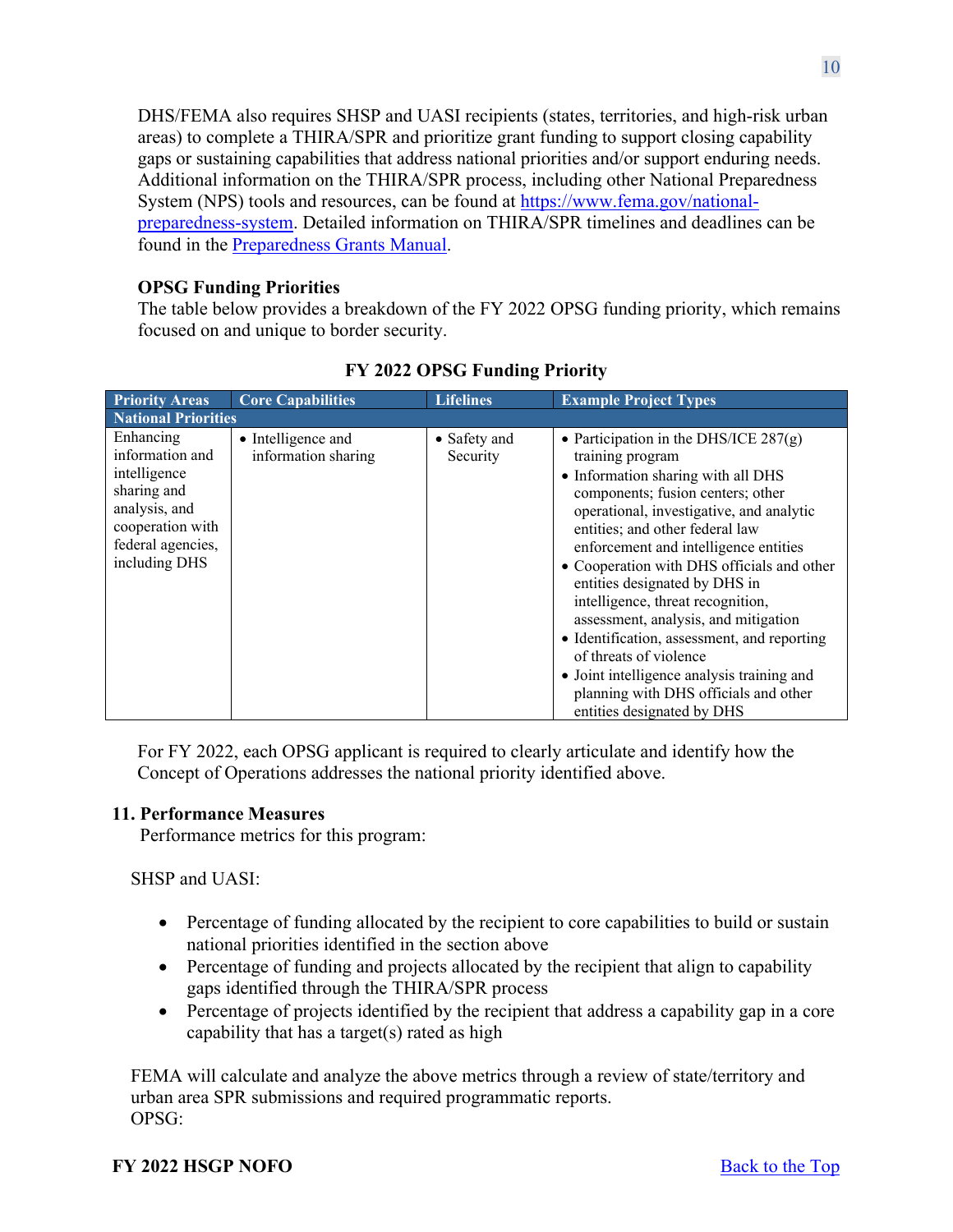DHS/FEMA also requires SHSP and UASI recipients (states, territories, and high-risk urban areas) to complete a THIRA/SPR and prioritize grant funding to support closing capability gaps or sustaining capabilities that address national priorities and/or support enduring needs. Additional information on the THIRA/SPR process, including other National Preparedness System (NPS) tools and resources, can be found at [https://www.fema.gov/national](https://www.fema.gov/national-preparedness-system)[preparedness-system.](https://www.fema.gov/national-preparedness-system) Detailed information on THIRA/SPR timelines and deadlines can be found in the [Preparedness Grants Manual.](https://www.fema.gov/media-library/assets/documents/178291)

### **OPSG Funding Priorities**

The table below provides a breakdown of the FY 2022 OPSG funding priority, which remains focused on and unique to border security.

| <b>Priority Areas</b>                                                                                                                  | <b>Core Capabilities</b>                  | <b>Lifelines</b>         | <b>Example Project Types</b>                                                                                                                                                                                                                                                                                                                                                                                                                                                                                                                                                                                             |  |  |
|----------------------------------------------------------------------------------------------------------------------------------------|-------------------------------------------|--------------------------|--------------------------------------------------------------------------------------------------------------------------------------------------------------------------------------------------------------------------------------------------------------------------------------------------------------------------------------------------------------------------------------------------------------------------------------------------------------------------------------------------------------------------------------------------------------------------------------------------------------------------|--|--|
|                                                                                                                                        | <b>National Priorities</b>                |                          |                                                                                                                                                                                                                                                                                                                                                                                                                                                                                                                                                                                                                          |  |  |
| Enhancing<br>information and<br>intelligence<br>sharing and<br>analysis, and<br>cooperation with<br>federal agencies,<br>including DHS | • Intelligence and<br>information sharing | • Safety and<br>Security | • Participation in the DHS/ICE $287(g)$<br>training program<br>• Information sharing with all DHS<br>components; fusion centers; other<br>operational, investigative, and analytic<br>entities; and other federal law<br>enforcement and intelligence entities<br>• Cooperation with DHS officials and other<br>entities designated by DHS in<br>intelligence, threat recognition,<br>assessment, analysis, and mitigation<br>• Identification, assessment, and reporting<br>of threats of violence<br>• Joint intelligence analysis training and<br>planning with DHS officials and other<br>entities designated by DHS |  |  |

**FY 2022 OPSG Funding Priority**

For FY 2022, each OPSG applicant is required to clearly articulate and identify how the Concept of Operations addresses the national priority identified above.

### <span id="page-9-0"></span>**11. Performance Measures**

Performance metrics for this program:

SHSP and UASI:

- Percentage of funding allocated by the recipient to core capabilities to build or sustain national priorities identified in the section above
- Percentage of funding and projects allocated by the recipient that align to capability gaps identified through the THIRA/SPR process
- Percentage of projects identified by the recipient that address a capability gap in a core capability that has a target(s) rated as high

FEMA will calculate and analyze the above metrics through a review of state/territory and urban area SPR submissions and required programmatic reports. OPSG:

### **FY** 2022 **HSGP NOFO** Back to the Top

10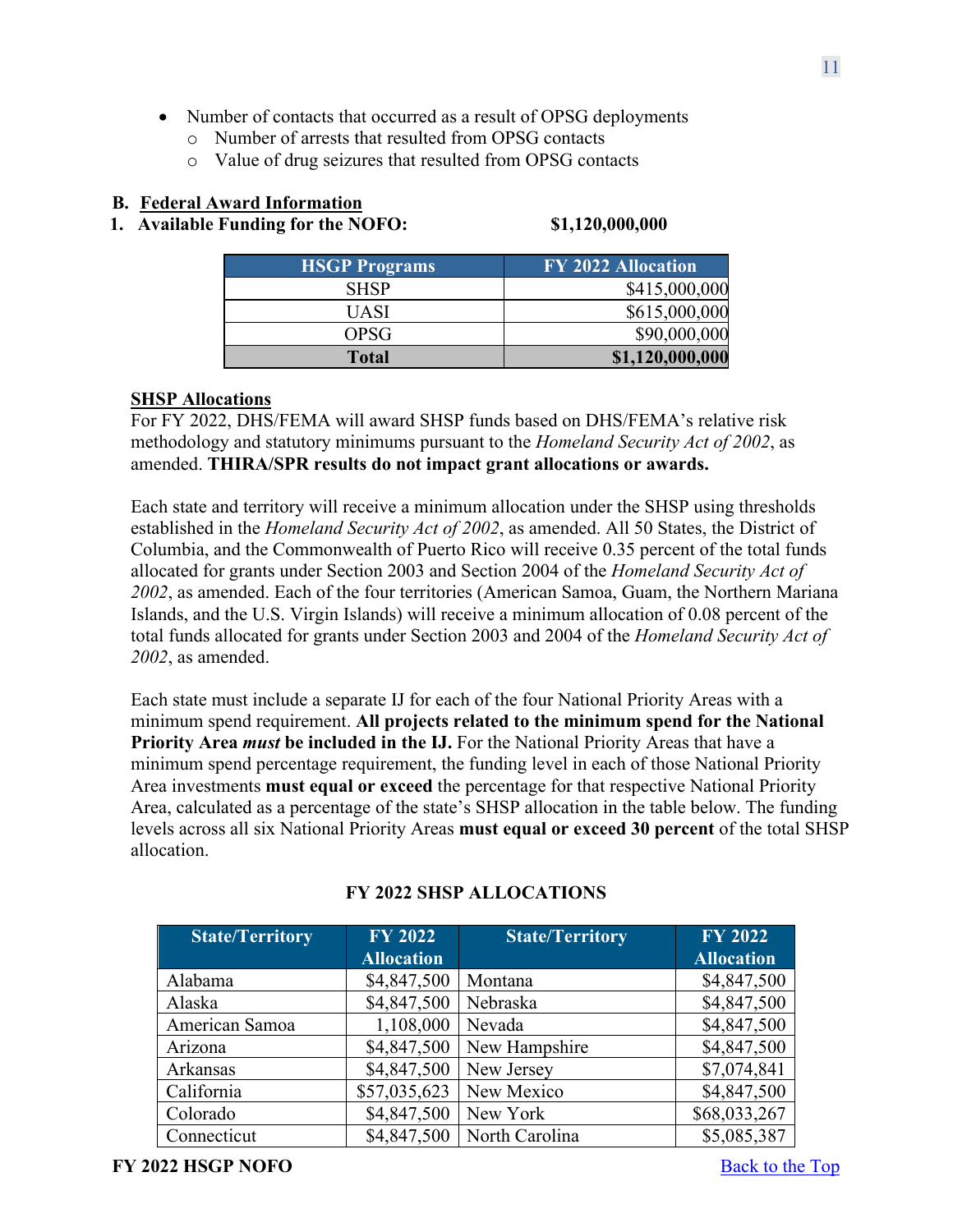- Number of contacts that occurred as a result of OPSG deployments
	- o Number of arrests that resulted from OPSG contacts
	- o Value of drug seizures that resulted from OPSG contacts

# <span id="page-10-0"></span>**B. Federal Award Information**

<span id="page-10-1"></span>**1. Available Funding for the NOFO: \$1,120,000,000**

| <b>HSGP Programs</b> | <b>FY 2022 Allocation</b> |
|----------------------|---------------------------|
| <b>SHSP</b>          | \$415,000,000             |
| UASI                 | \$615,000,000             |
| OPSG                 | \$90,000,000              |
| <b>Total</b>         | \$1,120,000,000           |

# **SHSP Allocations**

For FY 2022, DHS/FEMA will award SHSP funds based on DHS/FEMA's relative risk methodology and statutory minimums pursuant to the *Homeland Security Act of 2002*, as amended. **THIRA/SPR results do not impact grant allocations or awards.**

Each state and territory will receive a minimum allocation under the SHSP using thresholds established in the *Homeland Security Act of 2002*, as amended. All 50 States, the District of Columbia, and the Commonwealth of Puerto Rico will receive 0.35 percent of the total funds allocated for grants under Section 2003 and Section 2004 of the *Homeland Security Act of 2002*, as amended. Each of the four territories (American Samoa, Guam, the Northern Mariana Islands, and the U.S. Virgin Islands) will receive a minimum allocation of 0.08 percent of the total funds allocated for grants under Section 2003 and 2004 of the *Homeland Security Act of 2002*, as amended.

Each state must include a separate IJ for each of the four National Priority Areas with a minimum spend requirement. **All projects related to the minimum spend for the National Priority Area** *must* **be included in the IJ.** For the National Priority Areas that have a minimum spend percentage requirement, the funding level in each of those National Priority Area investments **must equal or exceed** the percentage for that respective National Priority Area, calculated as a percentage of the state's SHSP allocation in the table below. The funding levels across all six National Priority Areas **must equal or exceed 30 percent** of the total SHSP allocation.

| <b>State/Territory</b> | <b>FY 2022</b><br><b>Allocation</b> | <b>State/Territory</b> | <b>FY 2022</b><br><b>Allocation</b> |
|------------------------|-------------------------------------|------------------------|-------------------------------------|
| Alabama                | \$4,847,500                         | Montana                | \$4,847,500                         |
| Alaska                 | \$4,847,500                         | Nebraska               | \$4,847,500                         |
| American Samoa         | 1,108,000                           | Nevada                 | \$4,847,500                         |
| Arizona                | \$4,847,500                         | New Hampshire          | \$4,847,500                         |
| Arkansas               | \$4,847,500                         | New Jersey             | \$7,074,841                         |
| California             | \$57,035,623                        | New Mexico             | \$4,847,500                         |
| Colorado               | \$4,847,500                         | New York               | \$68,033,267                        |
| Connecticut            | \$4,847,500                         | North Carolina         | \$5,085,387                         |

# **FY 2022 SHSP ALLOCATIONS**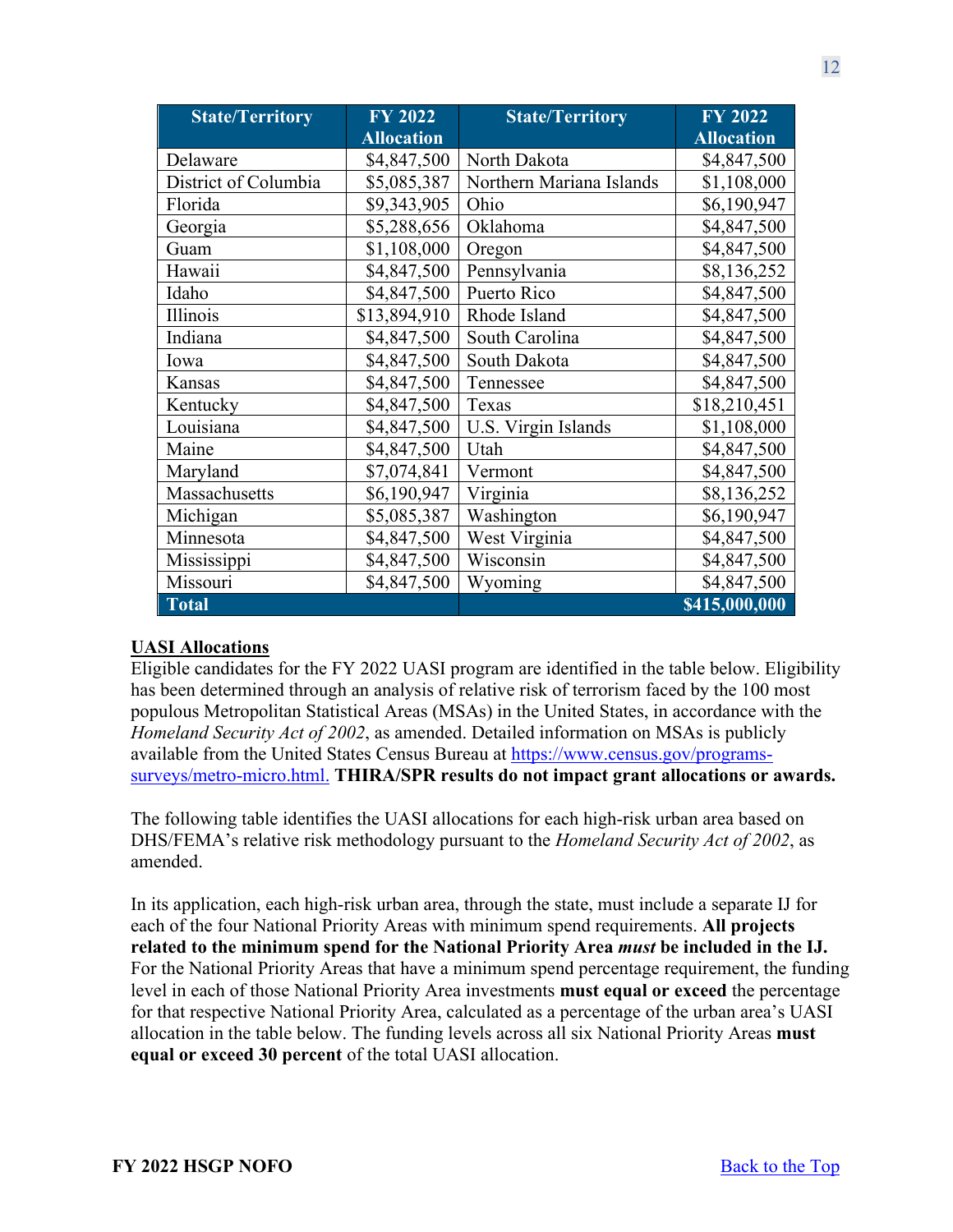| <b>State/Territory</b> | <b>FY 2022</b>    | <b>State/Territory</b>   | <b>FY 2022</b>    |
|------------------------|-------------------|--------------------------|-------------------|
|                        | <b>Allocation</b> |                          | <b>Allocation</b> |
| Delaware               | \$4,847,500       | North Dakota             | \$4,847,500       |
| District of Columbia   | \$5,085,387       | Northern Mariana Islands | \$1,108,000       |
| Florida                | \$9,343,905       | Ohio                     | \$6,190,947       |
| Georgia                | \$5,288,656       | Oklahoma                 | \$4,847,500       |
| Guam                   | \$1,108,000       | Oregon                   | \$4,847,500       |
| Hawaii                 | \$4,847,500       | Pennsylvania             | \$8,136,252       |
| Idaho                  | \$4,847,500       | Puerto Rico              | \$4,847,500       |
| Illinois               | \$13,894,910      | Rhode Island             | \$4,847,500       |
| Indiana                | \$4,847,500       | South Carolina           | \$4,847,500       |
| Iowa                   | \$4,847,500       | South Dakota             | \$4,847,500       |
| Kansas                 | \$4,847,500       | Tennessee                | \$4,847,500       |
| Kentucky               | \$4,847,500       | Texas                    | \$18,210,451      |
| Louisiana              | \$4,847,500       | U.S. Virgin Islands      | \$1,108,000       |
| Maine                  | \$4,847,500       | Utah                     | \$4,847,500       |
| Maryland               | \$7,074,841       | Vermont                  | \$4,847,500       |
| Massachusetts          | \$6,190,947       | Virginia                 | \$8,136,252       |
| Michigan               | \$5,085,387       | Washington               | \$6,190,947       |
| Minnesota              | \$4,847,500       | West Virginia            | \$4,847,500       |
| Mississippi            | \$4,847,500       | Wisconsin                | \$4,847,500       |
| Missouri               | \$4,847,500       | Wyoming                  | \$4,847,500       |
| <b>Total</b>           |                   |                          | \$415,000,000     |

### **UASI Allocations**

Eligible candidates for the FY 2022 UASI program are identified in the table below. Eligibility has been determined through an analysis of relative risk of terrorism faced by the 100 most populous Metropolitan Statistical Areas (MSAs) in the United States, in accordance with the *Homeland Security Act of 2002*, as amended. Detailed information on MSAs is publicly available from the United States Census Bureau at [https://www.census.gov/programs](https://www.census.gov/programs-surveys/metro-micro.html)[surveys/metro-micro.html.](https://www.census.gov/programs-surveys/metro-micro.html) **THIRA/SPR results do not impact grant allocations or awards.**

The following table identifies the UASI allocations for each high-risk urban area based on DHS/FEMA's relative risk methodology pursuant to the *Homeland Security Act of 2002*, as amended.

In its application, each high-risk urban area, through the state, must include a separate IJ for each of the four National Priority Areas with minimum spend requirements. **All projects related to the minimum spend for the National Priority Area** *must* **be included in the IJ.** For the National Priority Areas that have a minimum spend percentage requirement, the funding level in each of those National Priority Area investments **must equal or exceed** the percentage for that respective National Priority Area, calculated as a percentage of the urban area's UASI allocation in the table below. The funding levels across all six National Priority Areas **must equal or exceed 30 percent** of the total UASI allocation.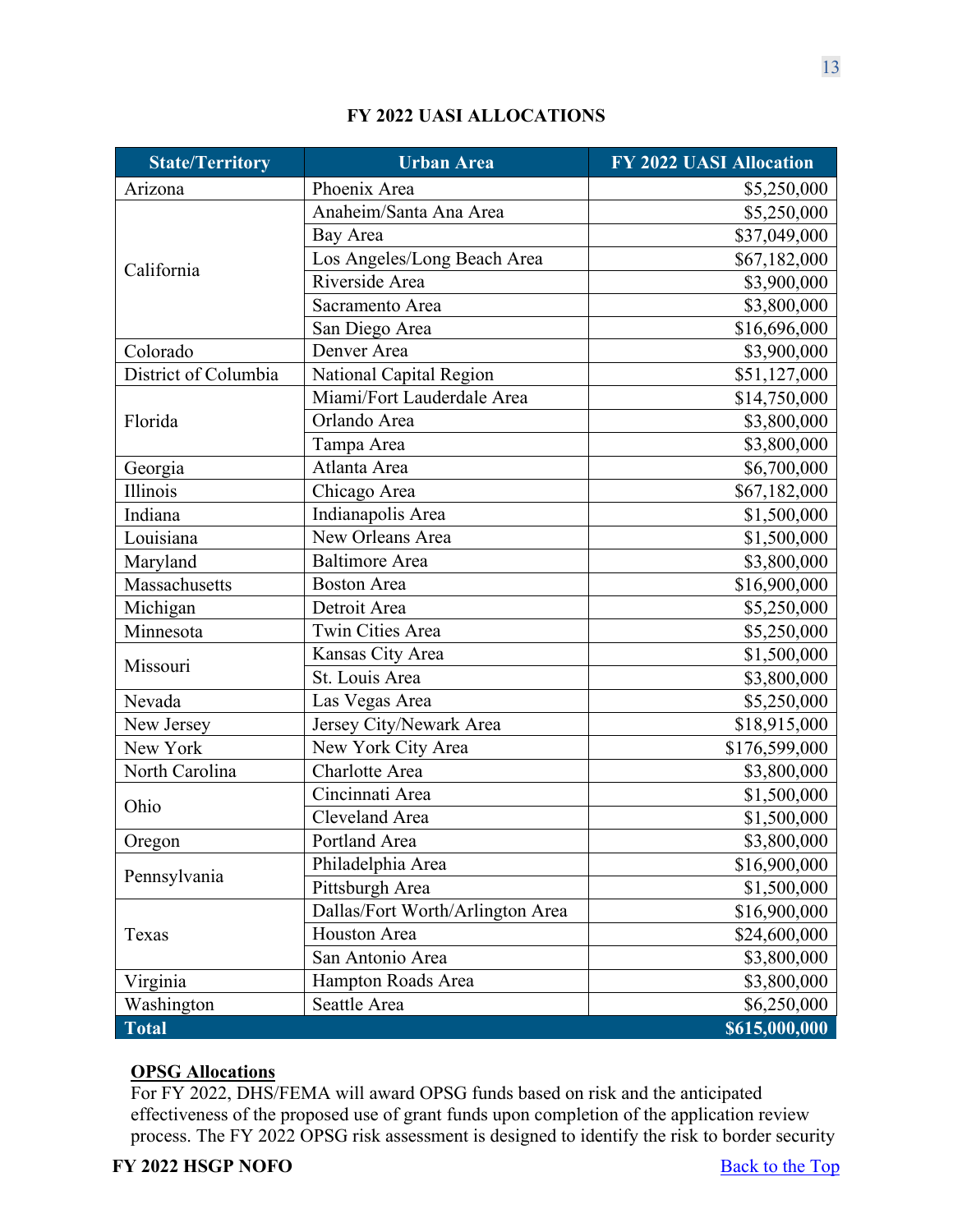| <b>State/Territory</b>              | <b>Urban Area</b>                | <b>FY 2022 UASI Allocation</b> |
|-------------------------------------|----------------------------------|--------------------------------|
| Arizona                             | Phoenix Area                     | \$5,250,000                    |
|                                     | Anaheim/Santa Ana Area           | \$5,250,000                    |
|                                     | Bay Area                         | \$37,049,000                   |
|                                     | Los Angeles/Long Beach Area      | \$67,182,000                   |
| California                          | Riverside Area                   | \$3,900,000                    |
|                                     | Sacramento Area                  | \$3,800,000                    |
|                                     | San Diego Area                   | \$16,696,000                   |
| Colorado                            | Denver Area                      | \$3,900,000                    |
| District of Columbia                | National Capital Region          | \$51,127,000                   |
|                                     | Miami/Fort Lauderdale Area       | \$14,750,000                   |
| Florida                             | Orlando Area                     | \$3,800,000                    |
|                                     | Tampa Area                       | \$3,800,000                    |
| Georgia                             | Atlanta Area                     | \$6,700,000                    |
| Illinois                            | Chicago Area                     | \$67,182,000                   |
| Indiana                             | Indianapolis Area                | \$1,500,000                    |
| Louisiana                           | New Orleans Area                 | \$1,500,000                    |
| <b>Baltimore</b> Area<br>Maryland   |                                  | \$3,800,000                    |
| Massachusetts<br><b>Boston Area</b> |                                  | \$16,900,000                   |
| Michigan<br>Detroit Area            |                                  | \$5,250,000                    |
| Minnesota                           | <b>Twin Cities Area</b>          | \$5,250,000                    |
| Missouri                            | Kansas City Area                 | \$1,500,000                    |
|                                     | St. Louis Area                   | \$3,800,000                    |
| Nevada                              | Las Vegas Area                   | \$5,250,000                    |
| New Jersey                          | Jersey City/Newark Area          | \$18,915,000                   |
| New York                            | New York City Area               | \$176,599,000                  |
| North Carolina                      | Charlotte Area                   | \$3,800,000                    |
| Ohio                                | Cincinnati Area                  | \$1,500,000                    |
|                                     | Cleveland Area                   | \$1,500,000                    |
| Oregon                              | Portland Area                    | \$3,800,000                    |
|                                     | Philadelphia Area                | \$16,900,000                   |
| Pennsylvania                        | Pittsburgh Area                  | \$1,500,000                    |
|                                     | Dallas/Fort Worth/Arlington Area | \$16,900,000                   |
| Texas                               | Houston Area                     | \$24,600,000                   |
|                                     | San Antonio Area                 | \$3,800,000                    |
| Virginia                            | Hampton Roads Area               | \$3,800,000                    |
| Seattle Area<br>Washington          |                                  | \$6,250,000                    |
| <b>Total</b>                        |                                  | \$615,000,000                  |

# **FY 2022 UASI ALLOCATIONS**

# **OPSG Allocations**

For FY 2022, DHS/FEMA will award OPSG funds based on risk and the anticipated effectiveness of the proposed use of grant funds upon completion of the application review process. The FY 2022 OPSG risk assessment is designed to identify the risk to border security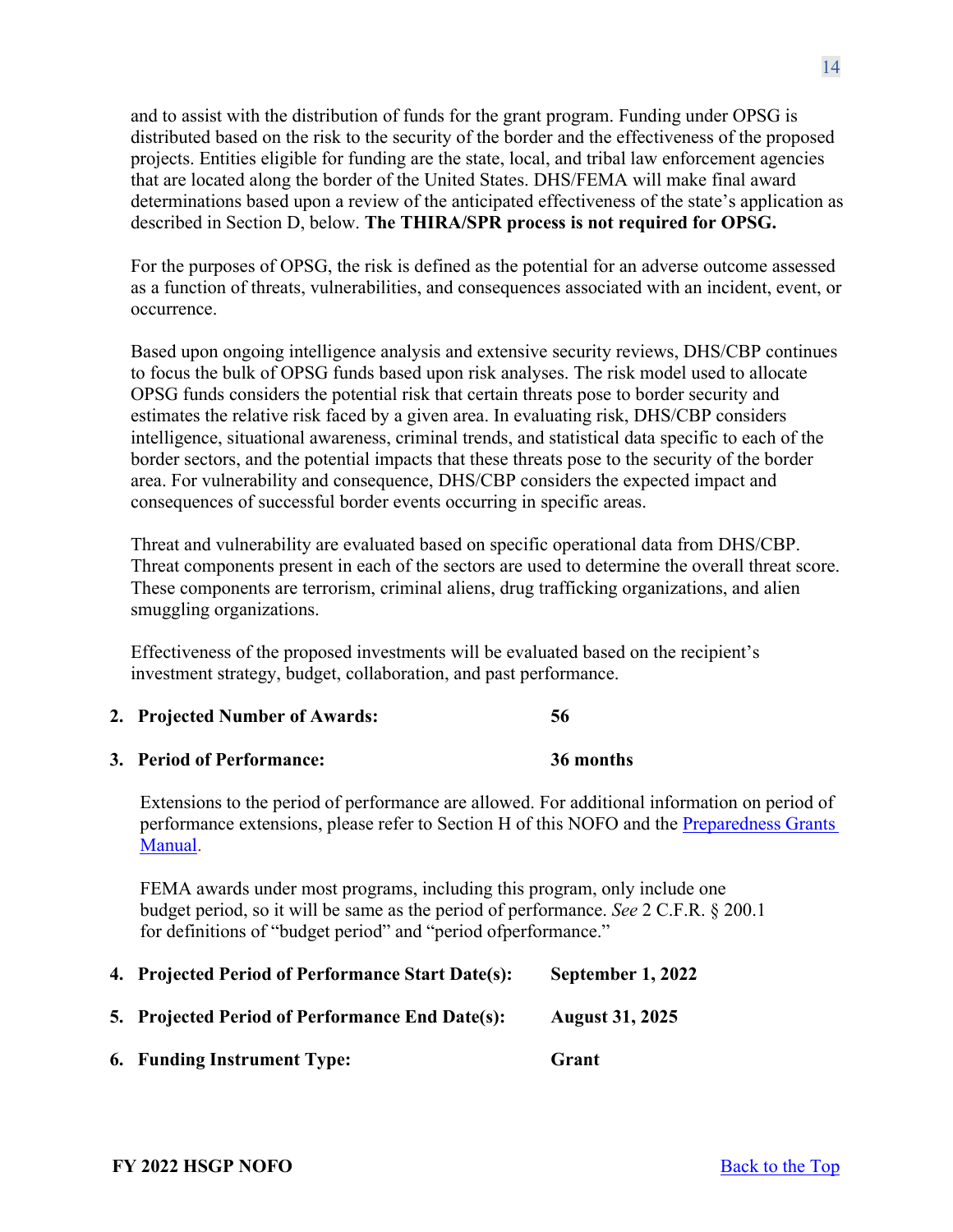and to assist with the distribution of funds for the grant program. Funding under OPSG is distributed based on the risk to the security of the border and the effectiveness of the proposed projects. Entities eligible for funding are the state, local, and tribal law enforcement agencies that are located along the border of the United States. DHS/FEMA will make final award determinations based upon a review of the anticipated effectiveness of the state's application as described in Section D, below. **The THIRA/SPR process is not required for OPSG.**

For the purposes of OPSG, the risk is defined as the potential for an adverse outcome assessed as a function of threats, vulnerabilities, and consequences associated with an incident, event, or occurrence.

Based upon ongoing intelligence analysis and extensive security reviews, DHS/CBP continues to focus the bulk of OPSG funds based upon risk analyses. The risk model used to allocate OPSG funds considers the potential risk that certain threats pose to border security and estimates the relative risk faced by a given area. In evaluating risk, DHS/CBP considers intelligence, situational awareness, criminal trends, and statistical data specific to each of the border sectors, and the potential impacts that these threats pose to the security of the border area. For vulnerability and consequence, DHS/CBP considers the expected impact and consequences of successful border events occurring in specific areas.

Threat and vulnerability are evaluated based on specific operational data from DHS/CBP. Threat components present in each of the sectors are used to determine the overall threat score. These components are terrorism, criminal aliens, drug trafficking organizations, and alien smuggling organizations.

Effectiveness of the proposed investments will be evaluated based on the recipient's investment strategy, budget, collaboration, and past performance.

- <span id="page-13-0"></span>**2. Projected Number of Awards: 56**
- <span id="page-13-1"></span>**3. Period of Performance: 36 months**

Extensions to the period of performance are allowed. For additional information on period of performance extensions, please refer to Section H of this NOFO and the [Preparedness Grants](https://www.fema.gov/media-library/assets/documents/178291)  [Manual.](https://www.fema.gov/media-library/assets/documents/178291)

FEMA awards under most programs, including this program, only include one budget period, so it will be same as the period of performance. *See* 2 C.F.R. § 200.1 for definitions of "budget period" and "period ofperformance."

- <span id="page-13-2"></span>**4. Projected Period of Performance Start Date(s): September 1, 2022**
- <span id="page-13-3"></span>**5. Projected Period of Performance End Date(s): August 31, 2025**
- <span id="page-13-4"></span>**6. Funding Instrument Type: Grant**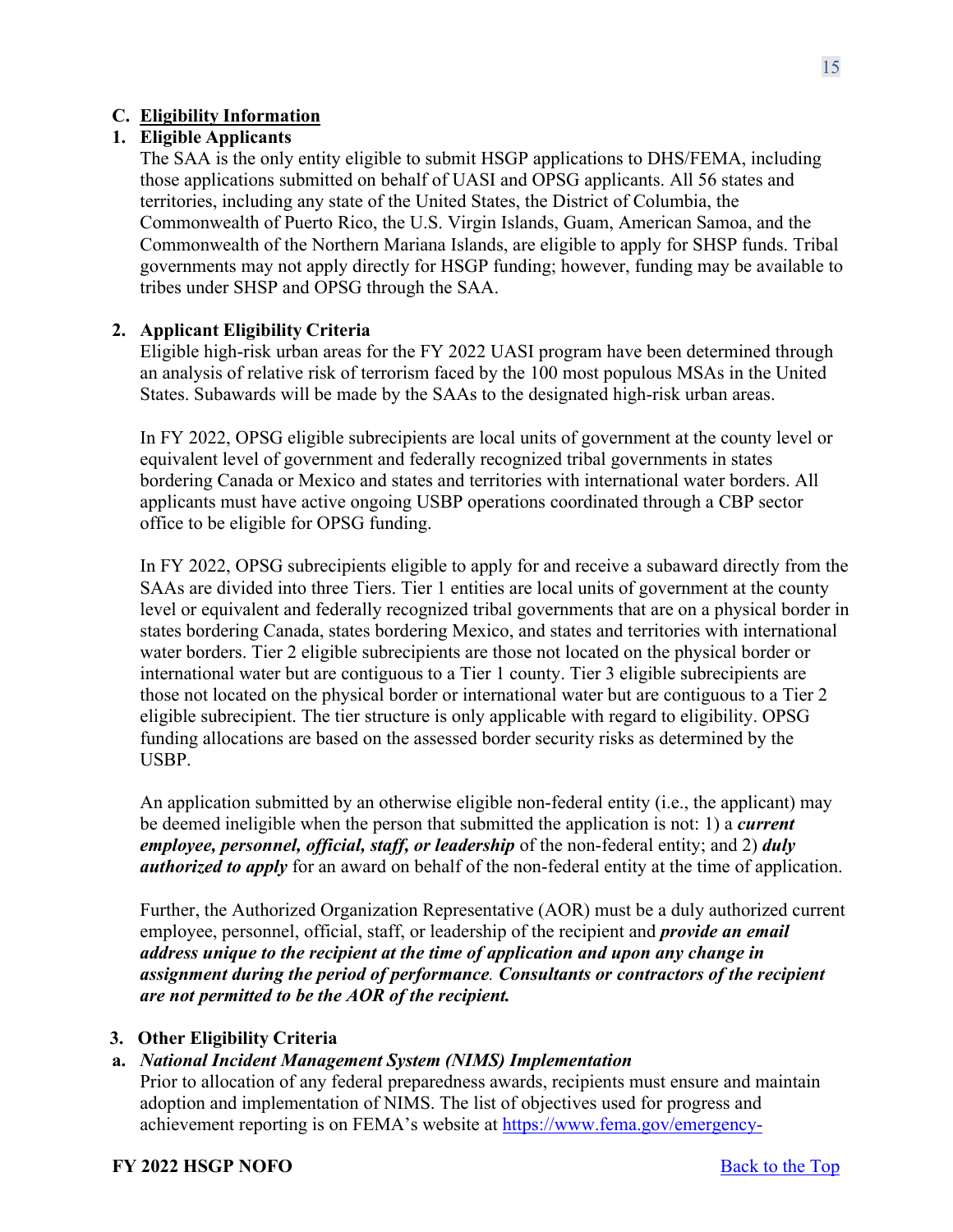# <span id="page-14-0"></span>**C. Eligibility Information**

# <span id="page-14-1"></span>**1. Eligible Applicants**

The SAA is the only entity eligible to submit HSGP applications to DHS/FEMA, including those applications submitted on behalf of UASI and OPSG applicants. All 56 states and territories, including any state of the United States, the District of Columbia, the Commonwealth of Puerto Rico, the U.S. Virgin Islands, Guam, American Samoa, and the Commonwealth of the Northern Mariana Islands, are eligible to apply for SHSP funds. Tribal governments may not apply directly for HSGP funding; however, funding may be available to tribes under SHSP and OPSG through the SAA.

### <span id="page-14-2"></span>**2. Applicant Eligibility Criteria**

Eligible high-risk urban areas for the FY 2022 UASI program have been determined through an analysis of relative risk of terrorism faced by the 100 most populous MSAs in the United States. Subawards will be made by the SAAs to the designated high-risk urban areas.

In FY 2022, OPSG eligible subrecipients are local units of government at the county level or equivalent level of government and federally recognized tribal governments in states bordering Canada or Mexico and states and territories with international water borders. All applicants must have active ongoing USBP operations coordinated through a CBP sector office to be eligible for OPSG funding.

In FY 2022, OPSG subrecipients eligible to apply for and receive a subaward directly from the SAAs are divided into three Tiers. Tier 1 entities are local units of government at the county level or equivalent and federally recognized tribal governments that are on a physical border in states bordering Canada, states bordering Mexico, and states and territories with international water borders. Tier 2 eligible subrecipients are those not located on the physical border or international water but are contiguous to a Tier 1 county. Tier 3 eligible subrecipients are those not located on the physical border or international water but are contiguous to a Tier 2 eligible subrecipient. The tier structure is only applicable with regard to eligibility. OPSG funding allocations are based on the assessed border security risks as determined by the USBP.

An application submitted by an otherwise eligible non-federal entity (i.e., the applicant) may be deemed ineligible when the person that submitted the application is not: 1) a *current employee, personnel, official, staff, or leadership* of the non-federal entity; and 2) *duly authorized to apply* for an award on behalf of the non-federal entity at the time of application.

Further, the Authorized Organization Representative (AOR) must be a duly authorized current employee, personnel, official, staff, or leadership of the recipient and *provide an email address unique to the recipient at the time of application and upon any change in assignment during the period of performance. Consultants or contractors of the recipient are not permitted to be the AOR of the recipient.*

### <span id="page-14-3"></span>**3. Other Eligibility Criteria**

# **a.** *National Incident Management System (NIMS) Implementation*

Prior to allocation of any federal preparedness awards, recipients must ensure and maintain adoption and implementation of NIMS. The list of objectives used for progress and achievement reporting is on FEMA's website at [https://www.fema.gov/emergency-](https://www.fema.gov/emergency-managers/nims/implementation-training)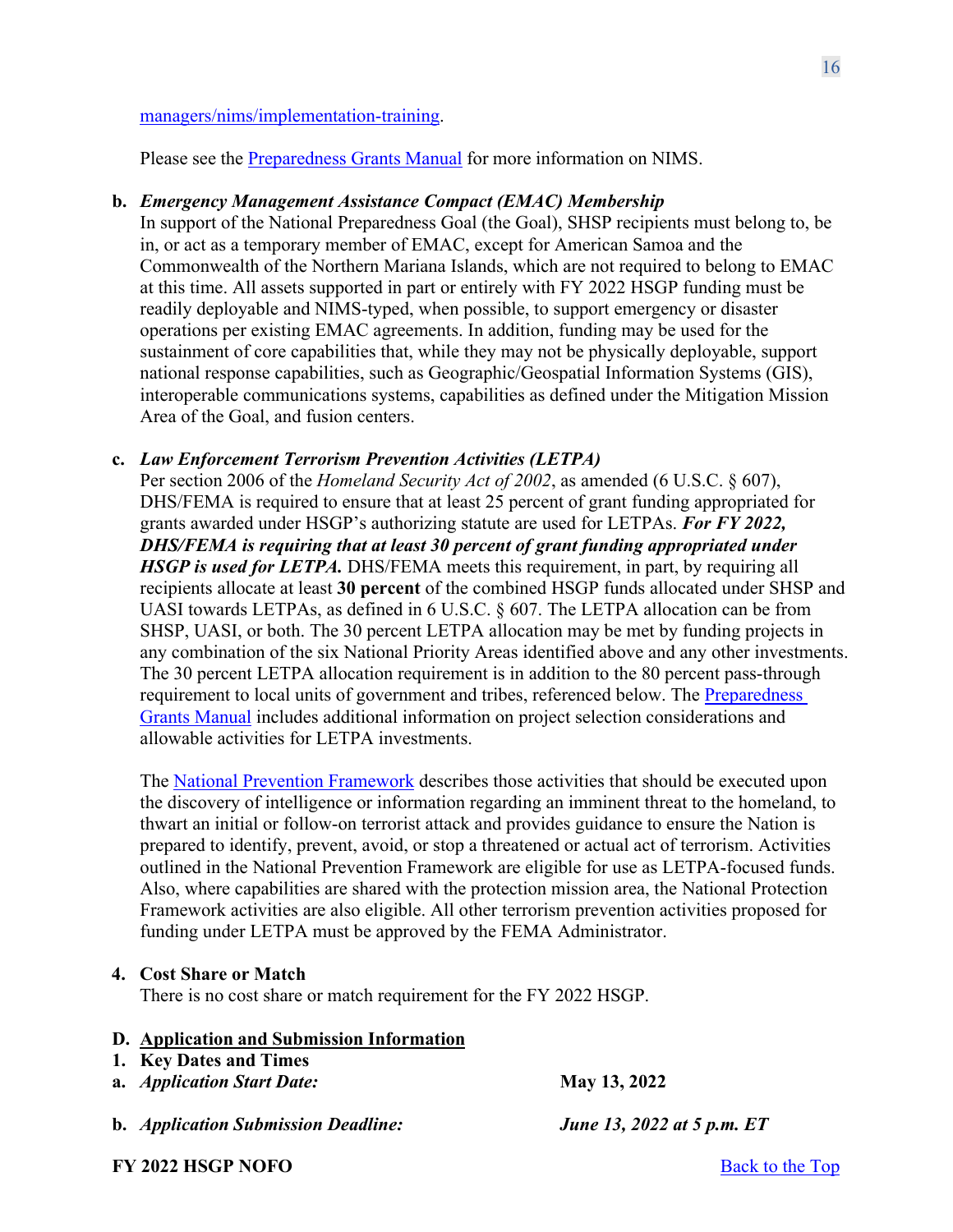#### [managers/nims/implementation-training.](https://www.fema.gov/emergency-managers/nims/implementation-training)

Please see the [Preparedness](https://www.fema.gov/media-library/assets/documents/178291) Grants Manual for more information on NIMS.

#### **b.** *Emergency Management Assistance Compact (EMAC) Membership*

In support of the National Preparedness Goal (the Goal), SHSP recipients must belong to, be in, or act as a temporary member of EMAC, except for American Samoa and the Commonwealth of the Northern Mariana Islands, which are not required to belong to EMAC at this time. All assets supported in part or entirely with FY 2022 HSGP funding must be readily deployable and NIMS-typed, when possible, to support emergency or disaster operations per existing EMAC agreements. In addition, funding may be used for the sustainment of core capabilities that, while they may not be physically deployable, support national response capabilities, such as Geographic/Geospatial Information Systems (GIS), interoperable communications systems, capabilities as defined under the Mitigation Mission Area of the Goal, and fusion centers.

#### **c.** *Law Enforcement Terrorism Prevention Activities (LETPA)*

Per section 2006 of the *Homeland Security Act of 2002*, as amended (6 U.S.C. § 607), DHS/FEMA is required to ensure that at least 25 percent of grant funding appropriated for grants awarded under HSGP's authorizing statute are used for LETPAs. *For FY 2022, DHS/FEMA is requiring that at least 30 percent of grant funding appropriated under HSGP is used for LETPA.* DHS/FEMA meets this requirement, in part, by requiring all recipients allocate at least **30 percent** of the combined HSGP funds allocated under SHSP and UASI towards LETPAs, as defined in 6 U.S.C. § 607. The LETPA allocation can be from SHSP, UASI, or both. The 30 percent LETPA allocation may be met by funding projects in any combination of the six National Priority Areas identified above and any other investments. The 30 percent LETPA allocation requirement is in addition to the 80 percent pass-through requirement to local units of government and tribes, referenced below. The [Preparedness](https://www.fema.gov/media-library/assets/documents/178291)  [Grants Manual](https://www.fema.gov/media-library/assets/documents/178291) includes additional information on project selection considerations and allowable activities for LETPA investments.

The [National Prevention Framework](https://www.fema.gov/sites/default/files/2020-04/National_Prevention_Framework2nd-june2016.pdf) describes those activities that should be executed upon the discovery of intelligence or information regarding an imminent threat to the homeland, to thwart an initial or follow-on terrorist attack and provides guidance to ensure the Nation is prepared to identify, prevent, avoid, or stop a threatened or actual act of terrorism. Activities outlined in the National Prevention Framework are eligible for use as LETPA-focused funds. Also, where capabilities are shared with the protection mission area, the National Protection Framework activities are also eligible. All other terrorism prevention activities proposed for funding under LETPA must be approved by the FEMA Administrator.

#### <span id="page-15-0"></span>**4. Cost Share or Match**

There is no cost share or match requirement for the FY 2022 HSGP.

<span id="page-15-2"></span><span id="page-15-1"></span>

| D. Application and Submission Information |              |
|-------------------------------------------|--------------|
| 1. Key Dates and Times                    |              |
| a. <i>Application Start Date:</i>         | May 13, 2022 |
|                                           |              |

**b.** *Application Submission Deadline: June 13, 2022 at 5 p.m. ET*

**FY** 2022 **HSGP NOFO** Back to the Top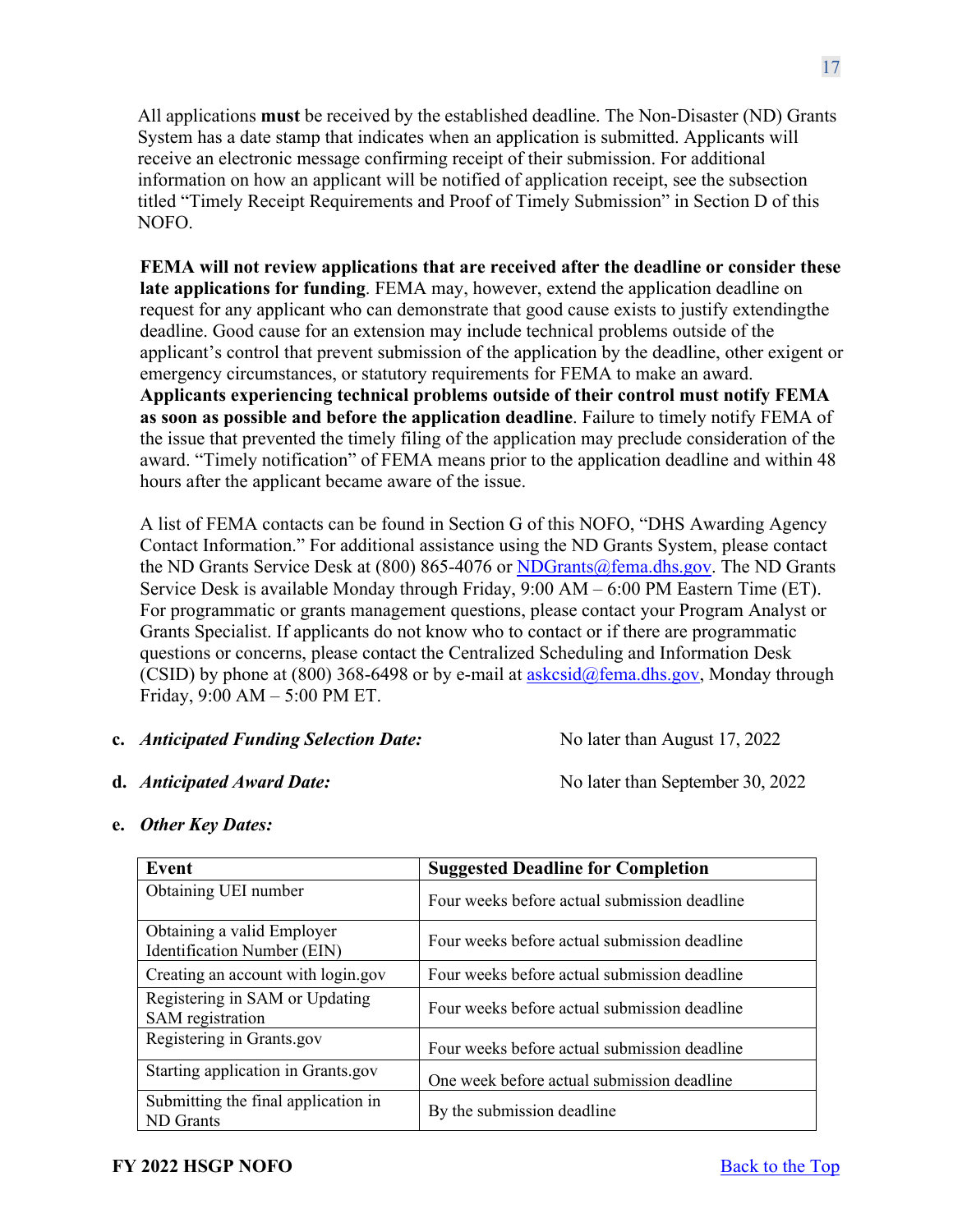All applications **must** be received by the established deadline. The Non-Disaster (ND) Grants System has a date stamp that indicates when an application is submitted. Applicants will receive an electronic message confirming receipt of their submission. For additional information on how an applicant will be notified of application receipt, see the subsection titled "Timely Receipt Requirements and Proof of Timely Submission" in Section D of this NOFO.

**FEMA will not review applications that are received after the deadline or consider these late applications for funding**. FEMA may, however, extend the application deadline on request for any applicant who can demonstrate that good cause exists to justify extendingthe deadline. Good cause for an extension may include technical problems outside of the applicant's control that prevent submission of the application by the deadline, other exigent or emergency circumstances, or statutory requirements for FEMA to make an award. **Applicants experiencing technical problems outside of their control must notify FEMA as soon as possible and before the application deadline**. Failure to timely notify FEMA of the issue that prevented the timely filing of the application may preclude consideration of the award. "Timely notification" of FEMA means prior to the application deadline and within 48 hours after the applicant became aware of the issue.

A list of FEMA contacts can be found in Section G of this NOFO, "DHS Awarding Agency Contact Information." For additional assistance using the ND Grants System, please contact the ND Grants Service Desk at (800) 865-4076 or [NDGrants@fema.dhs.gov.](mailto:NDGrants@fema.dhs.gov) The ND Grants Service Desk is available Monday through Friday, 9:00 AM – 6:00 PM Eastern Time (ET). For programmatic or grants management questions, please contact your Program Analyst or Grants Specialist. If applicants do not know who to contact or if there are programmatic questions or concerns, please contact the Centralized Scheduling and Information Desk (CSID) by phone at (800) 368-6498 or by e-mail at  $askcsid@fema.dhs.gov$ , Monday through Friday, 9:00 AM – 5:00 PM ET.

### **c.** *Anticipated Funding Selection Date:* No later than August 17, 2022

**d.** *Anticipated Award Date:* No later than September 30, 2022

**e.** *Other Key Dates:*

| Event                                                     | <b>Suggested Deadline for Completion</b>     |
|-----------------------------------------------------------|----------------------------------------------|
| Obtaining UEI number                                      | Four weeks before actual submission deadline |
| Obtaining a valid Employer<br>Identification Number (EIN) | Four weeks before actual submission deadline |
| Creating an account with login.gov                        | Four weeks before actual submission deadline |
| Registering in SAM or Updating<br>SAM registration        | Four weeks before actual submission deadline |
| Registering in Grants.gov                                 | Four weeks before actual submission deadline |
| Starting application in Grants.gov                        | One week before actual submission deadline   |
| Submitting the final application in<br><b>ND</b> Grants   | By the submission deadline                   |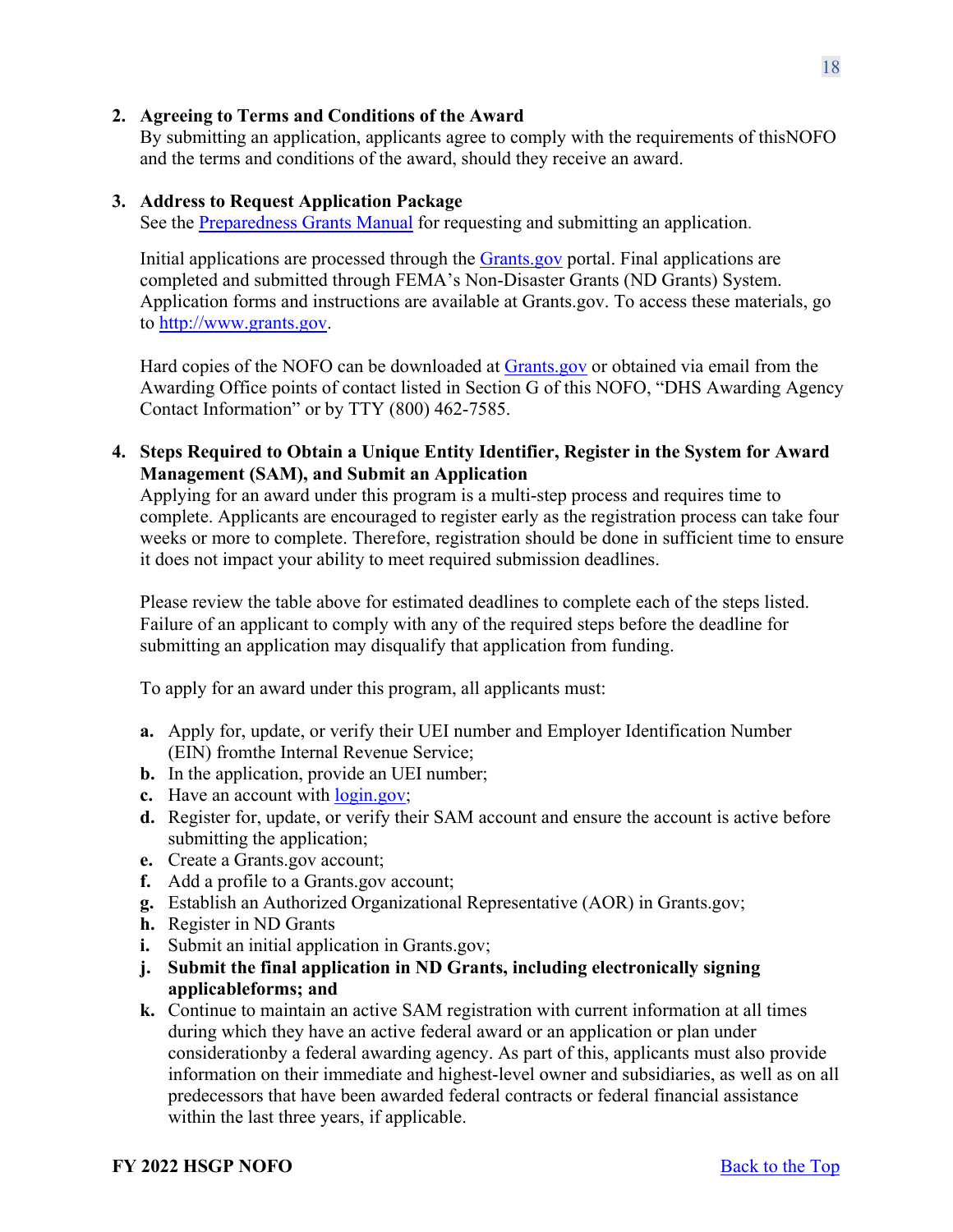### <span id="page-17-0"></span>**2. Agreeing to Terms and Conditions of the Award**

By submitting an application, applicants agree to comply with the requirements of thisNOFO and the terms and conditions of the award, should they receive an award.

### <span id="page-17-1"></span>**3. Address to Request Application Package**

See the [Preparedness](https://www.fema.gov/media-library/assets/documents/178291) Grants Manual for requesting and submitting an application.

Initial applications are processed through the [Grants.gov](https://www.grants.gov/) portal. Final applications are completed and submitted through FEMA's Non-Disaster Grants (ND Grants) System. Application forms and instructions are available at Grants.gov. To access these materials, go to [http://www.grants.gov.](http://www.grants.gov/)

Hard copies of the NOFO can be downloaded at [Grants.gov](https://www.grants.gov/) or obtained via email from the Awarding Office points of contact listed in Section G of this NOFO, "DHS Awarding Agency Contact Information" or by TTY (800) 462-7585.

<span id="page-17-2"></span>**4. Steps Required to Obtain a Unique Entity Identifier, Register in the System for Award Management (SAM), and Submit an Application**

Applying for an award under this program is a multi-step process and requires time to complete. Applicants are encouraged to register early as the registration process can take four weeks or more to complete. Therefore, registration should be done in sufficient time to ensure it does not impact your ability to meet required submission deadlines.

Please review the table above for estimated deadlines to complete each of the steps listed. Failure of an applicant to comply with any of the required steps before the deadline for submitting an application may disqualify that application from funding.

To apply for an award under this program, all applicants must:

- **a.** Apply for, update, or verify their UEI number and Employer Identification Number (EIN) fromthe Internal Revenue Service;
- **b.** In the application, provide an UEI number;
- **c.** Have an account with  $login.gov$ ;
- **d.** Register for, update, or verify their SAM account and ensure the account is active before submitting the application;
- **e.** Create a Grants.gov account;
- **f.** Add a profile to a Grants.gov account;
- **g.** Establish an Authorized Organizational Representative (AOR) in Grants.gov;
- **h.** Register in ND Grants
- **i.** Submit an initial application in Grants.gov;
- **j. Submit the final application in ND Grants, including electronically signing applicableforms; and**
- **k.** Continue to maintain an active SAM registration with current information at all times during which they have an active federal award or an application or plan under considerationby a federal awarding agency. As part of this, applicants must also provide information on their immediate and highest-level owner and subsidiaries, as well as on all predecessors that have been awarded federal contracts or federal financial assistance within the last three years, if applicable.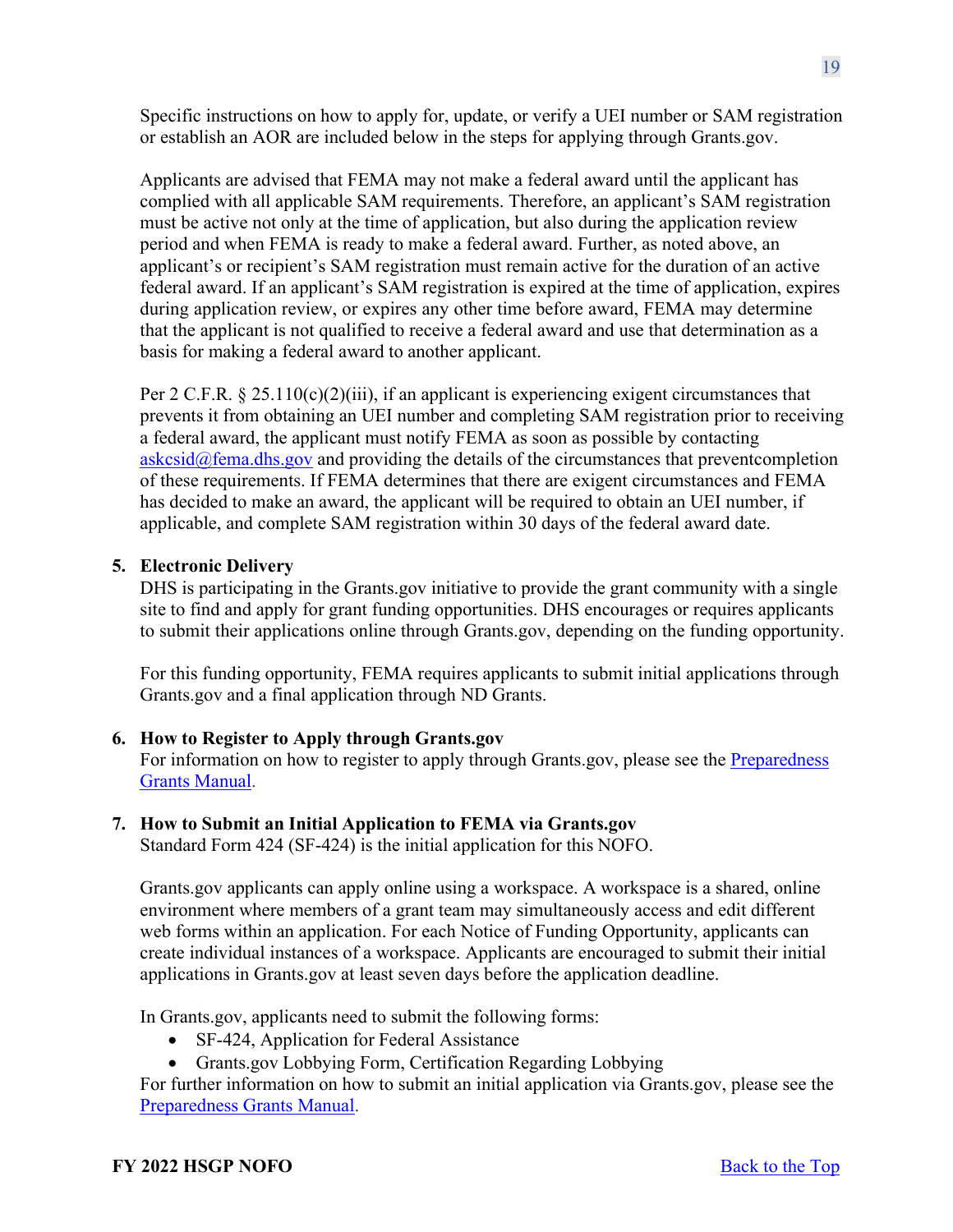Specific instructions on how to apply for, update, or verify a UEI number or SAM registration or establish an AOR are included below in the steps for applying through Grants.gov.

Applicants are advised that FEMA may not make a federal award until the applicant has complied with all applicable SAM requirements. Therefore, an applicant's SAM registration must be active not only at the time of application, but also during the application review period and when FEMA is ready to make a federal award. Further, as noted above, an applicant's or recipient's SAM registration must remain active for the duration of an active federal award. If an applicant's SAM registration is expired at the time of application, expires during application review, or expires any other time before award, FEMA may determine that the applicant is not qualified to receive a federal award and use that determination as a basis for making a federal award to another applicant.

Per 2 C.F.R. § 25.110(c)(2)(iii), if an applicant is experiencing exigent circumstances that prevents it from obtaining an UEI number and completing SAM registration prior to receiving a federal award, the applicant must notify FEMA as soon as possible by contacting  $askcsid@fema.dhs.gov$  and providing the details of the circumstances that prevent completion of these requirements. If FEMA determines that there are exigent circumstances and FEMA has decided to make an award, the applicant will be required to obtain an UEI number, if applicable, and complete SAM registration within 30 days of the federal award date.

# <span id="page-18-0"></span>**5. Electronic Delivery**

DHS is participating in the Grants.gov initiative to provide the grant community with a single site to find and apply for grant funding opportunities. DHS encourages or requires applicants to submit their applications online through Grants.gov, depending on the funding opportunity.

For this funding opportunity, FEMA requires applicants to submit initial applications through Grants.gov and a final application through ND Grants.

# <span id="page-18-1"></span>**6. How to Register to Apply through Grants.gov**

For information on how to register to apply through Grants.gov, please see the [Preparedness](https://www.fema.gov/media-library/assets/documents/178291) Grants [Manual.](https://www.fema.gov/media-library/assets/documents/178291)

### <span id="page-18-2"></span>**7. How to Submit an Initial Application to FEMA via Grants.gov**

Standard Form 424 (SF-424) is the initial application for this NOFO.

Grants.gov applicants can apply online using a workspace. A workspace is a shared, online environment where members of a grant team may simultaneously access and edit different web forms within an application. For each Notice of Funding Opportunity, applicants can create individual instances of a workspace. Applicants are encouraged to submit their initial applications in Grants.gov at least seven days before the application deadline.

In Grants.gov, applicants need to submit the following forms:

- SF-424, Application for Federal Assistance
- Grants.gov Lobbying Form, Certification Regarding Lobbying

For further information on how to submit an initial application via Grants.gov, please see the Preparedness [Grants Manual.](https://www.fema.gov/media-library/assets/documents/178291)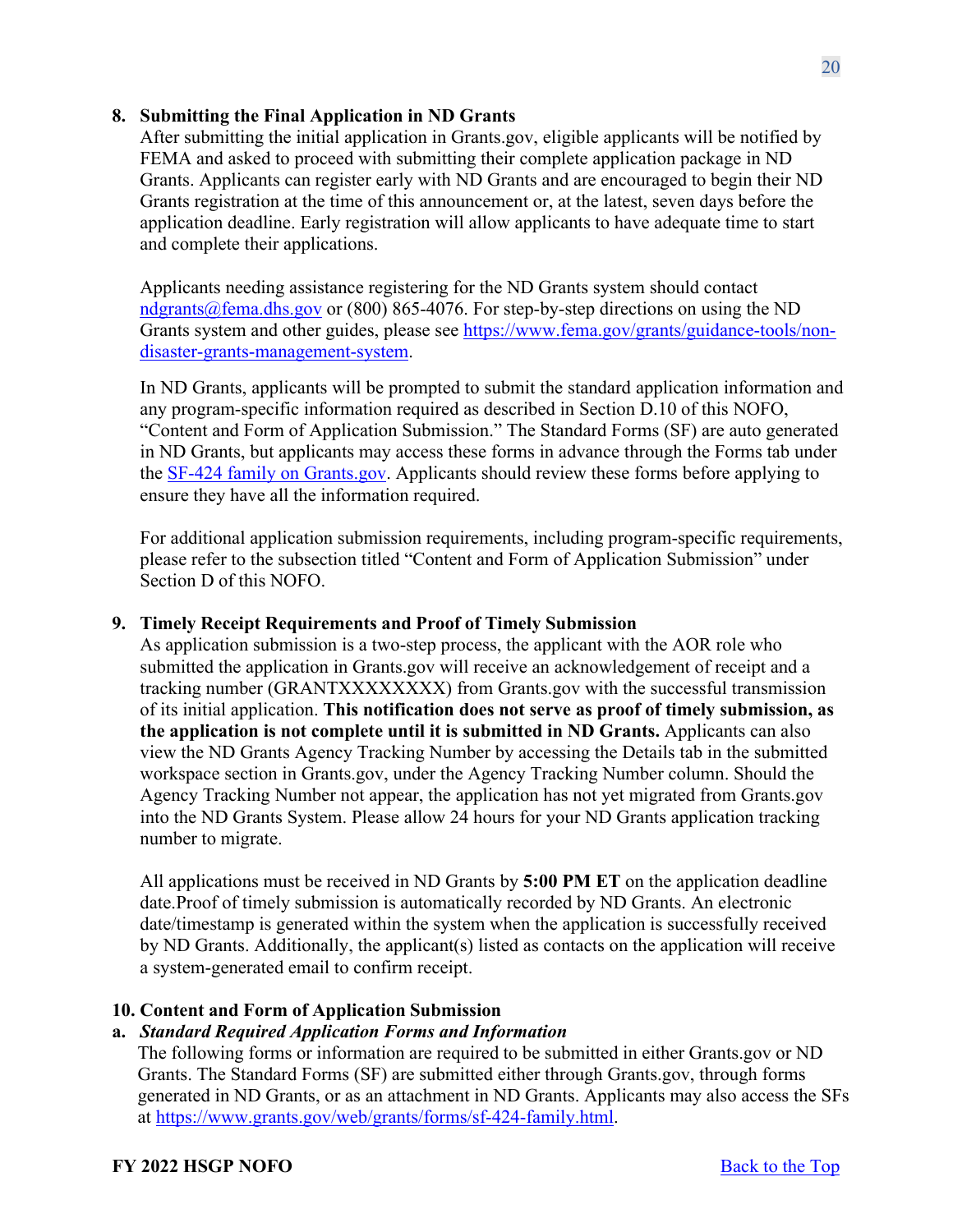### <span id="page-19-0"></span>**8. Submitting the Final Application in ND Grants**

After submitting the initial application in Grants.gov, eligible applicants will be notified by FEMA and asked to proceed with submitting their complete application package in ND Grants. Applicants can register early with ND Grants and are encouraged to begin their ND Grants registration at the time of this announcement or, at the latest, seven days before the application deadline. Early registration will allow applicants to have adequate time to start and complete their applications.

Applicants needing assistance registering for the ND Grants system should contact [ndgrants@fema.dhs.gov](mailto:ndgrants@fema.dhs.gov) or (800) 865-4076. For step-by-step directions on using the ND Grants system and other guides, please see [https://www.fema.gov/grants/guidance-tools/non](https://www.fema.gov/grants/guidance-tools/non-disaster-grants-management-system)[disaster-grants-management-system.](https://www.fema.gov/grants/guidance-tools/non-disaster-grants-management-system)

In ND Grants, applicants will be prompted to submit the standard application information and any program-specific information required as described in Section D.10 of this NOFO, "Content and Form of Application Submission." The Standard Forms (SF) are auto generated in ND Grants, but applicants may access these forms in advance through the Forms tab under the [SF-424 family on Grants.gov.](https://www.grants.gov/forms/sf-424-family.html) Applicants should review these forms before applying to ensure they have all the information required.

For additional application submission requirements, including program-specific requirements, please refer to the subsection titled "Content and Form of Application Submission" under Section D of this NOFO.

### <span id="page-19-1"></span>**9. Timely Receipt Requirements and Proof of Timely Submission**

As application submission is a two-step process, the applicant with the AOR role who submitted the application in Grants.gov will receive an acknowledgement of receipt and a tracking number (GRANTXXXXXXXX) from Grants.gov with the successful transmission of its initial application. **This notification does not serve as proof of timely submission, as the application is not complete until it is submitted in ND Grants.** Applicants can also view the ND Grants Agency Tracking Number by accessing the Details tab in the submitted workspace section in Grants.gov, under the Agency Tracking Number column. Should the Agency Tracking Number not appear, the application has not yet migrated from Grants.gov into the ND Grants System. Please allow 24 hours for your ND Grants application tracking number to migrate.

All applications must be received in ND Grants by **5:00 PM ET** on the application deadline date.Proof of timely submission is automatically recorded by ND Grants. An electronic date/timestamp is generated within the system when the application is successfully received by ND Grants. Additionally, the applicant(s) listed as contacts on the application will receive a system-generated email to confirm receipt.

### <span id="page-19-2"></span>**10. Content and Form of Application Submission**

### **a.** *Standard Required Application Forms and Information*

The following forms or information are required to be submitted in either Grants.gov or ND Grants. The Standard Forms (SF) are submitted either through Grants.gov, through forms generated in ND Grants, or as an attachment in ND Grants. Applicants may also access the SFs at [https://www.grants.gov/web/grants/forms/sf-424-family.html.](https://www.grants.gov/web/grants/forms/sf-424-family.html)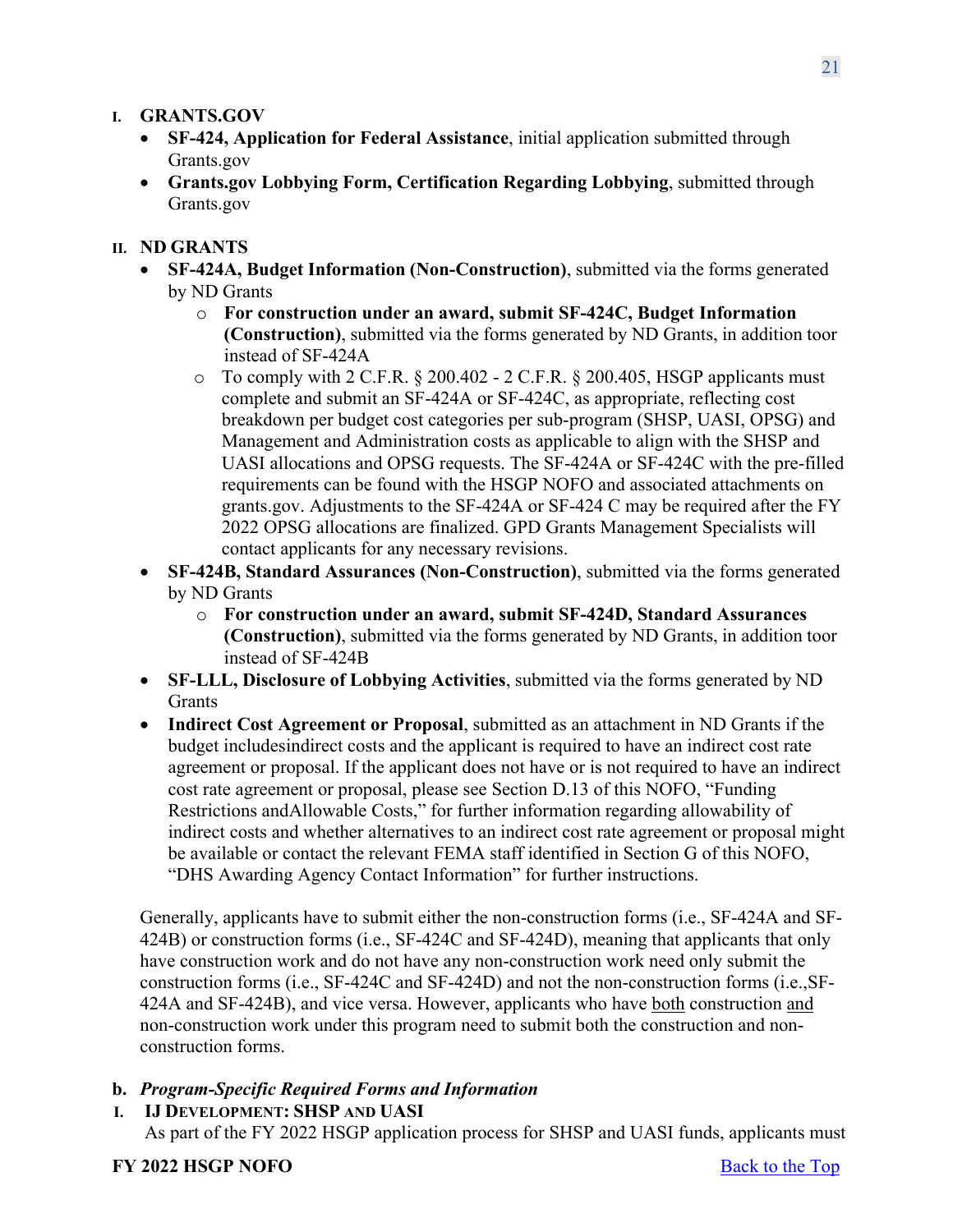### **I. GRANTS.GOV**

- **SF-424, Application for Federal Assistance**, initial application submitted through Grants.gov
- **Grants.gov Lobbying Form, Certification Regarding Lobbying**, submitted through Grants.gov

### **II. ND GRANTS**

- **SF-424A, Budget Information (Non-Construction)**, submitted via the forms generated by ND Grants
	- o **For construction under an award, submit SF-424C, Budget Information (Construction)**, submitted via the forms generated by ND Grants, in addition toor instead of SF-424A
	- $\circ$  To comply with 2 C.F.R. § 200.402 2 C.F.R. § 200.405, HSGP applicants must complete and submit an SF-424A or SF-424C, as appropriate, reflecting cost breakdown per budget cost categories per sub-program (SHSP, UASI, OPSG) and Management and Administration costs as applicable to align with the SHSP and UASI allocations and OPSG requests. The SF-424A or SF-424C with the pre-filled requirements can be found with the HSGP NOFO and associated attachments on grants.gov. Adjustments to the SF-424A or SF-424 C may be required after the FY 2022 OPSG allocations are finalized. GPD Grants Management Specialists will contact applicants for any necessary revisions.
- **SF-424B, Standard Assurances (Non-Construction)**, submitted via the forms generated by ND Grants
	- o **For construction under an award, submit SF-424D, Standard Assurances (Construction)**, submitted via the forms generated by ND Grants, in addition toor instead of SF-424B
- **SF-LLL, Disclosure of Lobbying Activities**, submitted via the forms generated by ND **Grants**
- **Indirect Cost Agreement or Proposal**, submitted as an attachment in ND Grants if the budget includesindirect costs and the applicant is required to have an indirect cost rate agreement or proposal. If the applicant does not have or is not required to have an indirect cost rate agreement or proposal, please see Section D.13 of this NOFO, "Funding Restrictions andAllowable Costs," for further information regarding allowability of indirect costs and whether alternatives to an indirect cost rate agreement or proposal might be available or contact the relevant FEMA staff identified in Section G of this NOFO, "DHS Awarding Agency Contact Information" for further instructions.

Generally, applicants have to submit either the non-construction forms (i.e., SF-424A and SF-424B) or construction forms (i.e., SF-424C and SF-424D), meaning that applicants that only have construction work and do not have any non-construction work need only submit the construction forms (i.e., SF-424C and SF-424D) and not the non-construction forms (i.e.,SF-424A and SF-424B), and vice versa. However, applicants who have both construction and non-construction work under this program need to submit both the construction and nonconstruction forms.

# **b.** *Program-Specific Required Forms and Information*

**I. IJ DEVELOPMENT: SHSP AND UASI**

As part of the FY 2022 HSGP application process for SHSP and UASI funds, applicants must

### **FY** 2022 **HSGP NOFO** Back to the Top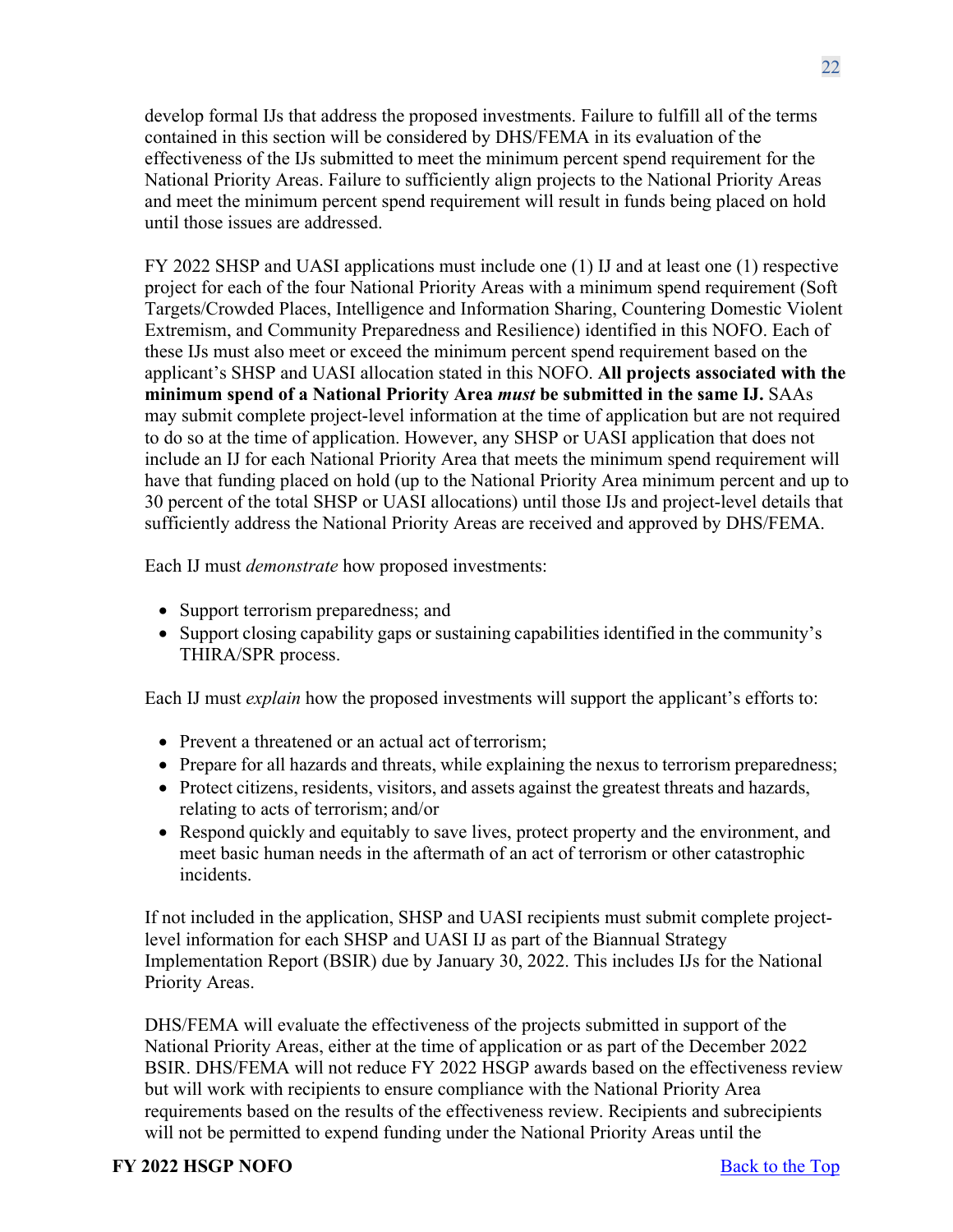develop formal IJs that address the proposed investments. Failure to fulfill all of the terms contained in this section will be considered by DHS/FEMA in its evaluation of the effectiveness of the IJs submitted to meet the minimum percent spend requirement for the National Priority Areas. Failure to sufficiently align projects to the National Priority Areas and meet the minimum percent spend requirement will result in funds being placed on hold until those issues are addressed.

FY 2022 SHSP and UASI applications must include one (1) IJ and at least one (1) respective project for each of the four National Priority Areas with a minimum spend requirement (Soft Targets/Crowded Places, Intelligence and Information Sharing, Countering Domestic Violent Extremism, and Community Preparedness and Resilience) identified in this NOFO. Each of these IJs must also meet or exceed the minimum percent spend requirement based on the applicant's SHSP and UASI allocation stated in this NOFO. **All projects associated with the minimum spend of a National Priority Area** *must* **be submitted in the same IJ.** SAAs may submit complete project-level information at the time of application but are not required to do so at the time of application. However, any SHSP or UASI application that does not include an IJ for each National Priority Area that meets the minimum spend requirement will have that funding placed on hold (up to the National Priority Area minimum percent and up to 30 percent of the total SHSP or UASI allocations) until those IJs and project-level details that sufficiently address the National Priority Areas are received and approved by DHS/FEMA.

Each IJ must *demonstrate* how proposed investments:

- Support terrorism preparedness; and
- Support closing capability gaps or sustaining capabilities identified in the community's THIRA/SPR process.

Each IJ must *explain* how the proposed investments will support the applicant's efforts to:

- Prevent a threatened or an actual act of terrorism;
- Prepare for all hazards and threats, while explaining the nexus to terrorism preparedness;
- Protect citizens, residents, visitors, and assets against the greatest threats and hazards, relating to acts of terrorism; and/or
- Respond quickly and equitably to save lives, protect property and the environment, and meet basic human needs in the aftermath of an act of terrorism or other catastrophic incidents.

If not included in the application, SHSP and UASI recipients must submit complete projectlevel information for each SHSP and UASI IJ as part of the Biannual Strategy Implementation Report (BSIR) due by January 30, 2022. This includes IJs for the National Priority Areas.

DHS/FEMA will evaluate the effectiveness of the projects submitted in support of the National Priority Areas, either at the time of application or as part of the December 2022 BSIR. DHS/FEMA will not reduce FY 2022 HSGP awards based on the effectiveness review but will work with recipients to ensure compliance with the National Priority Area requirements based on the results of the effectiveness review. Recipients and subrecipients will not be permitted to expend funding under the National Priority Areas until the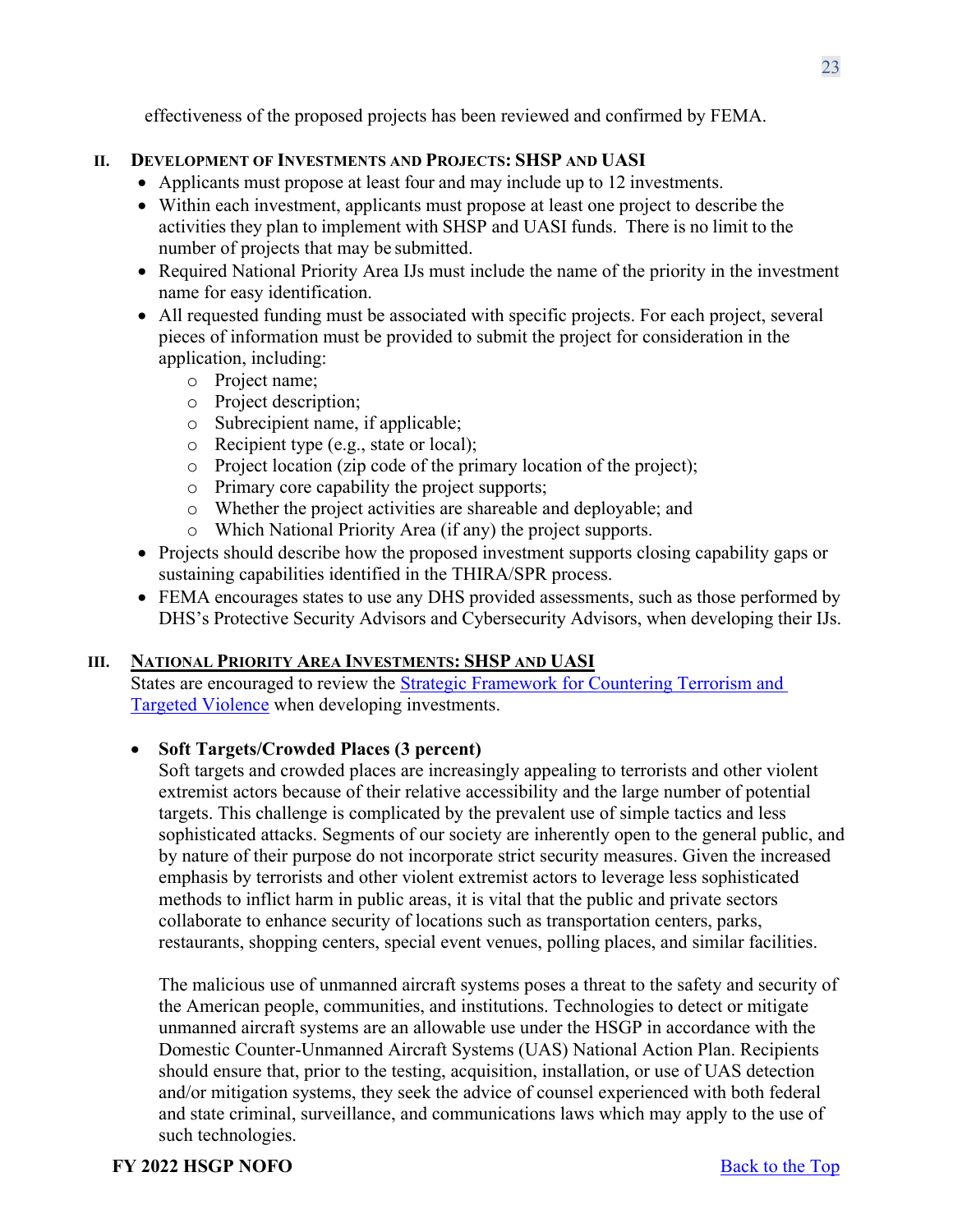effectiveness of the proposed projects has been reviewed and confirmed by FEMA.

### **II. DEVELOPMENT OF INVESTMENTS AND PROJECTS: SHSP AND UASI**

- Applicants must propose at least four and may include up to 12 investments.
- Within each investment, applicants must propose at least one project to describe the activities they plan to implement with SHSP and UASI funds. There is no limit to the number of projects that may be submitted.
- Required National Priority Area IJs must include the name of the priority in the investment name for easy identification.
- All requested funding must be associated with specific projects. For each project, several pieces of information must be provided to submit the project for consideration in the application, including:
	- o Project name;
	- o Project description;
	- o Subrecipient name, if applicable;
	- o Recipient type (e.g., state or local);
	- o Project location (zip code of the primary location of the project);
	- o Primary core capability the project supports;
	- o Whether the project activities are shareable and deployable; and
	- o Which National Priority Area (if any) the project supports.
- Projects should describe how the proposed investment supports closing capability gaps or sustaining capabilities identified in the THIRA/SPR process.
- FEMA encourages states to use any DHS provided assessments, such as those performed by DHS's Protective Security Advisors and Cybersecurity Advisors, when developing their IJs.

# **III. NATIONAL PRIORITY AREA INVESTMENTS: SHSP AND UASI**

States are encouraged to review the [Strategic Framework for Countering Terrorism and](https://www.dhs.gov/publication/dhs-strategic-framework-countering-terrorism-and-targeted-violence)  [Targeted Violence](https://www.dhs.gov/publication/dhs-strategic-framework-countering-terrorism-and-targeted-violence) when developing investments.

# • **Soft Targets/Crowded Places (3 percent)**

Soft targets and crowded places are increasingly appealing to terrorists and other violent extremist actors because of their relative accessibility and the large number of potential targets. This challenge is complicated by the prevalent use of simple tactics and less sophisticated attacks. Segments of our society are inherently open to the general public, and by nature of their purpose do not incorporate strict security measures. Given the increased emphasis by terrorists and other violent extremist actors to leverage less sophisticated methods to inflict harm in public areas, it is vital that the public and private sectors collaborate to enhance security of locations such as transportation centers, parks, restaurants, shopping centers, special event venues, polling places, and similar facilities.

The malicious use of unmanned aircraft systems poses a threat to the safety and security of the American people, communities, and institutions. Technologies to detect or mitigate unmanned aircraft systems are an allowable use under the HSGP in accordance with the Domestic Counter-Unmanned Aircraft Systems (UAS) National Action Plan. Recipients should ensure that, prior to the testing, acquisition, installation, or use of UAS detection and/or mitigation systems, they seek the advice of counsel experienced with both federal and state criminal, surveillance, and communications laws which may apply to the use of such technologies.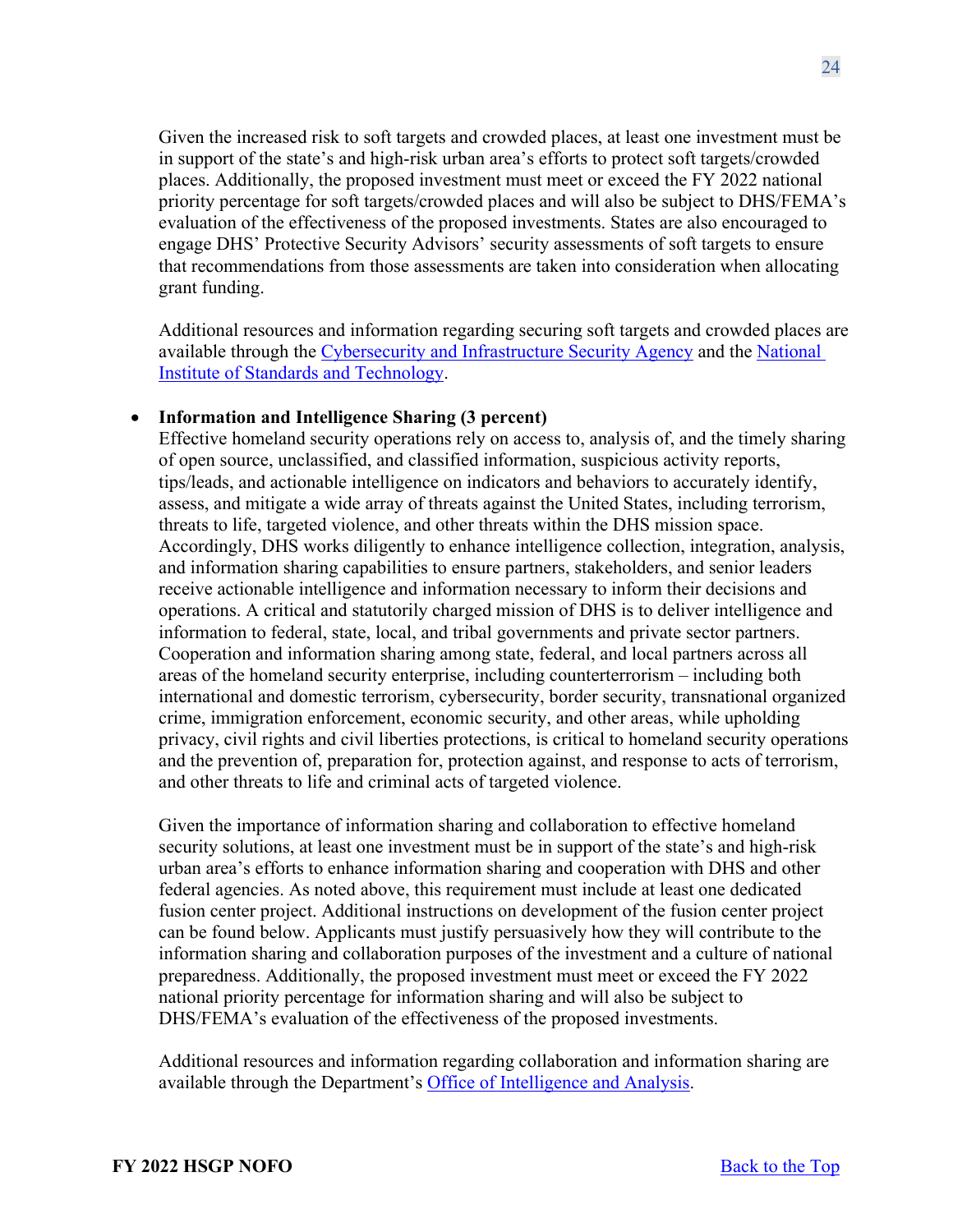Given the increased risk to soft targets and crowded places, at least one investment must be in support of the state's and high-risk urban area's efforts to protect soft targets/crowded places. Additionally, the proposed investment must meet or exceed the FY 2022 national priority percentage for soft targets/crowded places and will also be subject to DHS/FEMA's evaluation of the effectiveness of the proposed investments. States are also encouraged to engage DHS' Protective Security Advisors' security assessments of soft targets to ensure that recommendations from those assessments are taken into consideration when allocating grant funding.

Additional resources and information regarding securing soft targets and crowded places are available through the [Cybersecurity and Infrastructure Security Agency](https://www.cisa.gov/securing-public-gatherings) and the [National](https://www.nist.gov/cyberframework)  [Institute of Standards and Technology.](https://www.nist.gov/cyberframework)

### • **Information and Intelligence Sharing (3 percent)**

Effective homeland security operations rely on access to, analysis of, and the timely sharing of open source, unclassified, and classified information, suspicious activity reports, tips/leads, and actionable intelligence on indicators and behaviors to accurately identify, assess, and mitigate a wide array of threats against the United States, including terrorism, threats to life, targeted violence, and other threats within the DHS mission space. Accordingly, DHS works diligently to enhance intelligence collection, integration, analysis, and information sharing capabilities to ensure partners, stakeholders, and senior leaders receive actionable intelligence and information necessary to inform their decisions and operations. A critical and statutorily charged mission of DHS is to deliver intelligence and information to federal, state, local, and tribal governments and private sector partners. Cooperation and information sharing among state, federal, and local partners across all areas of the homeland security enterprise, including counterterrorism – including both international and domestic terrorism, cybersecurity, border security, transnational organized crime, immigration enforcement, economic security, and other areas, while upholding privacy, civil rights and civil liberties protections, is critical to homeland security operations and the prevention of, preparation for, protection against, and response to acts of terrorism, and other threats to life and criminal acts of targeted violence.

Given the importance of information sharing and collaboration to effective homeland security solutions, at least one investment must be in support of the state's and high-risk urban area's efforts to enhance information sharing and cooperation with DHS and other federal agencies. As noted above, this requirement must include at least one dedicated fusion center project. Additional instructions on development of the fusion center project can be found below. Applicants must justify persuasively how they will contribute to the information sharing and collaboration purposes of the investment and a culture of national preparedness. Additionally, the proposed investment must meet or exceed the FY 2022 national priority percentage for information sharing and will also be subject to DHS/FEMA's evaluation of the effectiveness of the proposed investments.

Additional resources and information regarding collaboration and information sharing are available through the Department's [Office of Intelligence and Analysis.](https://www.dhs.gov/building-law-enforcement-and-homeland-security-partnerships)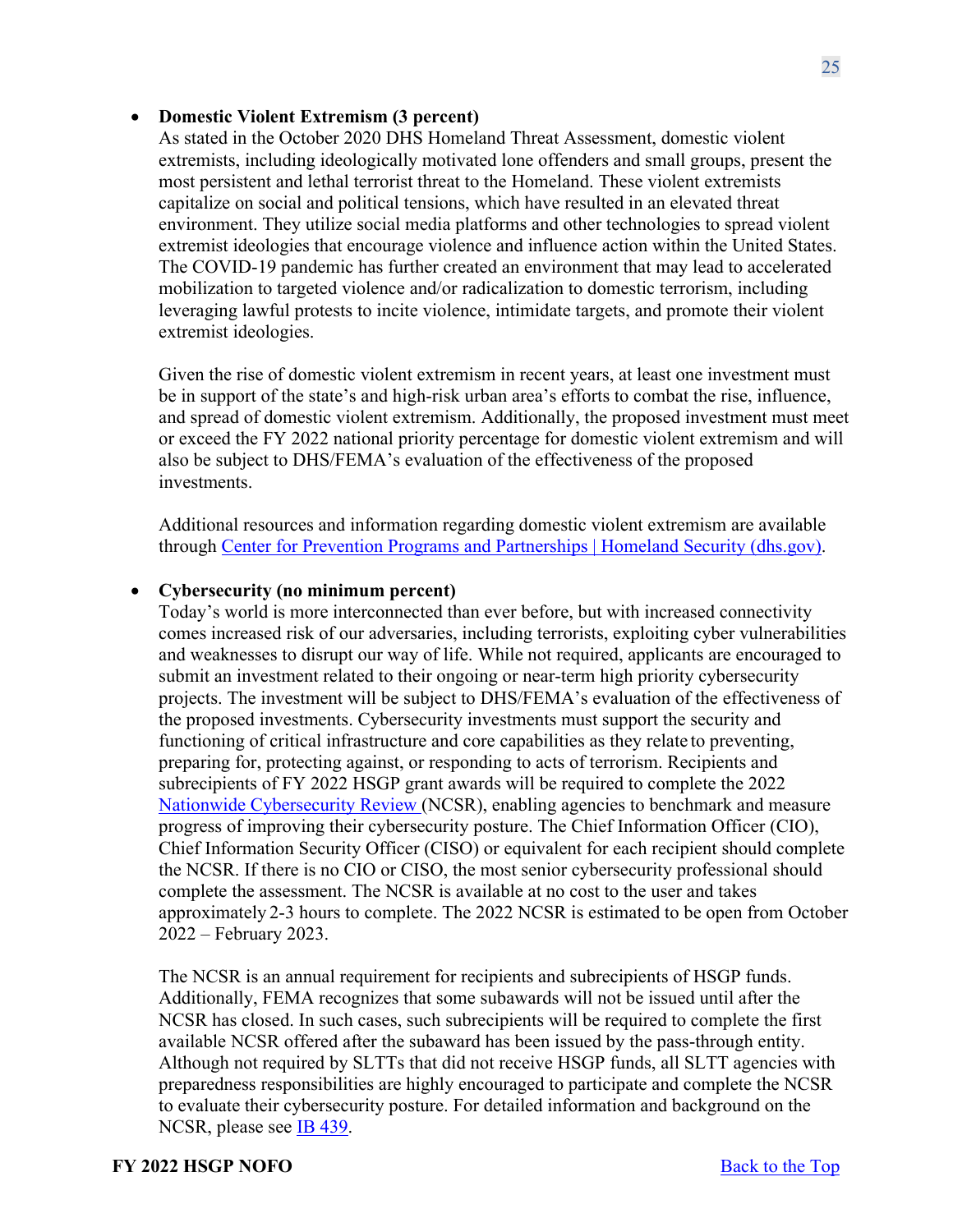### • **Domestic Violent Extremism (3 percent)**

As stated in the October 2020 DHS Homeland Threat Assessment, domestic violent extremists, including ideologically motivated lone offenders and small groups, present the most persistent and lethal terrorist threat to the Homeland. These violent extremists capitalize on social and political tensions, which have resulted in an elevated threat environment. They utilize social media platforms and other technologies to spread violent extremist ideologies that encourage violence and influence action within the United States. The COVID-19 pandemic has further created an environment that may lead to accelerated mobilization to targeted violence and/or radicalization to domestic terrorism, including leveraging lawful protests to incite violence, intimidate targets, and promote their violent extremist ideologies.

Given the rise of domestic violent extremism in recent years, at least one investment must be in support of the state's and high-risk urban area's efforts to combat the rise, influence, and spread of domestic violent extremism. Additionally, the proposed investment must meet or exceed the FY 2022 national priority percentage for domestic violent extremism and will also be subject to DHS/FEMA's evaluation of the effectiveness of the proposed investments.

Additional resources and information regarding domestic violent extremism are available through [Center for Prevention Programs and Partnerships | Homeland Security \(dhs.gov\).](https://www.dhs.gov/CP3)

### • **Cybersecurity (no minimum percent)**

Today's world is more interconnected than ever before, but with increased connectivity comes increased risk of our adversaries, including terrorists, exploiting cyber vulnerabilities and weaknesses to disrupt our way of life. While not required, applicants are encouraged to submit an investment related to their ongoing or near-term high priority cybersecurity projects. The investment will be subject to DHS/FEMA's evaluation of the effectiveness of the proposed investments. Cybersecurity investments must support the security and functioning of critical infrastructure and core capabilities as they relate to preventing, preparing for, protecting against, or responding to acts of terrorism. Recipients and subrecipients of FY 2022 HSGP grant awards will be required to complete the 2022 [Nationwide Cybersecurity Review \(](https://www.cisecurity.org/ms-isac/services/ncsr/)NCSR), enabling agencies to benchmark and measure progress of improving their cybersecurity posture. The Chief Information Officer (CIO), Chief Information Security Officer (CISO) or equivalent for each recipient should complete the NCSR. If there is no CIO or CISO, the most senior cybersecurity professional should complete the assessment. The NCSR is available at no cost to the user and takes approximately 2-3 hours to complete. The 2022 NCSR is estimated to be open from October 2022 – February 2023.

The NCSR is an annual requirement for recipients and subrecipients of HSGP funds. Additionally, FEMA recognizes that some subawards will not be issued until after the NCSR has closed. In such cases, such subrecipients will be required to complete the first available NCSR offered after the subaward has been issued by the pass-through entity. Although not required by SLTTs that did not receive HSGP funds, all SLTT agencies with preparedness responsibilities are highly encouraged to participate and complete the NCSR to evaluate their cybersecurity posture. For detailed information and background on the NCSR, please see [IB 439.](https://www.fema.gov/sites/default/files/2020-08/ib_439_fy_2019__supplemental_ncsr_cybersecurity_041219.pdf)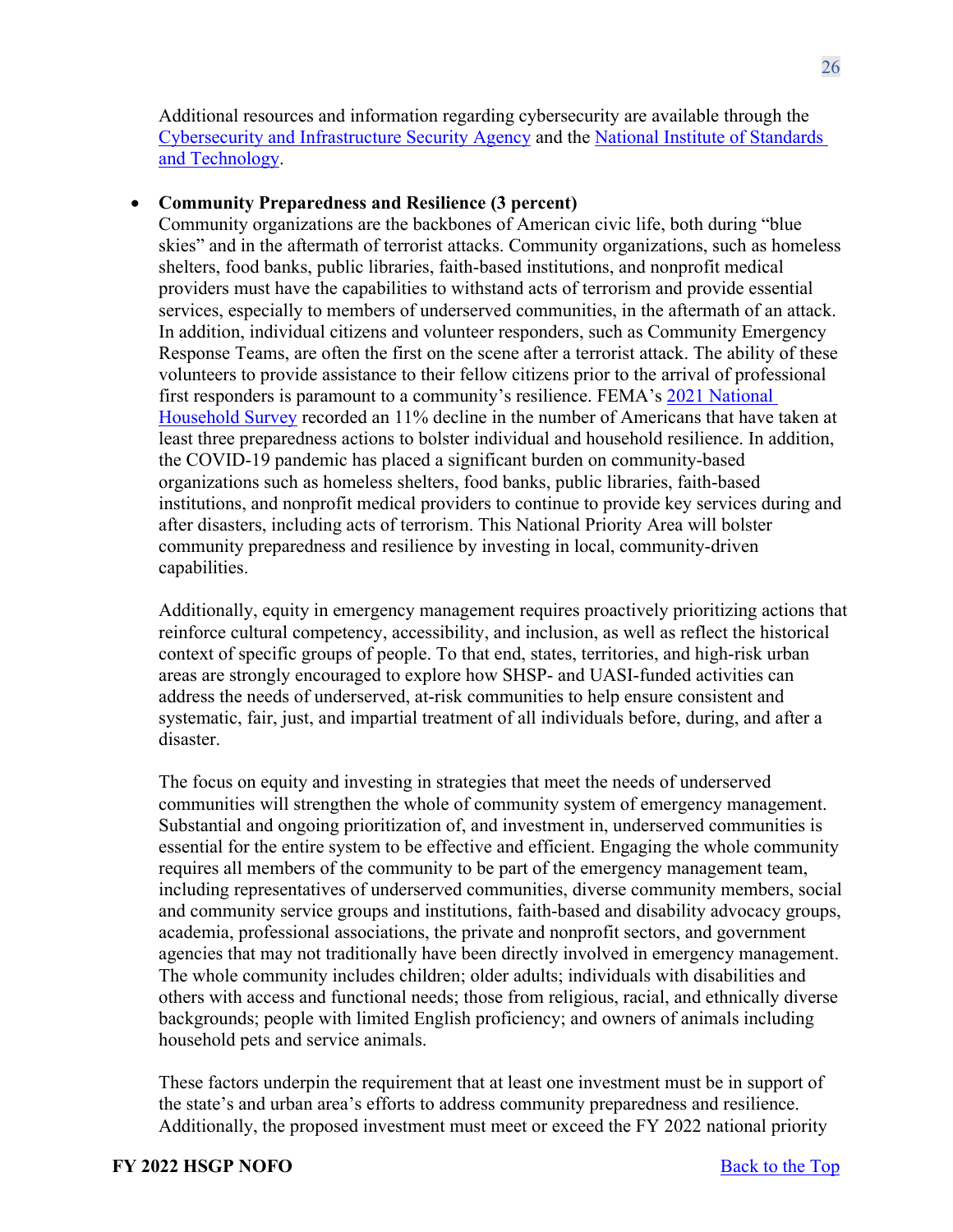Additional resources and information regarding cybersecurity are available through the [Cybersecurity and Infrastructure Security Agency](https://www.cisa.gov/cybersecurity) and the [National Institute of Standards](https://www.nist.gov/cyberframework)  [and Technology.](https://www.nist.gov/cyberframework)

#### • **Community Preparedness and Resilience (3 percent)**

Community organizations are the backbones of American civic life, both during "blue skies" and in the aftermath of terrorist attacks. Community organizations, such as homeless shelters, food banks, public libraries, faith-based institutions, and nonprofit medical providers must have the capabilities to withstand acts of terrorism and provide essential services, especially to members of underserved communities, in the aftermath of an attack. In addition, individual citizens and volunteer responders, such as Community Emergency Response Teams, are often the first on the scene after a terrorist attack. The ability of these volunteers to provide assistance to their fellow citizens prior to the arrival of professional first responders is paramount to a community's resilience. FEMA's [2021 National](https://fema-community-files.s3.amazonaws.com/2021-National-Household-Survey.pdf)  [Household Survey](https://fema-community-files.s3.amazonaws.com/2021-National-Household-Survey.pdf) recorded an 11% decline in the number of Americans that have taken at least three preparedness actions to bolster individual and household resilience. In addition, the COVID-19 pandemic has placed a significant burden on community-based organizations such as homeless shelters, food banks, public libraries, faith-based institutions, and nonprofit medical providers to continue to provide key services during and after disasters, including acts of terrorism. This National Priority Area will bolster community preparedness and resilience by investing in local, community-driven capabilities.

Additionally, equity in emergency management requires proactively prioritizing actions that reinforce cultural competency, accessibility, and inclusion, as well as reflect the historical context of specific groups of people. To that end, states, territories, and high-risk urban areas are strongly encouraged to explore how SHSP- and UASI-funded activities can address the needs of underserved, at-risk communities to help ensure consistent and systematic, fair, just, and impartial treatment of all individuals before, during, and after a disaster.

The focus on equity and investing in strategies that meet the needs of underserved communities will strengthen the whole of community system of emergency management. Substantial and ongoing prioritization of, and investment in, underserved communities is essential for the entire system to be effective and efficient. Engaging the whole community requires all members of the community to be part of the emergency management team, including representatives of underserved communities, diverse community members, social and community service groups and institutions, faith-based and disability advocacy groups, academia, professional associations, the private and nonprofit sectors, and government agencies that may not traditionally have been directly involved in emergency management. The whole community includes children; older adults; individuals with disabilities and others with access and functional needs; those from religious, racial, and ethnically diverse backgrounds; people with limited English proficiency; and owners of animals including household pets and service animals.

These factors underpin the requirement that at least one investment must be in support of the state's and urban area's efforts to address community preparedness and resilience. Additionally, the proposed investment must meet or exceed the FY 2022 national priority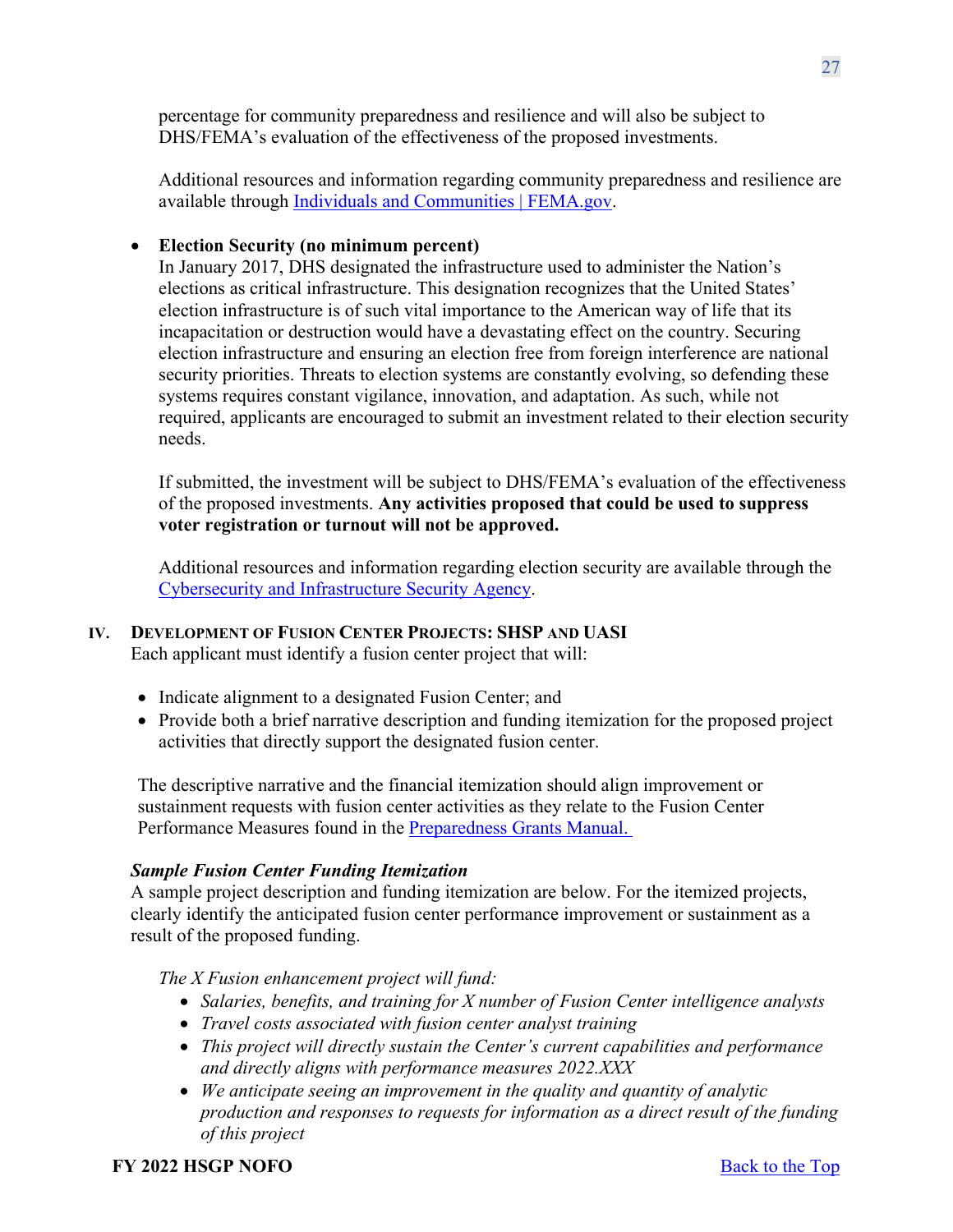percentage for community preparedness and resilience and will also be subject to DHS/FEMA's evaluation of the effectiveness of the proposed investments.

Additional resources and information regarding community preparedness and resilience are available through [Individuals and Communities | FEMA.gov.](https://www.fema.gov/emergency-managers/individuals-communities)

# • **Election Security (no minimum percent)**

In January 2017, DHS designated the infrastructure used to administer the Nation's elections as critical infrastructure. This designation recognizes that the United States' election infrastructure is of such vital importance to the American way of life that its incapacitation or destruction would have a devastating effect on the country. Securing election infrastructure and ensuring an election free from foreign interference are national security priorities. Threats to election systems are constantly evolving, so defending these systems requires constant vigilance, innovation, and adaptation. As such, while not required, applicants are encouraged to submit an investment related to their election security needs.

If submitted, the investment will be subject to DHS/FEMA's evaluation of the effectiveness of the proposed investments. **Any activities proposed that could be used to suppress voter registration or turnout will not be approved.**

Additional resources and information regarding election security are available through the [Cybersecurity and Infrastructure Security Agency.](https://www.cisa.gov/election-security-library#wcm-survey-target-id)

### **IV. DEVELOPMENT OF FUSION CENTER PROJECTS: SHSP AND UASI**

Each applicant must identify a fusion center project that will:

- Indicate alignment to a designated Fusion Center; and
- Provide both a brief narrative description and funding itemization for the proposed project activities that directly support the designated fusion center.

The descriptive narrative and the financial itemization should align improvement or sustainment requests with fusion center activities as they relate to the Fusion Center Performance Measures found in the [Preparedness Grants Manual.](https://www.fema.gov/media-library/assets/documents/178291)

### *Sample Fusion Center Funding Itemization*

A sample project description and funding itemization are below. For the itemized projects, clearly identify the anticipated fusion center performance improvement or sustainment as a result of the proposed funding.

*The X Fusion enhancement project will fund:*

- *Salaries, benefits, and training for X number of Fusion Center intelligence analysts*
- *Travel costs associated with fusion center analyst training*
- *This project will directly sustain the Center's current capabilities and performance and directly aligns with performance measures 2022.XXX*
- *We anticipate seeing an improvement in the quality and quantity of analytic production and responses to requests for information as a direct result of the funding of this project*

### **FY** 2022 **HSGP NOFO** Back to the Top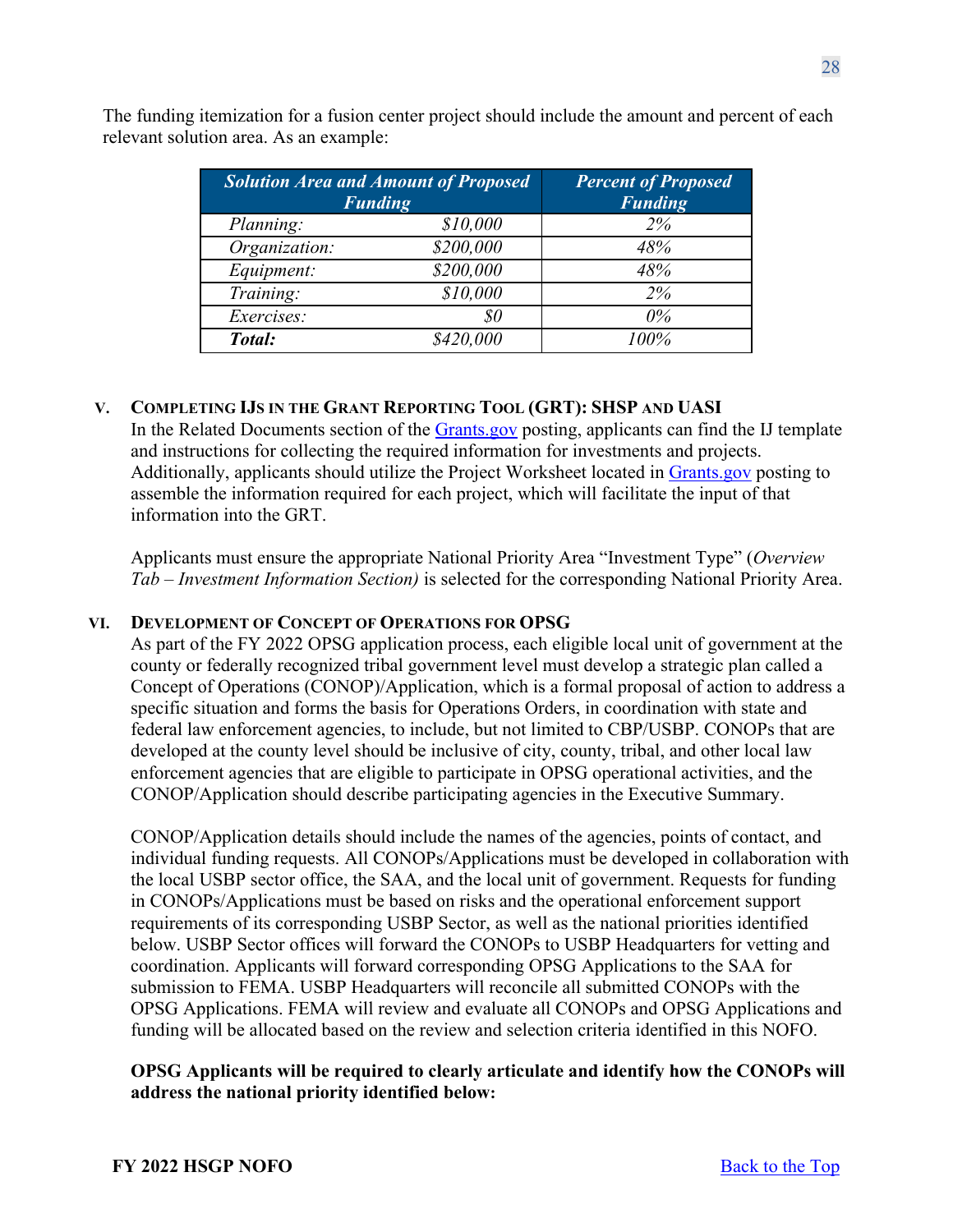| <b>Solution Area and Amount of Proposed</b><br><b>Funding</b> |           | <b>Percent of Proposed</b><br><b>Funding</b> |  |  |
|---------------------------------------------------------------|-----------|----------------------------------------------|--|--|
| Planning:                                                     | \$10,000  | 2%                                           |  |  |
| Organization:                                                 | \$200,000 | 48%                                          |  |  |
| Equipment:                                                    | \$200,000 | 48%                                          |  |  |
| Training:                                                     | \$10,000  | 2%                                           |  |  |
| Exercises:                                                    | 80        | $0\%$                                        |  |  |
| Total:                                                        | \$420,000 | $100\%$                                      |  |  |

The funding itemization for a fusion center project should include the amount and percent of each relevant solution area. As an example:

### **V. COMPLETING IJS IN THE GRANT REPORTING TOOL (GRT): SHSP AND UASI**

In the Related Documents section of the [Grants.gov](http://www.grants.gov/) posting, applicants can find the IJ template and instructions for collecting the required information for investments and projects. Additionally, applicants should utilize the Project Worksheet located in [Grants.gov](http://www.grants.gov/) posting to assemble the information required for each project, which will facilitate the input of that information into the GRT.

Applicants must ensure the appropriate National Priority Area "Investment Type" (*Overview Tab – Investment Information Section)* is selected for the corresponding National Priority Area.

### **VI. DEVELOPMENT OF CONCEPT OF OPERATIONS FOR OPSG**

As part of the FY 2022 OPSG application process, each eligible local unit of government at the county or federally recognized tribal government level must develop a strategic plan called a Concept of Operations (CONOP)/Application, which is a formal proposal of action to address a specific situation and forms the basis for Operations Orders, in coordination with state and federal law enforcement agencies, to include, but not limited to CBP/USBP. CONOPs that are developed at the county level should be inclusive of city, county, tribal, and other local law enforcement agencies that are eligible to participate in OPSG operational activities, and the CONOP/Application should describe participating agencies in the Executive Summary.

CONOP/Application details should include the names of the agencies, points of contact, and individual funding requests. All CONOPs/Applications must be developed in collaboration with the local USBP sector office, the SAA, and the local unit of government. Requests for funding in CONOPs/Applications must be based on risks and the operational enforcement support requirements of its corresponding USBP Sector, as well as the national priorities identified below. USBP Sector offices will forward the CONOPs to USBP Headquarters for vetting and coordination. Applicants will forward corresponding OPSG Applications to the SAA for submission to FEMA. USBP Headquarters will reconcile all submitted CONOPs with the OPSG Applications. FEMA will review and evaluate all CONOPs and OPSG Applications and funding will be allocated based on the review and selection criteria identified in this NOFO.

### **OPSG Applicants will be required to clearly articulate and identify how the CONOPs will address the national priority identified below:**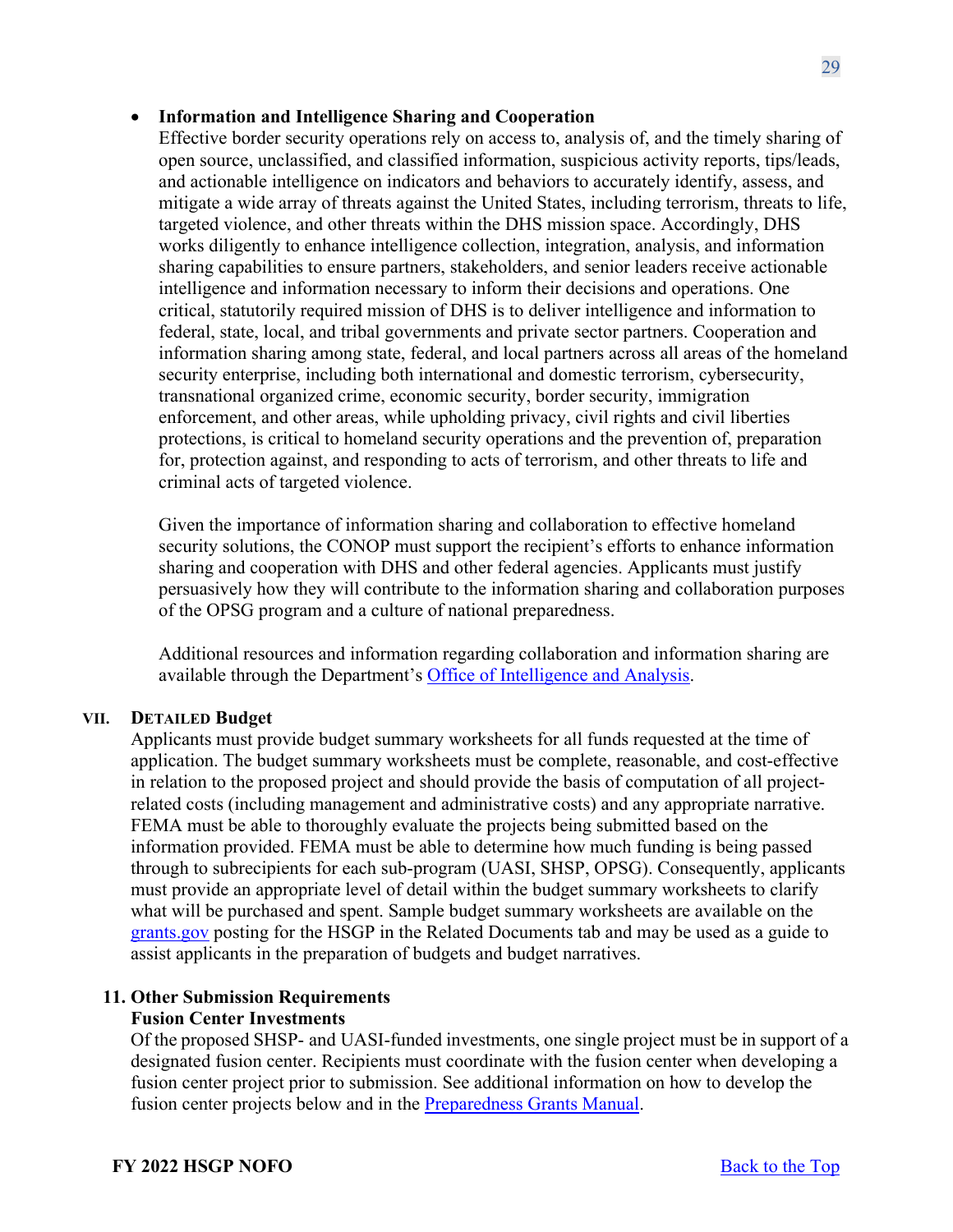### • **Information and Intelligence Sharing and Cooperation**

Effective border security operations rely on access to, analysis of, and the timely sharing of open source, unclassified, and classified information, suspicious activity reports, tips/leads, and actionable intelligence on indicators and behaviors to accurately identify, assess, and mitigate a wide array of threats against the United States, including terrorism, threats to life, targeted violence, and other threats within the DHS mission space. Accordingly, DHS works diligently to enhance intelligence collection, integration, analysis, and information sharing capabilities to ensure partners, stakeholders, and senior leaders receive actionable intelligence and information necessary to inform their decisions and operations. One critical, statutorily required mission of DHS is to deliver intelligence and information to federal, state, local, and tribal governments and private sector partners. Cooperation and information sharing among state, federal, and local partners across all areas of the homeland security enterprise, including both international and domestic terrorism, cybersecurity, transnational organized crime, economic security, border security, immigration enforcement, and other areas, while upholding privacy, civil rights and civil liberties protections, is critical to homeland security operations and the prevention of, preparation for, protection against, and responding to acts of terrorism, and other threats to life and criminal acts of targeted violence.

 Given the importance of information sharing and collaboration to effective homeland security solutions, the CONOP must support the recipient's efforts to enhance information sharing and cooperation with DHS and other federal agencies. Applicants must justify persuasively how they will contribute to the information sharing and collaboration purposes of the OPSG program and a culture of national preparedness.

Additional resources and information regarding collaboration and information sharing are available through the Department's [Office of Intelligence and Analysis.](https://www.dhs.gov/building-law-enforcement-and-homeland-security-partnerships)

#### **VII. DETAILED Budget**

Applicants must provide budget summary worksheets for all funds requested at the time of application. The budget summary worksheets must be complete, reasonable, and cost-effective in relation to the proposed project and should provide the basis of computation of all projectrelated costs (including management and administrative costs) and any appropriate narrative. FEMA must be able to thoroughly evaluate the projects being submitted based on the information provided. FEMA must be able to determine how much funding is being passed through to subrecipients for each sub-program (UASI, SHSP, OPSG). Consequently, applicants must provide an appropriate level of detail within the budget summary worksheets to clarify what will be purchased and spent. Sample budget summary worksheets are available on the [grants.gov](http://www.grants.gov/) posting for the HSGP in the Related Documents tab and may be used as a guide to assist applicants in the preparation of budgets and budget narratives.

# <span id="page-28-0"></span>**11. Other Submission Requirements**

# **Fusion Center Investments**

Of the proposed SHSP- and UASI-funded investments, one single project must be in support of a designated fusion center. Recipients must coordinate with the fusion center when developing a fusion center project prior to submission. See additional information on how to develop the fusion center projects below and in the **Preparedness Grants Manual**.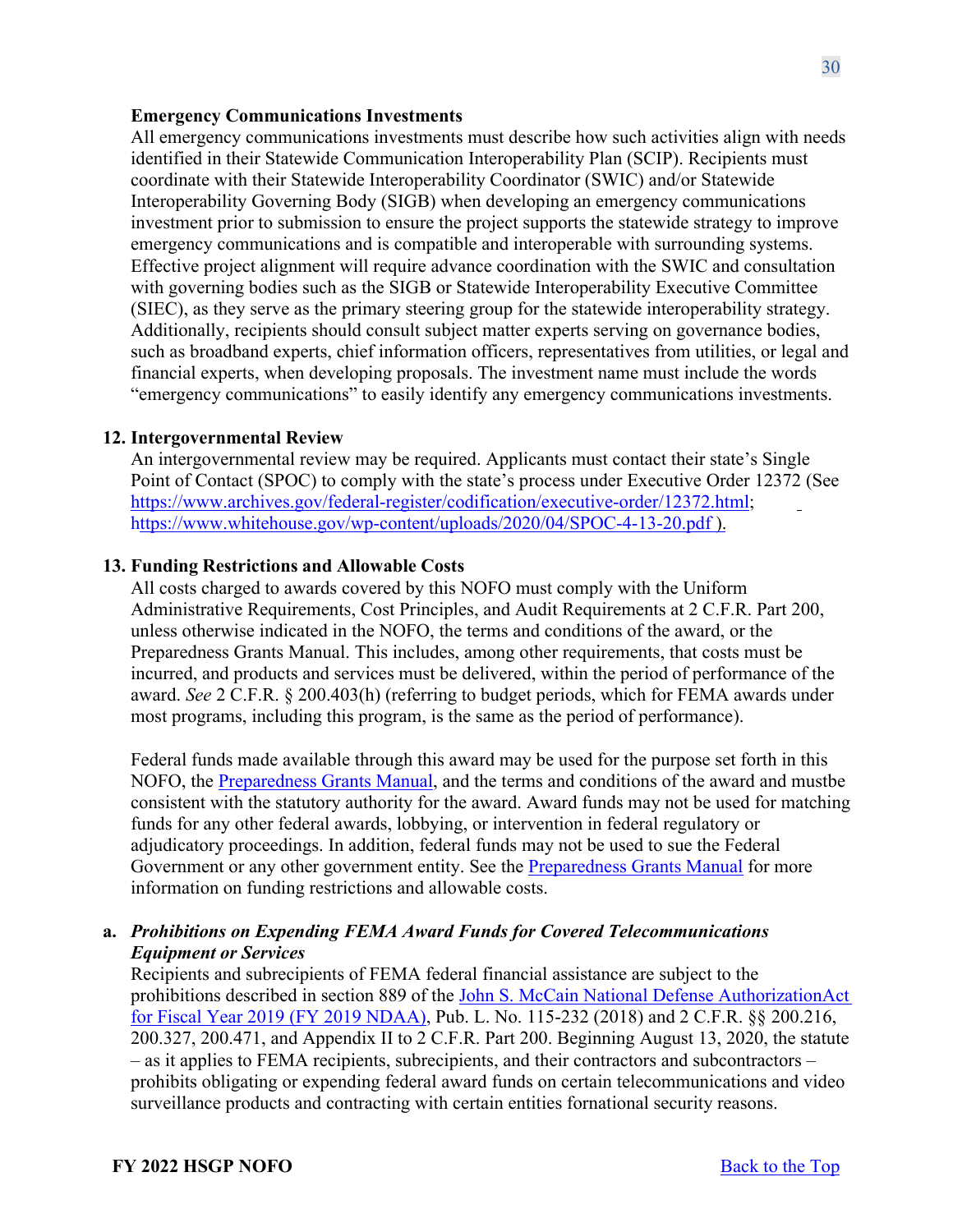#### **Emergency Communications Investments**

All emergency communications investments must describe how such activities align with needs identified in their Statewide Communication Interoperability Plan (SCIP). Recipients must coordinate with their Statewide Interoperability Coordinator (SWIC) and/or Statewide Interoperability Governing Body (SIGB) when developing an emergency communications investment prior to submission to ensure the project supports the statewide strategy to improve emergency communications and is compatible and interoperable with surrounding systems. Effective project alignment will require advance coordination with the SWIC and consultation with governing bodies such as the SIGB or Statewide Interoperability Executive Committee (SIEC), as they serve as the primary steering group for the statewide interoperability strategy. Additionally, recipients should consult subject matter experts serving on governance bodies, such as broadband experts, chief information officers, representatives from utilities, or legal and financial experts, when developing proposals. The investment name must include the words "emergency communications" to easily identify any emergency communications investments.

#### <span id="page-29-0"></span>**12. Intergovernmental Review**

An intergovernmental review may be required. Applicants must contact their state's Single Point of Contact (SPOC) to comply with the state's process under Executive Order 12372 (See [https://www.archives.gov/federal-register/codification/executive-order/12372.html;](https://www.archives.gov/federal-register/codification/executive-order/12372.html) https:/[/www.whitehouse.gov/wp-content/uploads/2020/04/SPOC-4-13-20.pdf \)](http://www.whitehouse.gov/wp-content/uploads/2020/04/SPOC-4-13-20.pdf).

#### <span id="page-29-1"></span>**13. Funding Restrictions and Allowable Costs**

All costs charged to awards covered by this NOFO must comply with the Uniform Administrative Requirements, Cost Principles, and Audit Requirements at 2 C.F.R. Part 200, unless otherwise indicated in the NOFO, the terms and conditions of the award, or the Preparedness Grants Manual. This includes, among other requirements, that costs must be incurred, and products and services must be delivered, within the period of performance of the award. *See* 2 C.F.R. § 200.403(h) (referring to budget periods, which for FEMA awards under most programs, including this program, is the same as the period of performance).

Federal funds made available through this award may be used for the purpose set forth in this NOFO, the [Preparedness Grants Manual,](https://www.fema.gov/media-library/assets/documents/178291) and the terms and conditions of the award and must be consistent with the statutory authority for the award. Award funds may not be used for matching funds for any other federal awards, lobbying, or intervention in federal regulatory or adjudicatory proceedings. In addition, federal funds may not be used to sue the Federal Government or any other government entity. See the [Preparedness Grants Manual](https://www.fema.gov/media-library/assets/documents/178291) for more information on funding restrictions and allowable costs.

### **a.** *Prohibitions on Expending FEMA Award Funds for Covered Telecommunications Equipment or Services*

Recipients and subrecipients of FEMA federal financial assistance are subject to the prohibitions described in section 889 of the [John S. McCain National Defense AuthorizationAct](https://www.congress.gov/bill/115th-congress/house-bill/5515/text?format=txt)  [for Fiscal Year 2019 \(FY 2019 NDAA\),](https://www.congress.gov/bill/115th-congress/house-bill/5515/text?format=txt) Pub. L. No. 115-232 (2018) and 2 C.F.R. §§ 200.216, 200.327, 200.471, and Appendix II to 2 C.F.R. Part 200. Beginning August 13, 2020, the statute – as it applies to FEMA recipients, subrecipients, and their contractors and subcontractors – prohibits obligating or expending federal award funds on certain telecommunications and video surveillance products and contracting with certain entities fornational security reasons.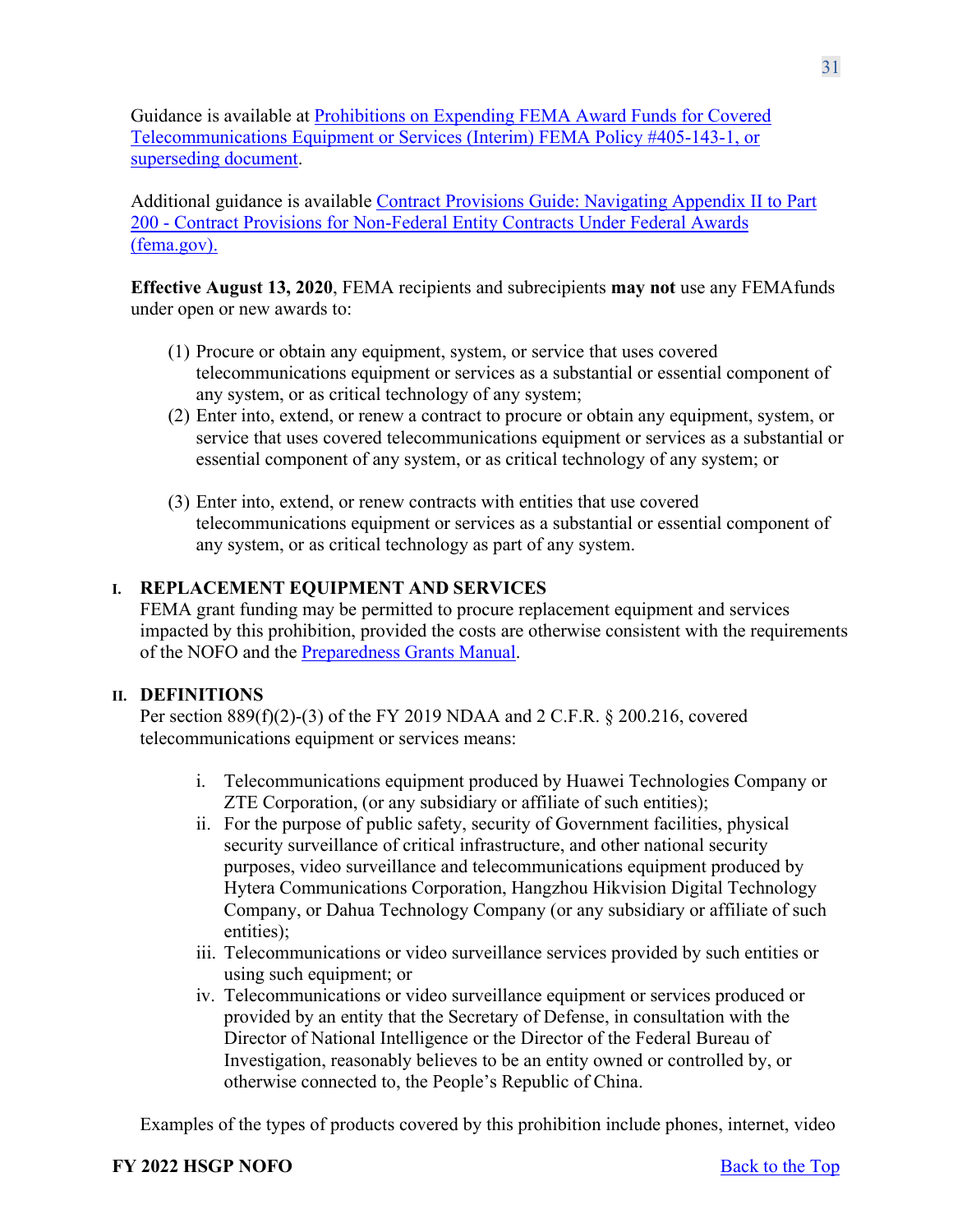Guidance is available at [Prohibitions on Expending FEMA Award Funds for Covered](https://www.fema.gov/sites/default/files/documents/fema_prohibitions-expending-fema-award-funds-covered-telecommunications-equipment-services.pdf) [Telecommunications Equipment or Services \(Interim\) FEMA Policy](https://www.fema.gov/sites/default/files/documents/fema_prohibitions-expending-fema-award-funds-covered-telecommunications-equipment-services.pdf) #405-143-1, or superseding document.

Additional guidance is available [Contract Provisions Guide: Navigating Appendix II to Part](https://www.fema.gov/sites/default/files/documents/fema_contract-provisions-guide_6-14-2021.pdf) 200 - [Contract Provisions for Non-Federal Entity Contracts Under Federal Awards](https://www.fema.gov/sites/default/files/documents/fema_contract-provisions-guide_6-14-2021.pdf) [\(fema.gov\).](https://www.fema.gov/sites/default/files/documents/fema_contract-provisions-guide_6-14-2021.pdf)

**Effective August 13, 2020**, FEMA recipients and subrecipients **may not** use any FEMAfunds under open or new awards to:

- (1) Procure or obtain any equipment, system, or service that uses covered telecommunications equipment or services as a substantial or essential component of any system, or as critical technology of any system;
- (2) Enter into, extend, or renew a contract to procure or obtain any equipment, system, or service that uses covered telecommunications equipment or services as a substantial or essential component of any system, or as critical technology of any system; or
- (3) Enter into, extend, or renew contracts with entities that use covered telecommunications equipment or services as a substantial or essential component of any system, or as critical technology as part of any system.

# **I. REPLACEMENT EQUIPMENT AND SERVICES**

FEMA grant funding may be permitted to procure replacement equipment and services impacted by this prohibition, provided the costs are otherwise consistent with the requirements of the NOFO and the [Preparedness](https://www.fema.gov/media-library/assets/documents/178291) Grants Manual.

# **II. DEFINITIONS**

Per section 889(f)(2)-(3) of the FY 2019 NDAA and 2 C.F.R. § 200.216, covered telecommunications equipment or services means:

- i. Telecommunications equipment produced by Huawei Technologies Company or ZTE Corporation, (or any subsidiary or affiliate of such entities);
- ii. For the purpose of public safety, security of Government facilities, physical security surveillance of critical infrastructure, and other national security purposes, video surveillance and telecommunications equipment produced by Hytera Communications Corporation, Hangzhou Hikvision Digital Technology Company, or Dahua Technology Company (or any subsidiary or affiliate of such entities);
- iii. Telecommunications or video surveillance services provided by such entities or using such equipment; or
- iv. Telecommunications or video surveillance equipment or services produced or provided by an entity that the Secretary of Defense, in consultation with the Director of National Intelligence or the Director of the Federal Bureau of Investigation, reasonably believes to be an entity owned or controlled by, or otherwise connected to, the People's Republic of China.

Examples of the types of products covered by this prohibition include phones, internet, video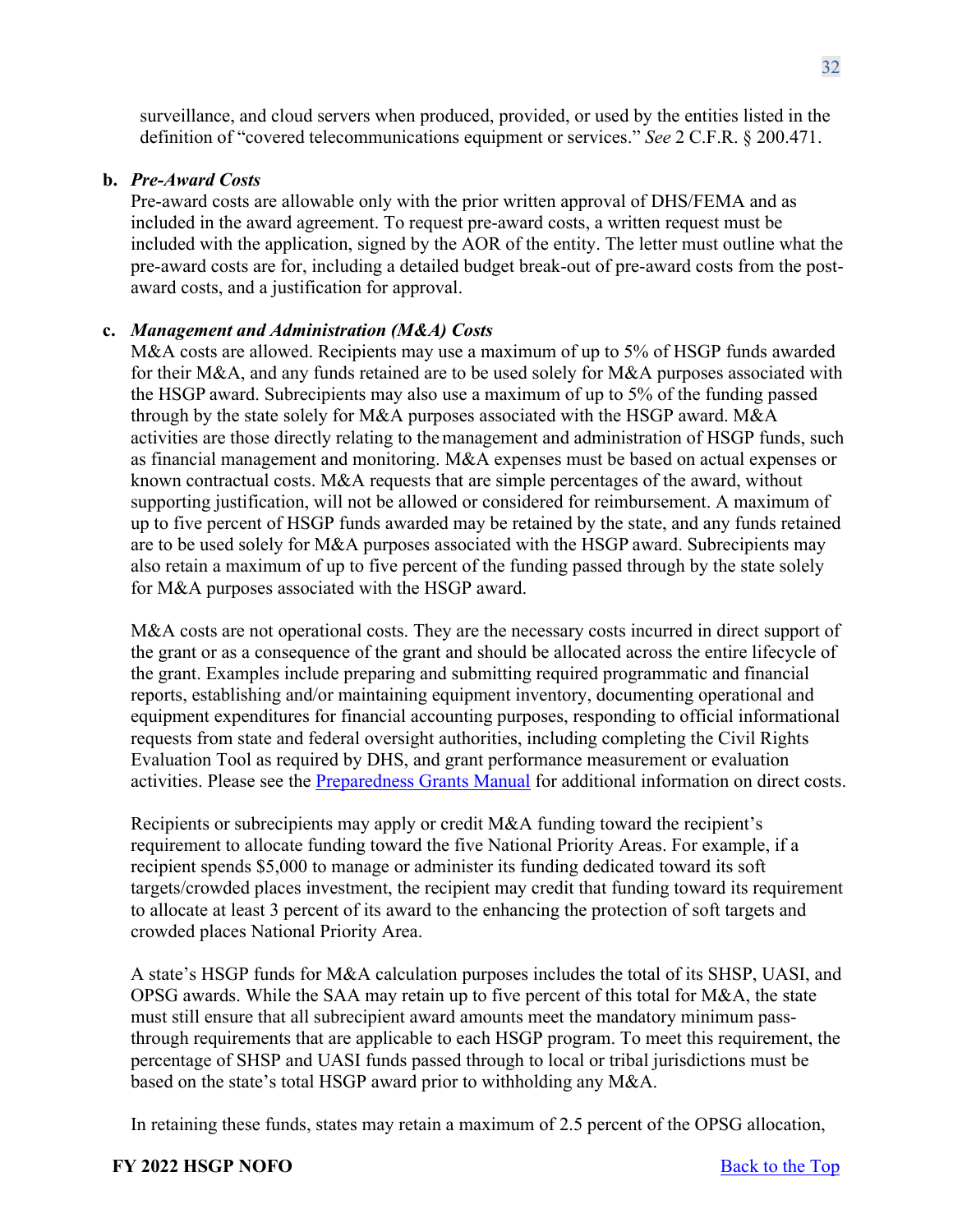surveillance, and cloud servers when produced, provided, or used by the entities listed in the definition of "covered telecommunications equipment or services." *See* 2 C.F.R. § 200.471.

### **b.** *Pre-Award Costs*

Pre-award costs are allowable only with the prior written approval of DHS/FEMA and as included in the award agreement. To request pre-award costs, a written request must be included with the application, signed by the AOR of the entity. The letter must outline what the pre-award costs are for, including a detailed budget break-out of pre-award costs from the postaward costs, and a justification for approval.

### **c.** *Management and Administration (M&A) Costs*

M&A costs are allowed. Recipients may use a maximum of up to 5% of HSGP funds awarded for their M&A, and any funds retained are to be used solely for M&A purposes associated with the HSGP award. Subrecipients may also use a maximum of up to 5% of the funding passed through by the state solely for M&A purposes associated with the HSGP award. M&A activities are those directly relating to themanagement and administration of HSGP funds, such as financial management and monitoring. M&A expenses must be based on actual expenses or known contractual costs. M&A requests that are simple percentages of the award, without supporting justification, will not be allowed or considered for reimbursement. A maximum of up to five percent of HSGP funds awarded may be retained by the state, and any funds retained are to be used solely for M&A purposes associated with the HSGP award. Subrecipients may also retain a maximum of up to five percent of the funding passed through by the state solely for M&A purposes associated with the HSGP award.

M&A costs are not operational costs. They are the necessary costs incurred in direct support of the grant or as a consequence of the grant and should be allocated across the entire lifecycle of the grant. Examples include preparing and submitting required programmatic and financial reports, establishing and/or maintaining equipment inventory, documenting operational and equipment expenditures for financial accounting purposes, responding to official informational requests from state and federal oversight authorities, including completing the Civil Rights Evaluation Tool as required by DHS, and grant performance measurement or evaluation activities. Please see the [Preparedness Grants Manual](https://www.fema.gov/grants/preparedness/manual) for additional information on direct costs.

Recipients or subrecipients may apply or credit M&A funding toward the recipient's requirement to allocate funding toward the five National Priority Areas. For example, if a recipient spends \$5,000 to manage or administer its funding dedicated toward its soft targets/crowded places investment, the recipient may credit that funding toward its requirement to allocate at least 3 percent of its award to the enhancing the protection of soft targets and crowded places National Priority Area.

A state's HSGP funds for M&A calculation purposes includes the total of its SHSP, UASI, and OPSG awards. While the SAA may retain up to five percent of this total for M&A, the state must still ensure that all subrecipient award amounts meet the mandatory minimum passthrough requirements that are applicable to each HSGP program. To meet this requirement, the percentage of SHSP and UASI funds passed through to local or tribal jurisdictions must be based on the state's total HSGP award prior to withholding any M&A.

In retaining these funds, states may retain a maximum of 2.5 percent of the OPSG allocation,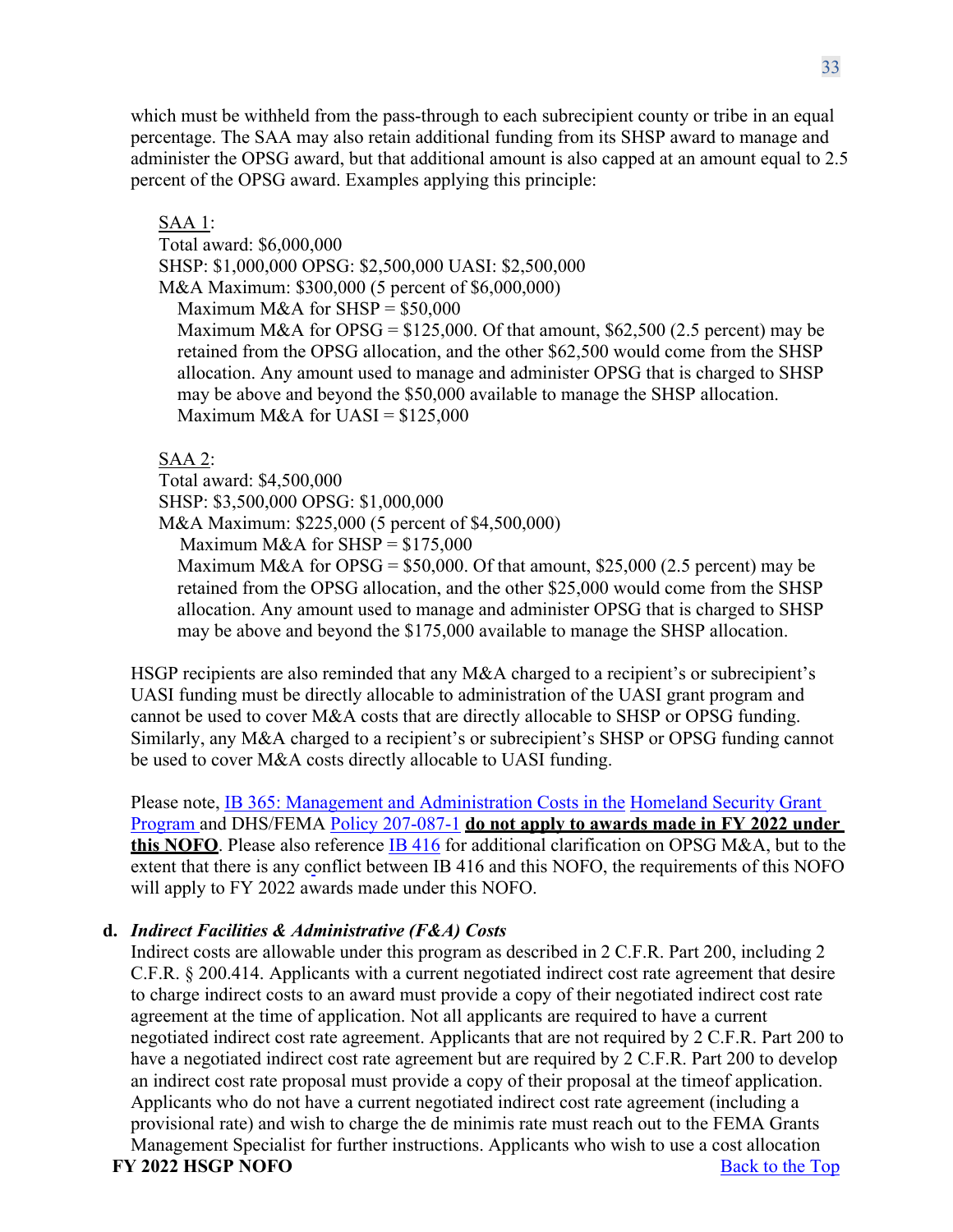which must be withheld from the pass-through to each subrecipient county or tribe in an equal percentage. The SAA may also retain additional funding from its SHSP award to manage and administer the OPSG award, but that additional amount is also capped at an amount equal to 2.5 percent of the OPSG award. Examples applying this principle:

SAA 1: Total award: \$6,000,000 SHSP: \$1,000,000 OPSG: \$2,500,000 UASI: \$2,500,000 M&A Maximum: \$300,000 (5 percent of \$6,000,000) Maximum M&A for  $SHSP = $50,000$ Maximum M&A for OPSG =  $$125,000$ . Of that amount,  $$62,500$  (2.5 percent) may be retained from the OPSG allocation, and the other \$62,500 would come from the SHSP allocation. Any amount used to manage and administer OPSG that is charged to SHSP may be above and beyond the \$50,000 available to manage the SHSP allocation. Maximum M&A for UASI =  $$125,000$ 

SAA 2:

Total award: \$4,500,000 SHSP: \$3,500,000 OPSG: \$1,000,000 M&A Maximum: \$225,000 (5 percent of \$4,500,000) Maximum M&A for  $SHSP = $175,000$ Maximum M&A for OPSG =  $$50,000$ . Of that amount, \$25,000 (2.5 percent) may be retained from the OPSG allocation, and the other \$25,000 would come from the SHSP allocation. Any amount used to manage and administer OPSG that is charged to SHSP may be above and beyond the \$175,000 available to manage the SHSP allocation.

HSGP recipients are also reminded that any M&A charged to a recipient's or subrecipient's UASI funding must be directly allocable to administration of the UASI grant program and cannot be used to cover M&A costs that are directly allocable to SHSP or OPSG funding. Similarly, any M&A charged to a recipient's or subrecipient's SHSP or OPSG funding cannot be used to cover M&A costs directly allocable to UASI funding.

Please note, [IB 365: Management and Administration Costs in the](https://www.fema.gov/pdf/government/grant/bulletins/info365.pdf) Homeland Security Grant [Program a](https://www.fema.gov/pdf/government/grant/bulletins/info365.pdf)nd DHS/FEMA [Policy 207-087-1](https://www.fema.gov/sites/default/files/2020-08/fema_clarification-allowable-m-a-costs-under-opsg.pdf) **do not apply to awards made in FY 2022 under this NOFO**. Please also reference [IB 416](https://www.fema.gov/sites/default/files/2020-08/Clarif_of_Allow_MA_Costs_Under_OPSG_IB_Final_06272017.pdf) for additional clarification on OPSG M&A, but to the extent that there is any conflict between IB 416 and this NOFO, the requirements of this NOFO will apply to FY 2022 awards made under this NOFO.

# **d.** *Indirect Facilities & Administrative (F&A) Costs*

**FY** 2022 **HSGP NOFO** Back to the Top Indirect costs are allowable under this program as described in 2 C.F.R. Part 200, including 2 C.F.R. § 200.414. Applicants with a current negotiated indirect cost rate agreement that desire to charge indirect costs to an award must provide a copy of their negotiated indirect cost rate agreement at the time of application. Not all applicants are required to have a current negotiated indirect cost rate agreement. Applicants that are not required by 2 C.F.R. Part 200 to have a negotiated indirect cost rate agreement but are required by 2 C.F.R. Part 200 to develop an indirect cost rate proposal must provide a copy of their proposal at the time of application. Applicants who do not have a current negotiated indirect cost rate agreement (including a provisional rate) and wish to charge the de minimis rate must reach out to the FEMA Grants Management Specialist for further instructions. Applicants who wish to use a cost allocation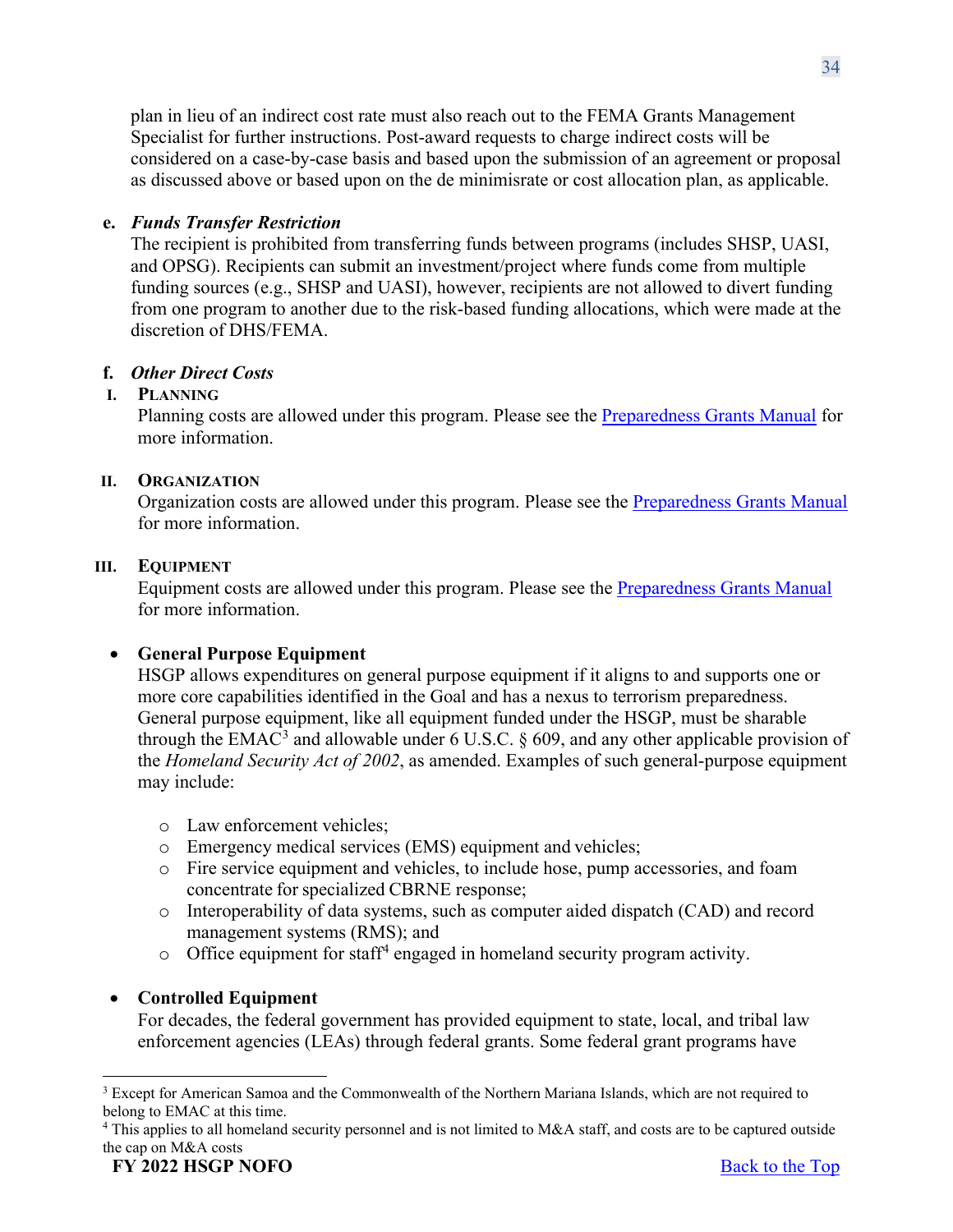plan in lieu of an indirect cost rate must also reach out to the FEMA Grants Management Specialist for further instructions. Post-award requests to charge indirect costs will be considered on a case-by-case basis and based upon the submission of an agreement or proposal as discussed above or based upon on the de minimisrate or cost allocation plan, as applicable.

# **e.** *Funds Transfer Restriction*

The recipient is prohibited from transferring funds between programs (includes SHSP, UASI, and OPSG). Recipients can submit an investment/project where funds come from multiple funding sources (e.g., SHSP and UASI), however, recipients are not allowed to divert funding from one program to another due to the risk-based funding allocations, which were made at the discretion of DHS/FEMA.

# **f.** *Other Direct Costs*

# **I. PLANNING**

Planning costs are allowed under this program. Please see the [Preparedness Grants Manual](https://www.fema.gov/media-library/assets/documents/178291) for more information.

### **II. ORGANIZATION**

Organization costs are allowed under this program. Please see the [Preparedness Grants Manual](https://www.fema.gov/media-library/assets/documents/178291) for more information.

### **III. EQUIPMENT**

Equipment costs are allowed under this program. Please see the [Preparedness Grants Manual](https://www.fema.gov/media-library/assets/documents/178291) for more information.

# • **General Purpose Equipment**

HSGP allows expenditures on general purpose equipment if it aligns to and supports one or more core capabilities identified in the Goal and has a nexus to terrorism preparedness. General purpose equipment, like all equipment funded under the HSGP, must be sharable through the EMAC<sup>[3](#page-33-0)</sup> and allowable under 6 U.S.C.  $\S$  609, and any other applicable provision of the *Homeland Security Act of 2002*, as amended. Examples of such general-purpose equipment may include:

- o Law enforcement vehicles;
- o Emergency medical services (EMS) equipment and vehicles;
- o Fire service equipment and vehicles, to include hose, pump accessories, and foam concentrate for specialized CBRNE response;
- o Interoperability of data systems, such as computer aided dispatch (CAD) and record management systems (RMS); and
- $\circ$  Office equipment for staff<sup>[4](#page-33-1)</sup> engaged in homeland security program activity.

# • **Controlled Equipment**

For decades, the federal government has provided equipment to state, local, and tribal law enforcement agencies (LEAs) through federal grants. Some federal grant programs have

<span id="page-33-0"></span><sup>&</sup>lt;sup>3</sup> Except for American Samoa and the Commonwealth of the Northern Mariana Islands, which are not required to belong to EMAC at this time.

<span id="page-33-1"></span> $4$  This applies to all homeland security personnel and is not limited to M&A staff, and costs are to be captured outside the cap on M&A costs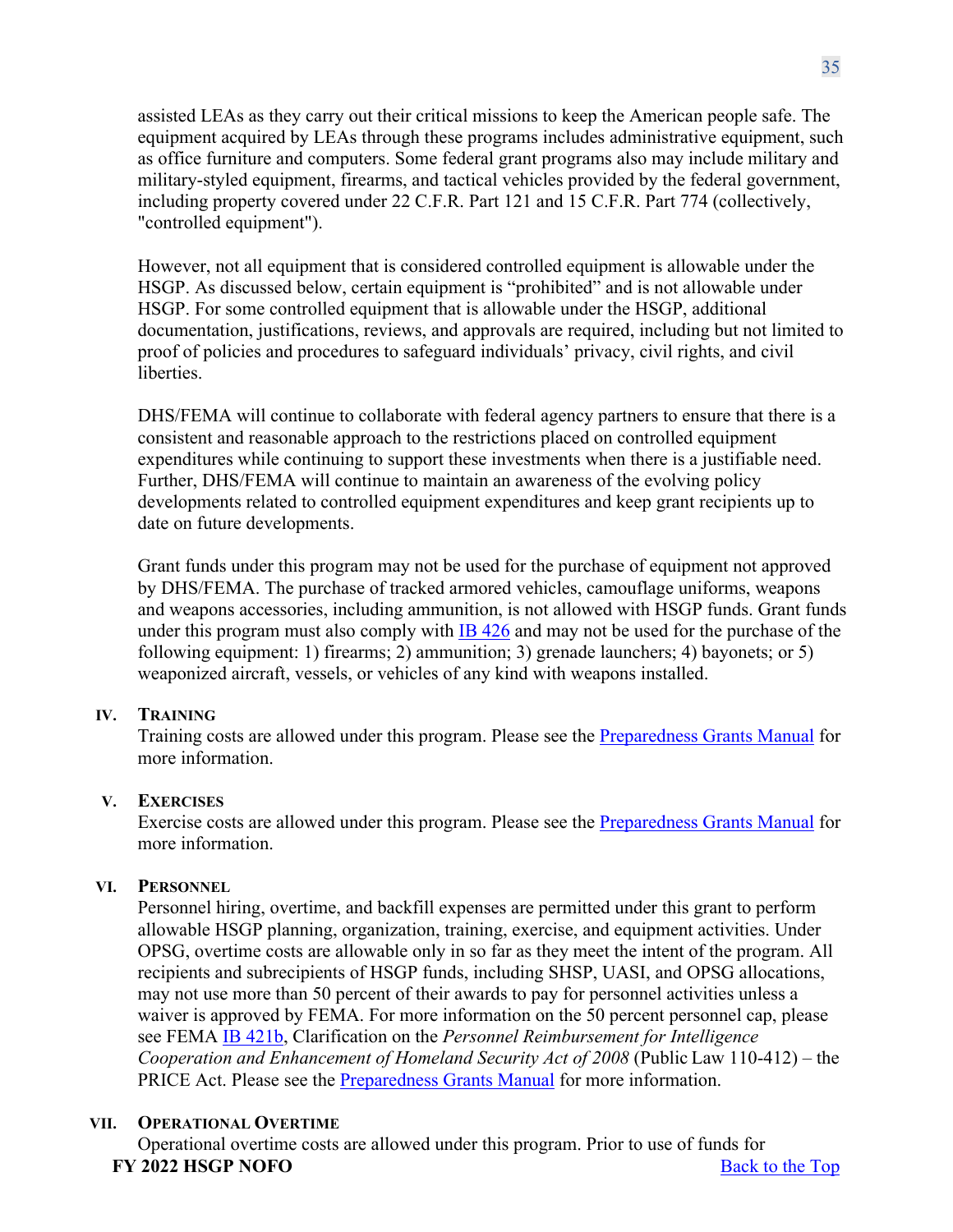assisted LEAs as they carry out their critical missions to keep the American people safe. The equipment acquired by LEAs through these programs includes administrative equipment, such as office furniture and computers. Some federal grant programs also may include military and military-styled equipment, firearms, and tactical vehicles provided by the federal government, including property covered under 22 C.F.R. Part 121 and 15 C.F.R. Part 774 (collectively, "controlled equipment").

However, not all equipment that is considered controlled equipment is allowable under the HSGP. As discussed below, certain equipment is "prohibited" and is not allowable under HSGP. For some controlled equipment that is allowable under the HSGP, additional documentation, justifications, reviews, and approvals are required, including but not limited to proof of policies and procedures to safeguard individuals' privacy, civil rights, and civil liberties.

DHS/FEMA will continue to collaborate with federal agency partners to ensure that there is a consistent and reasonable approach to the restrictions placed on controlled equipment expenditures while continuing to support these investments when there is a justifiable need. Further, DHS/FEMA will continue to maintain an awareness of the evolving policy developments related to controlled equipment expenditures and keep grant recipients up to date on future developments.

Grant funds under this program may not be used for the purchase of equipment not approved by DHS/FEMA. The purchase of tracked armored vehicles, camouflage uniforms, weapons and weapons accessories, including ammunition, is not allowed with HSGP funds. Grant funds under this program must also comply with [IB 426](https://www.fema.gov/sites/default/files/2020-08/ib_426_controlled_equipment_recission__11-1-17.pdf) and may not be used for the purchase of the following equipment: 1) firearms; 2) ammunition; 3) grenade launchers; 4) bayonets; or 5) weaponized aircraft, vessels, or vehicles of any kind with weapons installed.

# **IV. TRAINING**

Training costs are allowed under this program. Please see the [Preparedness Grants Manual](https://www.fema.gov/media-library/assets/documents/178291) for more information.

### **V. EXERCISES**

Exercise costs are allowed under this program. Please see the [Preparedness Grants Manual](https://www.fema.gov/media-library/assets/documents/178291) for more information.

# **VI. PERSONNEL**

Personnel hiring, overtime, and backfill expenses are permitted under this grant to perform allowable HSGP planning, organization, training, exercise, and equipment activities. Under OPSG, overtime costs are allowable only in so far as they meet the intent of the program. All recipients and subrecipients of HSGP funds, including SHSP, UASI, and OPSG allocations, may not use more than 50 percent of their awards to pay for personnel activities unless a waiver is approved by FEMA. For more information on the 50 percent personnel cap, please see FEMA [IB 421b,](https://www.fema.gov/sites/default/files/2020-04/Price_Wavier_Act_Clarification_IB_421B_GPD_Approved.pdf) Clarification on the *Personnel Reimbursement for Intelligence Cooperation and Enhancement of Homeland Security Act of 2008* (Public Law 110-412) – the PRICE Act. Please see the [Preparedness Grants Manual](https://www.fema.gov/media-library/assets/documents/178291) for more information.

# **VII. OPERATIONAL OVERTIME**

**FY** 2022 **HSGP NOFO** Back to the Top Operational overtime costs are allowed under this program. Prior to use of funds for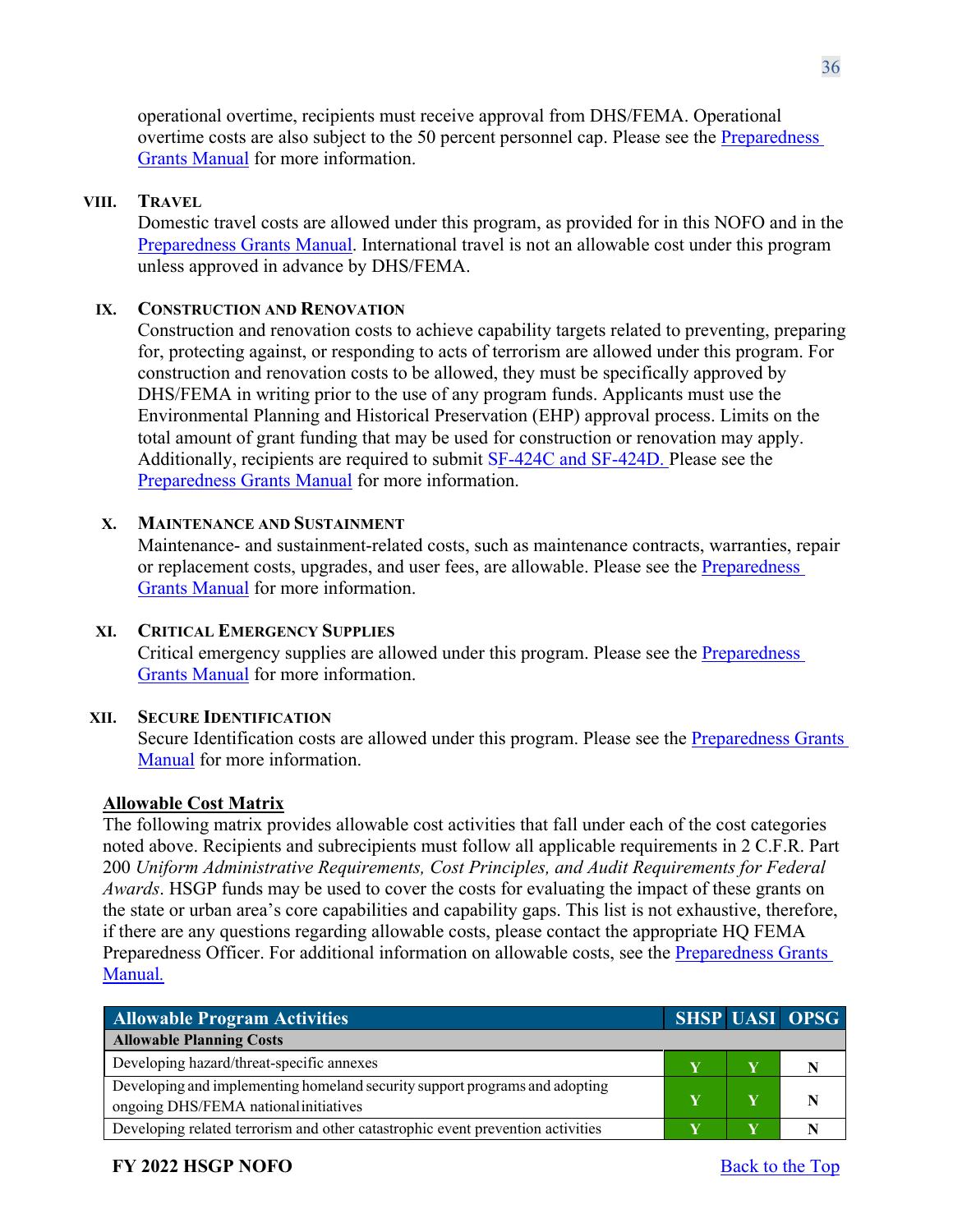operational overtime, recipients must receive approval from DHS/FEMA. Operational overtime costs are also subject to the 50 percent personnel cap. Please see the [Preparedness](https://www.fema.gov/media-library/assets/documents/178291)  [Grants Manual](https://www.fema.gov/media-library/assets/documents/178291) for more information.

#### **VIII. TRAVEL**

Domestic travel costs are allowed under this program, as provided for in this NOFO and in the [Preparedness Grants Manual.](https://www.fema.gov/media-library/assets/documents/178291) International travel is not an allowable cost under this program unless approved in advance by DHS/FEMA.

### **IX. CONSTRUCTION AND RENOVATION**

Construction and renovation costs to achieve capability targets related to preventing, preparing for, protecting against, or responding to acts of terrorism are allowed under this program. For construction and renovation costs to be allowed, they must be specifically approved by DHS/FEMA in writing prior to the use of any program funds. Applicants must use the Environmental Planning and Historical Preservation (EHP) approval process. Limits on the total amount of grant funding that may be used for construction or renovation may apply. Additionally, recipients are required to submit [SF-424C and SF-424D.](https://www.grants.gov/web/grants/forms/sf-424-family.html) Please see the [Preparedness Grants Manual](https://www.fema.gov/media-library/assets/documents/178291) for more information.

#### **X. MAINTENANCE AND SUSTAINMENT**

Maintenance- and sustainment-related costs, such as maintenance contracts, warranties, repair or replacement costs, upgrades, and user fees, are allowable. Please see the [Preparedness](https://www.fema.gov/media-library/assets/documents/178291)  [Grants Manual](https://www.fema.gov/media-library/assets/documents/178291) for more information.

### **XI. CRITICAL EMERGENCY SUPPLIES**

Critical emergency supplies are allowed under this program. Please see the [Preparedness](https://www.fema.gov/media-library/assets/documents/178291)  [Grants Manual](https://www.fema.gov/media-library/assets/documents/178291) for more information.

#### **XII. SECURE IDENTIFICATION**

Secure Identification costs are allowed under this program. Please see the [Preparedness Grants](https://www.fema.gov/media-library/assets/documents/178291)  [Manual](https://www.fema.gov/media-library/assets/documents/178291) for more information.

### **Allowable Cost Matrix**

The following matrix provides allowable cost activities that fall under each of the cost categories noted above. Recipients and subrecipients must follow all applicable requirements in 2 C.F.R. Part 200 *Uniform Administrative Requirements, Cost Principles, and Audit Requirements for Federal Awards*. HSGP funds may be used to cover the costs for evaluating the impact of these grants on the state or urban area's core capabilities and capability gaps. This list is not exhaustive, therefore, if there are any questions regarding allowable costs, please contact the appropriate HQ FEMA Preparedness Officer. For additional information on allowable costs, see the [Preparedness Grants](https://www.fema.gov/media-library/assets/documents/178291)  [Manual](https://www.fema.gov/media-library/assets/documents/178291)*.*

| <b>Allowable Program Activities</b>                                                                                  |  | <b>SHSP UASI OPSG</b> |
|----------------------------------------------------------------------------------------------------------------------|--|-----------------------|
| <b>Allowable Planning Costs</b>                                                                                      |  |                       |
| Developing hazard/threat-specific annexes                                                                            |  |                       |
| Developing and implementing homeland security support programs and adopting<br>ongoing DHS/FEMA national initiatives |  |                       |
| Developing related terrorism and other catastrophic event prevention activities                                      |  |                       |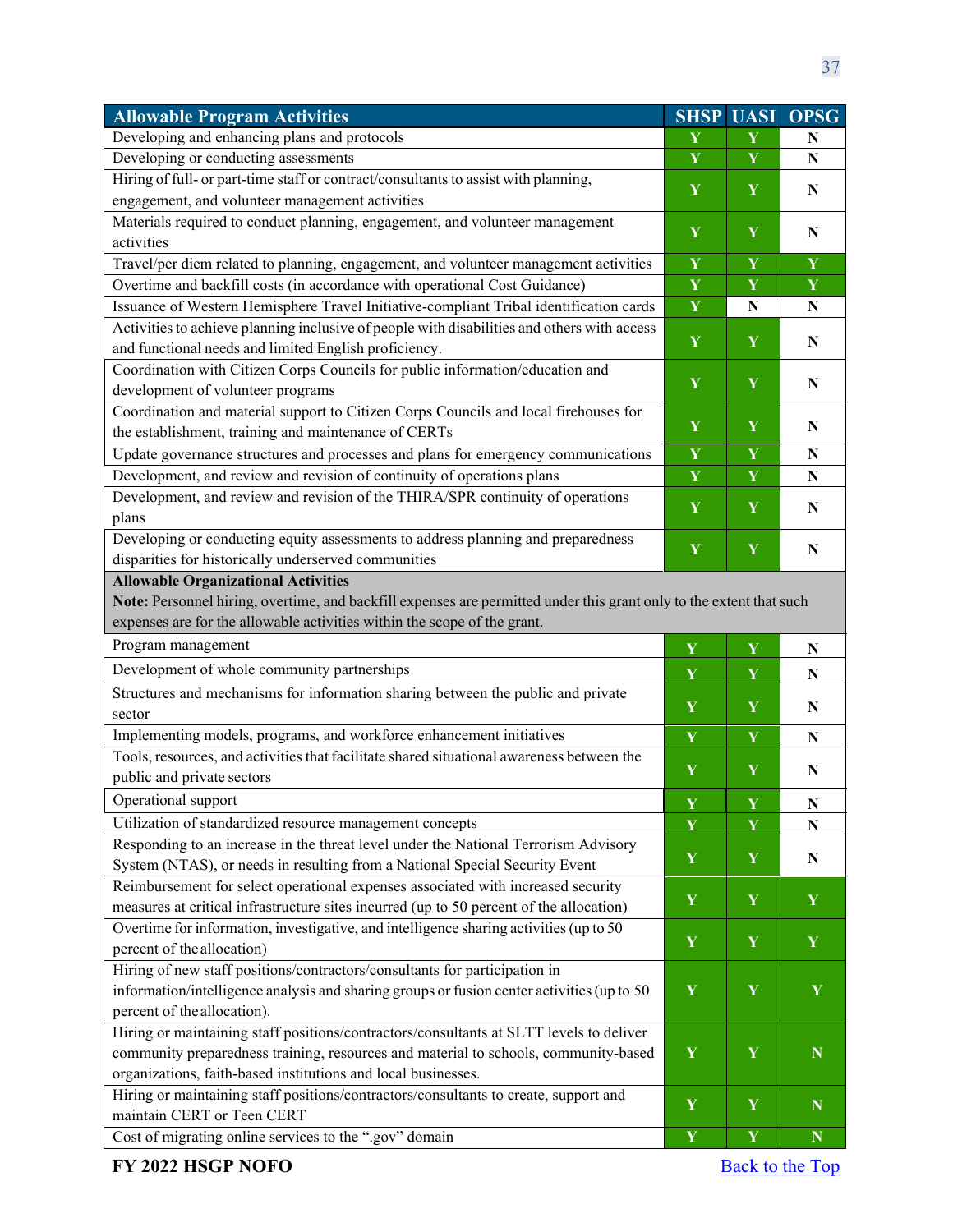| <b>Allowable Program Activities</b>                                                                                 | <b>SHSP</b> | <b>UASI</b> | <b>OPSG</b> |
|---------------------------------------------------------------------------------------------------------------------|-------------|-------------|-------------|
| Developing and enhancing plans and protocols                                                                        | Y           | Y           | N           |
| Developing or conducting assessments                                                                                | Y           | Y           | ${\bf N}$   |
| Hiring of full- or part-time staff or contract/consultants to assist with planning,                                 | Y           | $\mathbf Y$ | ${\bf N}$   |
| engagement, and volunteer management activities                                                                     |             |             |             |
| Materials required to conduct planning, engagement, and volunteer management                                        | Y           | Y           | $\mathbf N$ |
| activities                                                                                                          |             |             |             |
| Travel/per diem related to planning, engagement, and volunteer management activities                                | Y           | Y           | $\mathbf Y$ |
| Overtime and backfill costs (in accordance with operational Cost Guidance)                                          | Y           | Y           | $\mathbf Y$ |
| Issuance of Western Hemisphere Travel Initiative-compliant Tribal identification cards                              | Y           | ${\bf N}$   | N           |
| Activities to achieve planning inclusive of people with disabilities and others with access                         | Y           | $\mathbf Y$ | N           |
| and functional needs and limited English proficiency.                                                               |             |             |             |
| Coordination with Citizen Corps Councils for public information/education and                                       | Y           | Y           | ${\bf N}$   |
| development of volunteer programs                                                                                   |             |             |             |
| Coordination and material support to Citizen Corps Councils and local firehouses for                                |             |             |             |
| the establishment, training and maintenance of CERTs                                                                | Y           | Y           | N           |
| Update governance structures and processes and plans for emergency communications                                   | Y           | Y           | $\mathbf N$ |
| Development, and review and revision of continuity of operations plans                                              | Y           | Y           | ${\bf N}$   |
| Development, and review and revision of the THIRA/SPR continuity of operations                                      | Y           | Y           | N           |
| plans                                                                                                               |             |             |             |
| Developing or conducting equity assessments to address planning and preparedness                                    | Y           | $\mathbf Y$ | $\mathbf N$ |
| disparities for historically underserved communities                                                                |             |             |             |
| <b>Allowable Organizational Activities</b>                                                                          |             |             |             |
| Note: Personnel hiring, overtime, and backfill expenses are permitted under this grant only to the extent that such |             |             |             |
| expenses are for the allowable activities within the scope of the grant.                                            |             |             |             |
| Program management                                                                                                  | Y           | $\mathbf Y$ | ${\bf N}$   |
| Development of whole community partnerships                                                                         | Y           | Y           | ${\bf N}$   |
| Structures and mechanisms for information sharing between the public and private                                    |             |             |             |
| sector                                                                                                              | $\mathbf Y$ | $\mathbf Y$ | N           |
| Implementing models, programs, and workforce enhancement initiatives                                                | $\mathbf Y$ | Y           | ${\bf N}$   |
| Tools, resources, and activities that facilitate shared situational awareness between the                           |             |             |             |
| public and private sectors                                                                                          | $\mathbf Y$ | $\mathbf Y$ | N           |
| Operational support                                                                                                 | $\mathbf Y$ | $\mathbf Y$ | N           |
| Utilization of standardized resource management concepts                                                            | $\mathbf Y$ | Y           | N           |
| Responding to an increase in the threat level under the National Terrorism Advisory                                 |             |             |             |
| System (NTAS), or needs in resulting from a National Special Security Event                                         | $\mathbf Y$ | $\mathbf Y$ | N           |
| Reimbursement for select operational expenses associated with increased security                                    |             |             |             |
| measures at critical infrastructure sites incurred (up to 50 percent of the allocation)                             | $\mathbf Y$ | Y           | Y           |
| Overtime for information, investigative, and intelligence sharing activities (up to 50                              |             |             |             |
| percent of the allocation)                                                                                          | $\mathbf Y$ | $\mathbf Y$ | $\mathbf Y$ |
| Hiring of new staff positions/contractors/consultants for participation in                                          |             |             |             |
| information/intelligence analysis and sharing groups or fusion center activities (up to 50                          | $\mathbf Y$ | $\mathbf Y$ | Y           |
| percent of the allocation).                                                                                         |             |             |             |
| Hiring or maintaining staff positions/contractors/consultants at SLTT levels to deliver                             |             |             |             |
| community preparedness training, resources and material to schools, community-based                                 | $\mathbf Y$ | $\mathbf Y$ | $\mathbf N$ |
| organizations, faith-based institutions and local businesses.                                                       |             |             |             |
| Hiring or maintaining staff positions/contractors/consultants to create, support and                                | $\mathbf Y$ | Y           |             |
| maintain CERT or Teen CERT                                                                                          |             |             | N           |
| Cost of migrating online services to the ".gov" domain                                                              | $\mathbf Y$ | $\mathbf Y$ | $\mathbf N$ |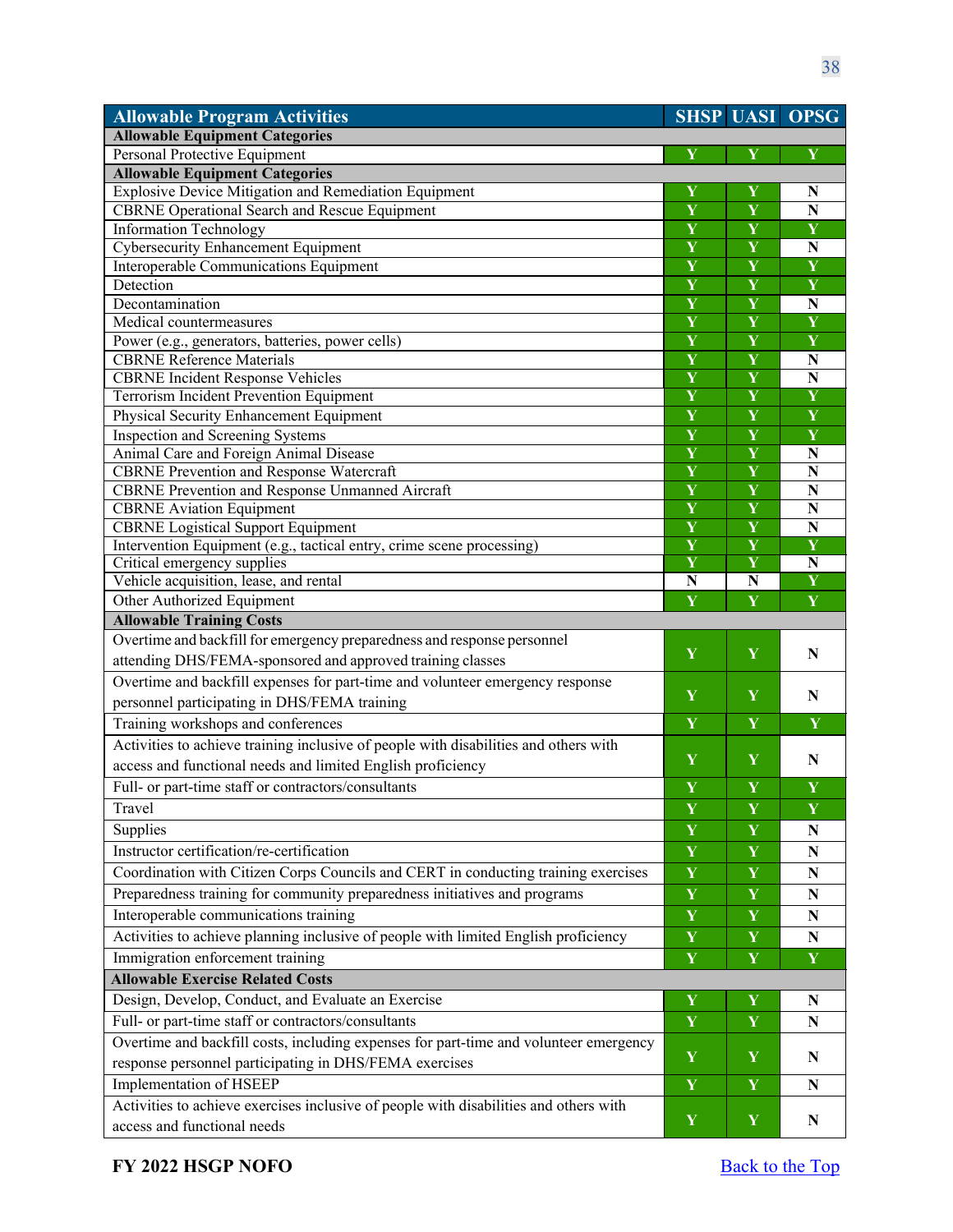| <b>Allowable Program Activities</b>                                                                       |                              |                              | <b>SHSP UASI OPSG</b>   |
|-----------------------------------------------------------------------------------------------------------|------------------------------|------------------------------|-------------------------|
| <b>Allowable Equipment Categories</b>                                                                     |                              |                              |                         |
| Personal Protective Equipment                                                                             | Y                            | Y                            | Y                       |
| <b>Allowable Equipment Categories</b>                                                                     |                              |                              |                         |
| Explosive Device Mitigation and Remediation Equipment                                                     | Y                            | Y                            | N                       |
| CBRNE Operational Search and Rescue Equipment                                                             | Y                            | Y                            | $\mathbf N$             |
| <b>Information Technology</b>                                                                             | Y                            | Y                            | Y                       |
| <b>Cybersecurity Enhancement Equipment</b>                                                                | Y                            | Y                            | N                       |
| Interoperable Communications Equipment                                                                    | $\overline{\mathbf{Y}}$      | $\overline{\mathbf{Y}}$      | $\overline{\mathbf{Y}}$ |
| Detection                                                                                                 | $\overline{\mathbf{Y}}$      | $\overline{\mathbf{Y}}$      | Y                       |
| Decontamination                                                                                           | $\overline{\mathbf{Y}}$      | $\overline{\mathbf{Y}}$      | ${\bf N}$               |
| Medical countermeasures                                                                                   | $\overline{\mathbf{Y}}$      | $\overline{\mathbf{Y}}$      | $\overline{\mathbf{Y}}$ |
| Power (e.g., generators, batteries, power cells)                                                          | $\overline{\mathbf{Y}}$      | $\overline{\mathbf{Y}}$      | $\overline{\mathbf{Y}}$ |
| <b>CBRNE</b> Reference Materials                                                                          | $\overline{\mathbf{Y}}$      | $\overline{\mathbf{Y}}$      | ${\bf N}$               |
| <b>CBRNE</b> Incident Response Vehicles                                                                   | $\overline{\mathbf{Y}}$<br>Y | Y<br>$\overline{\mathbf{Y}}$ | $\overline{\bf N}$<br>Ÿ |
| Terrorism Incident Prevention Equipment                                                                   |                              |                              | Y                       |
| Physical Security Enhancement Equipment                                                                   | Y                            | Y                            |                         |
| Inspection and Screening Systems<br>Animal Care and Foreign Animal Disease                                | Y<br>Y                       | Y<br>Y                       | Y                       |
|                                                                                                           | $\overline{\mathbf{Y}}$      | $\overline{\mathbf{Y}}$      | ${\bf N}$<br>${\bf N}$  |
| <b>CBRNE Prevention and Response Watercraft</b><br><b>CBRNE</b> Prevention and Response Unmanned Aircraft | $\overline{\mathbf{Y}}$      | $\overline{\mathbf{Y}}$      | $\mathbf N$             |
| <b>CBRNE</b> Aviation Equipment                                                                           | $\overline{\mathbf{Y}}$      | $\overline{\mathbf{Y}}$      | $\overline{\bf N}$      |
| <b>CBRNE</b> Logistical Support Equipment                                                                 | Y                            | $\overline{\mathbf{Y}}$      | $\overline{\bf N}$      |
| Intervention Equipment (e.g., tactical entry, crime scene processing)                                     | $\overline{\mathbf{Y}}$      | $\overline{\mathbf{Y}}$      | $\overline{\mathbf{Y}}$ |
| Critical emergency supplies                                                                               | Y                            | Y                            | $\overline{\bf N}$      |
| Vehicle acquisition, lease, and rental                                                                    | $\overline{\bf N}$           | N                            | Ý                       |
| Other Authorized Equipment                                                                                | Y                            | Y                            | Y                       |
| <b>Allowable Training Costs</b>                                                                           |                              |                              |                         |
| Overtime and backfill for emergency preparedness and response personnel                                   |                              |                              |                         |
| attending DHS/FEMA-sponsored and approved training classes                                                | Y                            | Y                            | N                       |
| Overtime and backfill expenses for part-time and volunteer emergency response                             |                              |                              |                         |
| personnel participating in DHS/FEMA training                                                              | Y                            | Y                            | N                       |
| Training workshops and conferences                                                                        | Y                            | Y                            | Y                       |
| Activities to achieve training inclusive of people with disabilities and others with                      |                              |                              |                         |
| access and functional needs and limited English proficiency                                               | Y                            | Y                            | N                       |
| Full- or part-time staff or contractors/consultants                                                       | Y                            | Y                            | Y                       |
| Travel                                                                                                    | Y                            | Y                            | $\mathbf Y$             |
| Supplies                                                                                                  | Y                            | Y                            | N                       |
| Instructor certification/re-certification                                                                 | $\mathbf Y$                  | Y                            | ${\bf N}$               |
| Coordination with Citizen Corps Councils and CERT in conducting training exercises                        | $\mathbf Y$                  | $\mathbf Y$                  | N                       |
| Preparedness training for community preparedness initiatives and programs                                 | $\mathbf Y$                  | Y                            | N                       |
| Interoperable communications training                                                                     | $\mathbf Y$                  | Y                            | N                       |
| Activities to achieve planning inclusive of people with limited English proficiency                       | Y                            | $\mathbf Y$                  | ${\bf N}$               |
| Immigration enforcement training                                                                          | $\mathbf Y$                  | $\mathbf Y$                  | Y                       |
| <b>Allowable Exercise Related Costs</b>                                                                   |                              |                              |                         |
| Design, Develop, Conduct, and Evaluate an Exercise                                                        | $\mathbf Y$                  | Y                            | N                       |
| Full- or part-time staff or contractors/consultants                                                       | $\mathbf Y$                  | Y                            | N                       |
| Overtime and backfill costs, including expenses for part-time and volunteer emergency                     |                              |                              |                         |
| response personnel participating in DHS/FEMA exercises                                                    | $\mathbf Y$                  | $\mathbf Y$                  | N                       |
| Implementation of HSEEP                                                                                   | $\mathbf Y$                  | Y                            | N                       |
| Activities to achieve exercises inclusive of people with disabilities and others with                     |                              |                              |                         |
| access and functional needs                                                                               | $\mathbf Y$                  | $\mathbf Y$                  | ${\bf N}$               |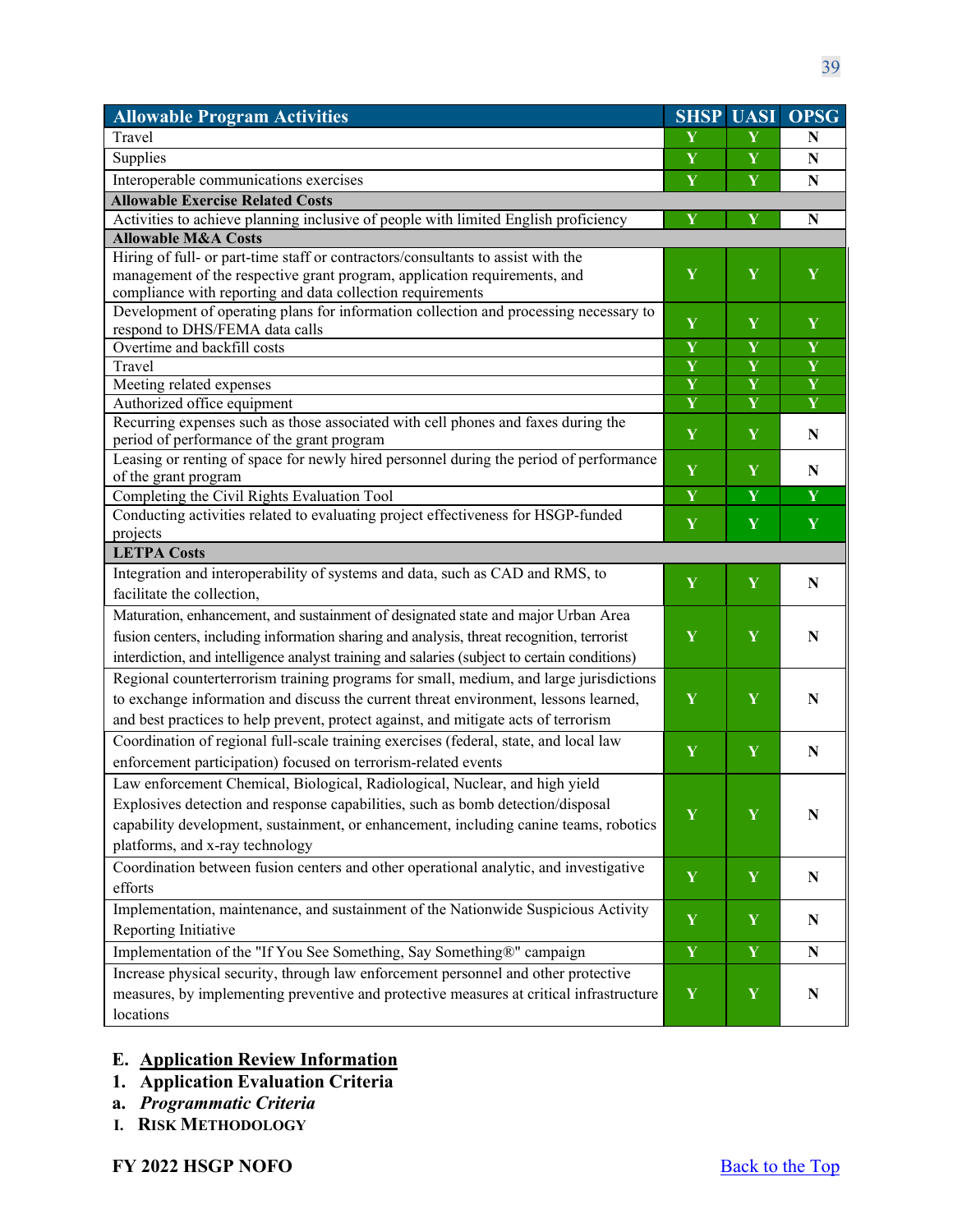| <b>Allowable Program Activities</b>                                                                                     | <b>SHSP</b>             |                         | <b>UASI OPSG</b>        |
|-------------------------------------------------------------------------------------------------------------------------|-------------------------|-------------------------|-------------------------|
| Travel                                                                                                                  | Y                       | Y                       | N                       |
| Supplies                                                                                                                | Y                       | Y                       | ${\bf N}$               |
| Interoperable communications exercises                                                                                  | Y                       | $\mathbf Y$             | ${\bf N}$               |
| <b>Allowable Exercise Related Costs</b>                                                                                 |                         |                         |                         |
| Activities to achieve planning inclusive of people with limited English proficiency                                     | Y                       | Y                       | ${\bf N}$               |
| <b>Allowable M&amp;A Costs</b>                                                                                          |                         |                         |                         |
| Hiring of full- or part-time staff or contractors/consultants to assist with the                                        |                         |                         |                         |
| management of the respective grant program, application requirements, and                                               | Y                       | Y                       | Y                       |
| compliance with reporting and data collection requirements                                                              |                         |                         |                         |
| Development of operating plans for information collection and processing necessary to<br>respond to DHS/FEMA data calls | Y                       | Y                       | Y                       |
| Overtime and backfill costs                                                                                             | $\overline{\mathbf{Y}}$ | $\overline{\mathbf{Y}}$ | $\overline{\mathbf{Y}}$ |
| Travel                                                                                                                  | Y                       | $\overline{\mathbf{Y}}$ | $\overline{\mathbf{Y}}$ |
| Meeting related expenses                                                                                                | Y                       | $\overline{\mathbf{Y}}$ | $\overline{\mathbf{Y}}$ |
| Authorized office equipment                                                                                             | $\overline{\mathbf{Y}}$ | $\overline{\mathbf{Y}}$ | $\overline{\mathbf{Y}}$ |
| Recurring expenses such as those associated with cell phones and faxes during the                                       |                         |                         |                         |
| period of performance of the grant program                                                                              | Y                       | Y                       | N                       |
| Leasing or renting of space for newly hired personnel during the period of performance                                  |                         |                         |                         |
| of the grant program                                                                                                    | Y                       | Y                       | N                       |
| Completing the Civil Rights Evaluation Tool                                                                             | Y                       | Y                       | $\mathbf Y$             |
| Conducting activities related to evaluating project effectiveness for HSGP-funded                                       | Y                       | Y                       | Y                       |
| projects                                                                                                                |                         |                         |                         |
| <b>LETPA Costs</b>                                                                                                      |                         |                         |                         |
| Integration and interoperability of systems and data, such as CAD and RMS, to                                           | Y                       | Y                       | N                       |
| facilitate the collection,                                                                                              |                         |                         |                         |
| Maturation, enhancement, and sustainment of designated state and major Urban Area                                       |                         | Y                       |                         |
| fusion centers, including information sharing and analysis, threat recognition, terrorist                               | Y                       |                         | N                       |
| interdiction, and intelligence analyst training and salaries (subject to certain conditions)                            |                         |                         |                         |
| Regional counterterrorism training programs for small, medium, and large jurisdictions                                  |                         | Y                       | N                       |
| to exchange information and discuss the current threat environment, lessons learned,                                    | $\mathbf Y$             |                         |                         |
| and best practices to help prevent, protect against, and mitigate acts of terrorism                                     |                         |                         |                         |
| Coordination of regional full-scale training exercises (federal, state, and local law                                   | Y                       | Y                       |                         |
| enforcement participation) focused on terrorism-related events                                                          |                         |                         | N                       |
| Law enforcement Chemical, Biological, Radiological, Nuclear, and high yield                                             |                         |                         |                         |
| Explosives detection and response capabilities, such as bomb detection/disposal                                         |                         |                         |                         |
| capability development, sustainment, or enhancement, including canine teams, robotics                                   | $\mathbf Y$             | Y                       | $\mathbf N$             |
| platforms, and x-ray technology                                                                                         |                         |                         |                         |
| Coordination between fusion centers and other operational analytic, and investigative                                   |                         |                         |                         |
| efforts                                                                                                                 | Y                       | Y                       | ${\bf N}$               |
| Implementation, maintenance, and sustainment of the Nationwide Suspicious Activity                                      |                         |                         |                         |
| Reporting Initiative                                                                                                    | $\mathbf Y$             | $\mathbf Y$             | N                       |
| Implementation of the "If You See Something, Say Something®" campaign                                                   | Y                       | Y                       | N                       |
| Increase physical security, through law enforcement personnel and other protective                                      |                         |                         |                         |
| measures, by implementing preventive and protective measures at critical infrastructure                                 | $\mathbf Y$             | $\mathbf Y$             | ${\bf N}$               |
| locations                                                                                                               |                         |                         |                         |
|                                                                                                                         |                         |                         |                         |

### <span id="page-38-0"></span>**E. Application Review Information**

- <span id="page-38-1"></span>**1. Application Evaluation Criteria**
- **a.** *Programmatic Criteria*
- **I. RISK METHODOLOGY**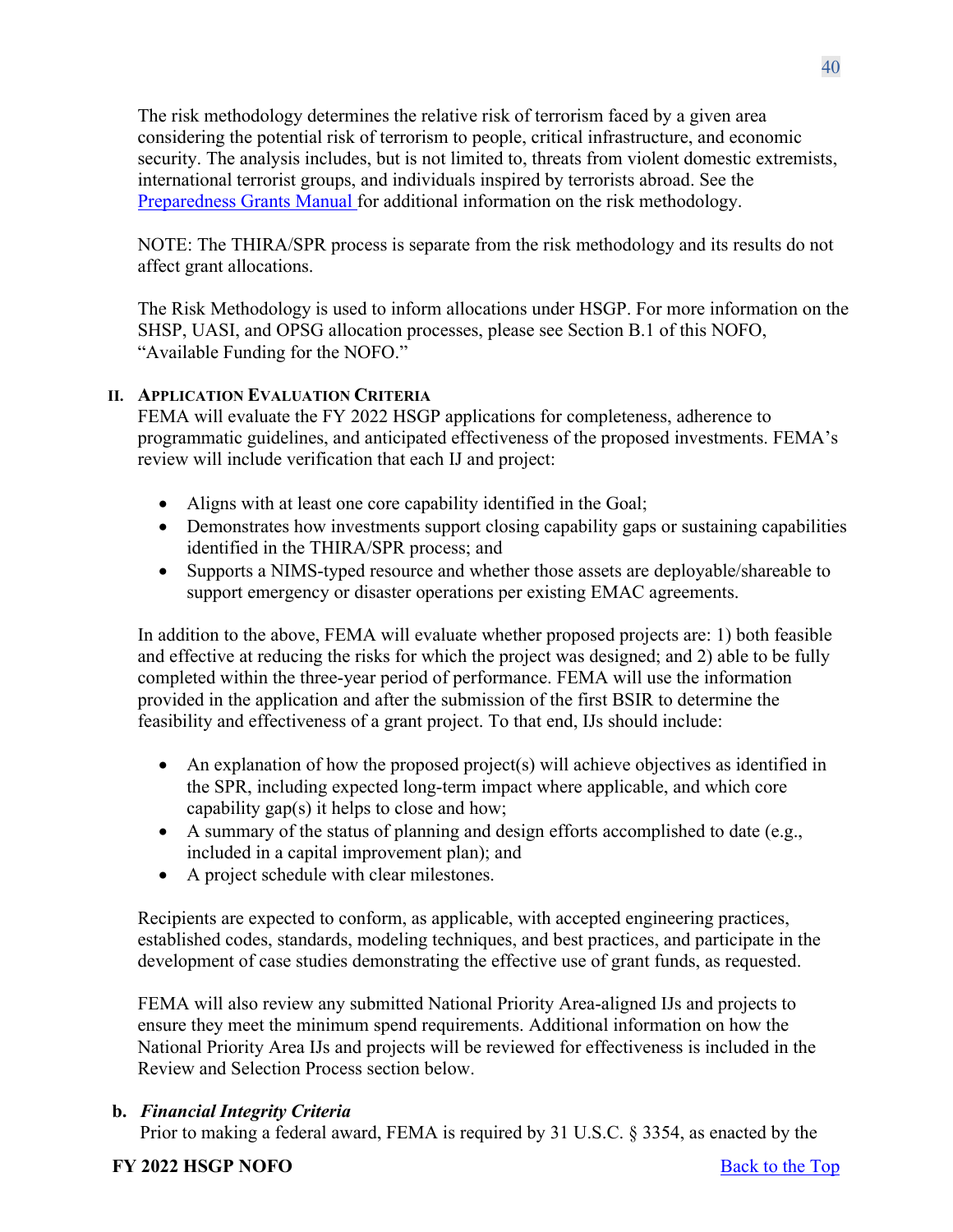The risk methodology determines the relative risk of terrorism faced by a given area considering the potential risk of terrorism to people, critical infrastructure, and economic security. The analysis includes, but is not limited to, threats from violent domestic extremists, international terrorist groups, and individuals inspired by terrorists abroad. See the [Preparedness Grants Manual f](https://www.fema.gov/media-library/assets/documents/178291)or additional information on the risk methodology.

NOTE: The THIRA/SPR process is separate from the risk methodology and its results do not affect grant allocations.

The Risk Methodology is used to inform allocations under HSGP. For more information on the SHSP, UASI, and OPSG allocation processes, please see Section B.1 of this NOFO, "Available Funding for the NOFO."

# **II. APPLICATION EVALUATION CRITERIA**

FEMA will evaluate the FY 2022 HSGP applications for completeness, adherence to programmatic guidelines, and anticipated effectiveness of the proposed investments. FEMA's review will include verification that each IJ and project:

- Aligns with at least one core capability identified in the Goal;
- Demonstrates how investments support closing capability gaps or sustaining capabilities identified in the THIRA/SPR process; and
- Supports a NIMS-typed resource and whether those assets are deployable/shareable to support emergency or disaster operations per existing EMAC agreements.

In addition to the above, FEMA will evaluate whether proposed projects are: 1) both feasible and effective at reducing the risks for which the project was designed; and 2) able to be fully completed within the three-year period of performance. FEMA will use the information provided in the application and after the submission of the first BSIR to determine the feasibility and effectiveness of a grant project. To that end, IJs should include:

- An explanation of how the proposed project(s) will achieve objectives as identified in the SPR, including expected long-term impact where applicable, and which core capability gap(s) it helps to close and how;
- A summary of the status of planning and design efforts accomplished to date (e.g., included in a capital improvement plan); and
- A project schedule with clear milestones.

Recipients are expected to conform, as applicable, with accepted engineering practices, established codes, standards, modeling techniques, and best practices, and participate in the development of case studies demonstrating the effective use of grant funds, as requested.

FEMA will also review any submitted National Priority Area-aligned IJs and projects to ensure they meet the minimum spend requirements. Additional information on how the National Priority Area IJs and projects will be reviewed for effectiveness is included in the Review and Selection Process section below.

### **b.** *Financial Integrity Criteria*

Prior to making a federal award, FEMA is required by 31 U.S.C. § 3354, as enacted by the

### **FY** 2022 **HSGP NOFO** Back to the Top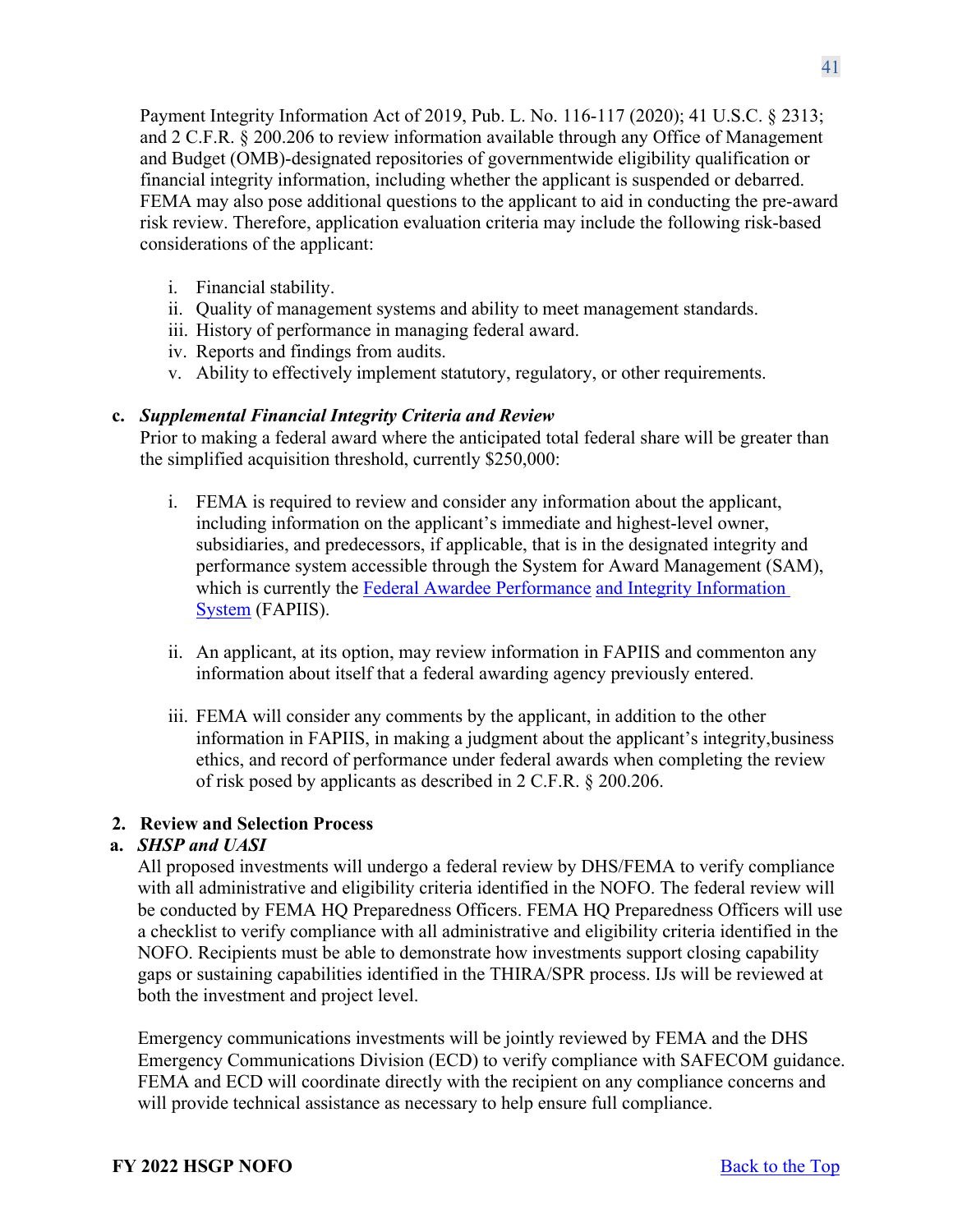Payment Integrity Information Act of 2019, Pub. L. No. 116-117 (2020); 41 U.S.C. § 2313; and 2 C.F.R. § 200.206 to review information available through any Office of Management and Budget (OMB)-designated repositories of governmentwide eligibility qualification or financial integrity information, including whether the applicant is suspended or debarred. FEMA may also pose additional questions to the applicant to aid in conducting the pre-award risk review. Therefore, application evaluation criteria may include the following risk-based considerations of the applicant:

- i. Financial stability.
- ii. Quality of management systems and ability to meet management standards.
- iii. History of performance in managing federal award.
- iv. Reports and findings from audits.
- v. Ability to effectively implement statutory, regulatory, or other requirements.

### **c.** *Supplemental Financial Integrity Criteria and Review*

Prior to making a federal award where the anticipated total federal share will be greater than the simplified acquisition threshold, currently \$250,000:

- i. FEMA is required to review and consider any information about the applicant, including information on the applicant's immediate and highest-level owner, subsidiaries, and predecessors, if applicable, that is in the designated integrity and performance system accessible through the System for Award Management (SAM), which is currently the [Federal Awardee Performance](https://www.fapiis.gov/fapiis/#/home) [and Integrity Information](https://www.fapiis.gov/fapiis/%23/home) [System](https://www.fapiis.gov/fapiis/%23/home) (FAPIIS).
- ii. An applicant, at its option, may review information in FAPIIS and commenton any information about itself that a federal awarding agency previously entered.
- iii. FEMA will consider any comments by the applicant, in addition to the other information in FAPIIS, in making a judgment about the applicant's integrity, business ethics, and record of performance under federal awards when completing the review of risk posed by applicants as described in 2 C.F.R. § 200.206.

# <span id="page-40-0"></span>**2. Review and Selection Process**

# **a.** *SHSP and UASI*

All proposed investments will undergo a federal review by DHS/FEMA to verify compliance with all administrative and eligibility criteria identified in the NOFO. The federal review will be conducted by FEMA HQ Preparedness Officers. FEMA HQ Preparedness Officers will use a checklist to verify compliance with all administrative and eligibility criteria identified in the NOFO. Recipients must be able to demonstrate how investments support closing capability gaps or sustaining capabilities identified in the THIRA/SPR process. IJs will be reviewed at both the investment and project level.

Emergency communications investments will be jointly reviewed by FEMA and the DHS Emergency Communications Division (ECD) to verify compliance with SAFECOM guidance. FEMA and ECD will coordinate directly with the recipient on any compliance concerns and will provide technical assistance as necessary to help ensure full compliance.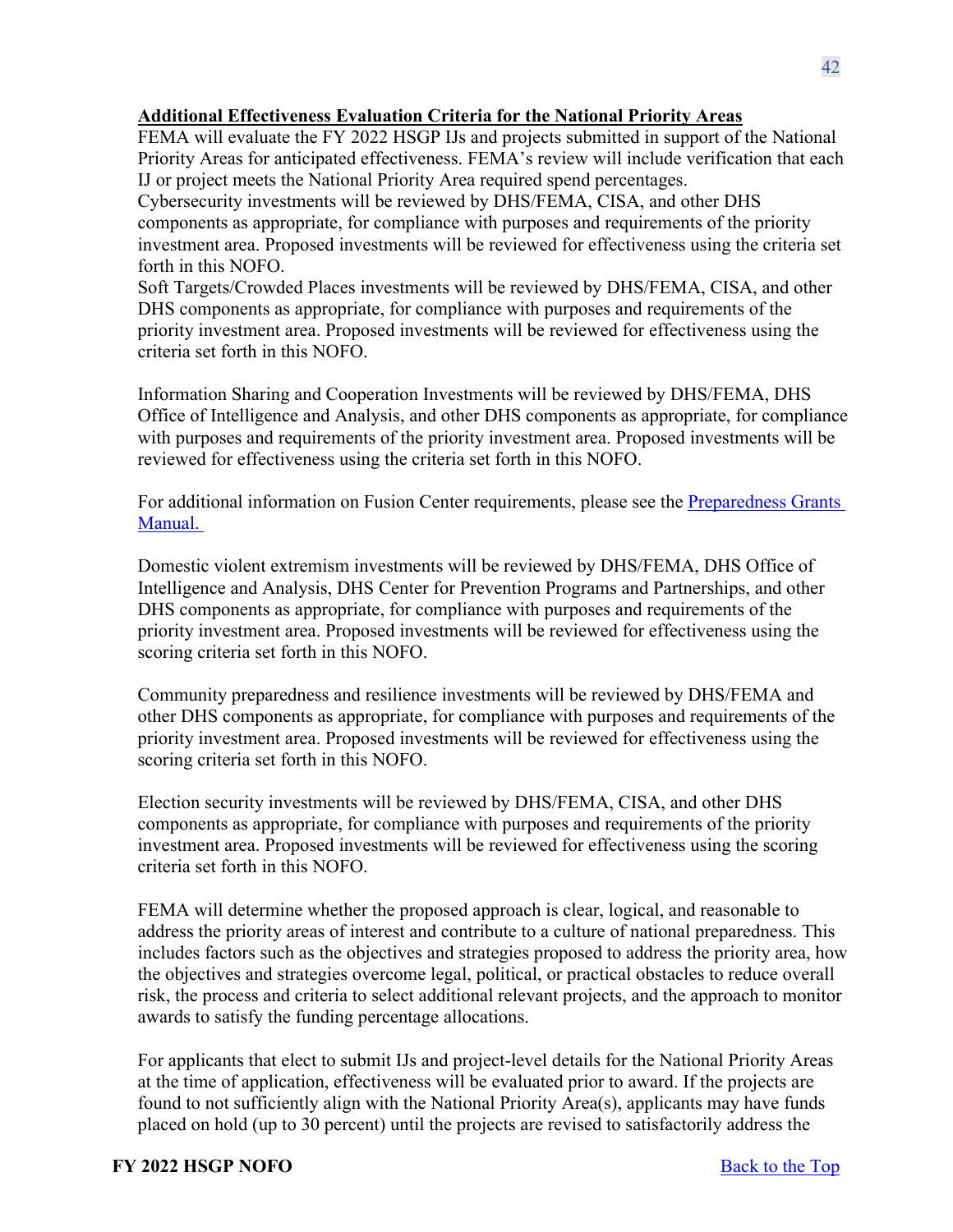### **Additional Effectiveness Evaluation Criteria for the National Priority Areas**

FEMA will evaluate the FY 2022 HSGP IJs and projects submitted in support of the National Priority Areas for anticipated effectiveness. FEMA's review will include verification that each IJ or project meets the National Priority Area required spend percentages.

Cybersecurity investments will be reviewed by DHS/FEMA, CISA, and other DHS components as appropriate, for compliance with purposes and requirements of the priority investment area. Proposed investments will be reviewed for effectiveness using the criteria set forth in this NOFO.

Soft Targets/Crowded Places investments will be reviewed by DHS/FEMA, CISA, and other DHS components as appropriate, for compliance with purposes and requirements of the priority investment area. Proposed investments will be reviewed for effectiveness using the criteria set forth in this NOFO.

Information Sharing and Cooperation Investments will be reviewed by DHS/FEMA, DHS Office of Intelligence and Analysis, and other DHS components as appropriate, for compliance with purposes and requirements of the priority investment area. Proposed investments will be reviewed for effectiveness using the criteria set forth in this NOFO.

For additional information on Fusion Center requirements, please see the [Preparedness Grants](https://www.fema.gov/media-library/assets/documents/178291)  [Manual.](https://www.fema.gov/media-library/assets/documents/178291)

Domestic violent extremism investments will be reviewed by DHS/FEMA, DHS Office of Intelligence and Analysis, DHS Center for Prevention Programs and Partnerships, and other DHS components as appropriate, for compliance with purposes and requirements of the priority investment area. Proposed investments will be reviewed for effectiveness using the scoring criteria set forth in this NOFO.

Community preparedness and resilience investments will be reviewed by DHS/FEMA and other DHS components as appropriate, for compliance with purposes and requirements of the priority investment area. Proposed investments will be reviewed for effectiveness using the scoring criteria set forth in this NOFO.

Election security investments will be reviewed by DHS/FEMA, CISA, and other DHS components as appropriate, for compliance with purposes and requirements of the priority investment area. Proposed investments will be reviewed for effectiveness using the scoring criteria set forth in this NOFO.

FEMA will determine whether the proposed approach is clear, logical, and reasonable to address the priority areas of interest and contribute to a culture of national preparedness. This includes factors such as the objectives and strategies proposed to address the priority area, how the objectives and strategies overcome legal, political, or practical obstacles to reduce overall risk, the process and criteria to select additional relevant projects, and the approach to monitor awards to satisfy the funding percentage allocations.

For applicants that elect to submit IJs and project-level details for the National Priority Areas at the time of application, effectiveness will be evaluated prior to award. If the projects are found to not sufficiently align with the National Priority Area(s), applicants may have funds placed on hold (up to 30 percent) until the projects are revised to satisfactorily address the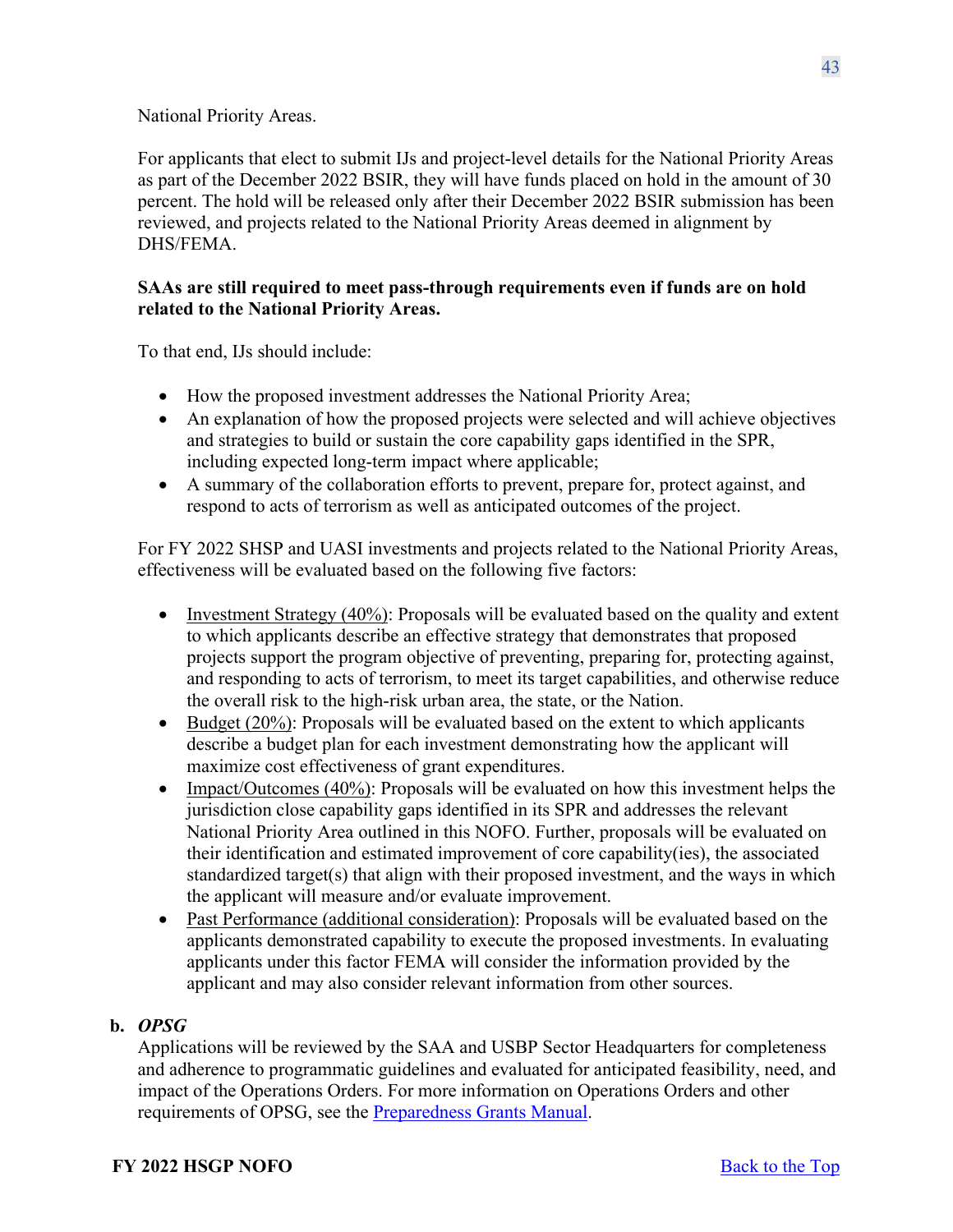National Priority Areas.

For applicants that elect to submit IJs and project-level details for the National Priority Areas as part of the December 2022 BSIR, they will have funds placed on hold in the amount of 30 percent. The hold will be released only after their December 2022 BSIR submission has been reviewed, and projects related to the National Priority Areas deemed in alignment by DHS/FEMA.

### **SAAs are still required to meet pass-through requirements even if funds are on hold related to the National Priority Areas.**

To that end, IJs should include:

- How the proposed investment addresses the National Priority Area;
- An explanation of how the proposed projects were selected and will achieve objectives and strategies to build or sustain the core capability gaps identified in the SPR, including expected long-term impact where applicable;
- A summary of the collaboration efforts to prevent, prepare for, protect against, and respond to acts of terrorism as well as anticipated outcomes of the project.

For FY 2022 SHSP and UASI investments and projects related to the National Priority Areas, effectiveness will be evaluated based on the following five factors:

- Investment Strategy (40%): Proposals will be evaluated based on the quality and extent to which applicants describe an effective strategy that demonstrates that proposed projects support the program objective of preventing, preparing for, protecting against, and responding to acts of terrorism, to meet its target capabilities, and otherwise reduce the overall risk to the high-risk urban area, the state, or the Nation.
- Budget  $(20\%)$ : Proposals will be evaluated based on the extent to which applicants describe a budget plan for each investment demonstrating how the applicant will maximize cost effectiveness of grant expenditures.
- Impact/Outcomes (40%): Proposals will be evaluated on how this investment helps the jurisdiction close capability gaps identified in its SPR and addresses the relevant National Priority Area outlined in this NOFO. Further, proposals will be evaluated on their identification and estimated improvement of core capability(ies), the associated standardized target(s) that align with their proposed investment, and the ways in which the applicant will measure and/or evaluate improvement.
- Past Performance (additional consideration): Proposals will be evaluated based on the applicants demonstrated capability to execute the proposed investments. In evaluating applicants under this factor FEMA will consider the information provided by the applicant and may also consider relevant information from other sources.

# **b.** *OPSG*

Applications will be reviewed by the SAA and USBP Sector Headquarters for completeness and adherence to programmatic guidelines and evaluated for anticipated feasibility, need, and impact of the Operations Orders. For more information on Operations Orders and other requirements of OPSG, see the [Preparedness Grants Manual.](https://www.fema.gov/media-library/assets/documents/178291)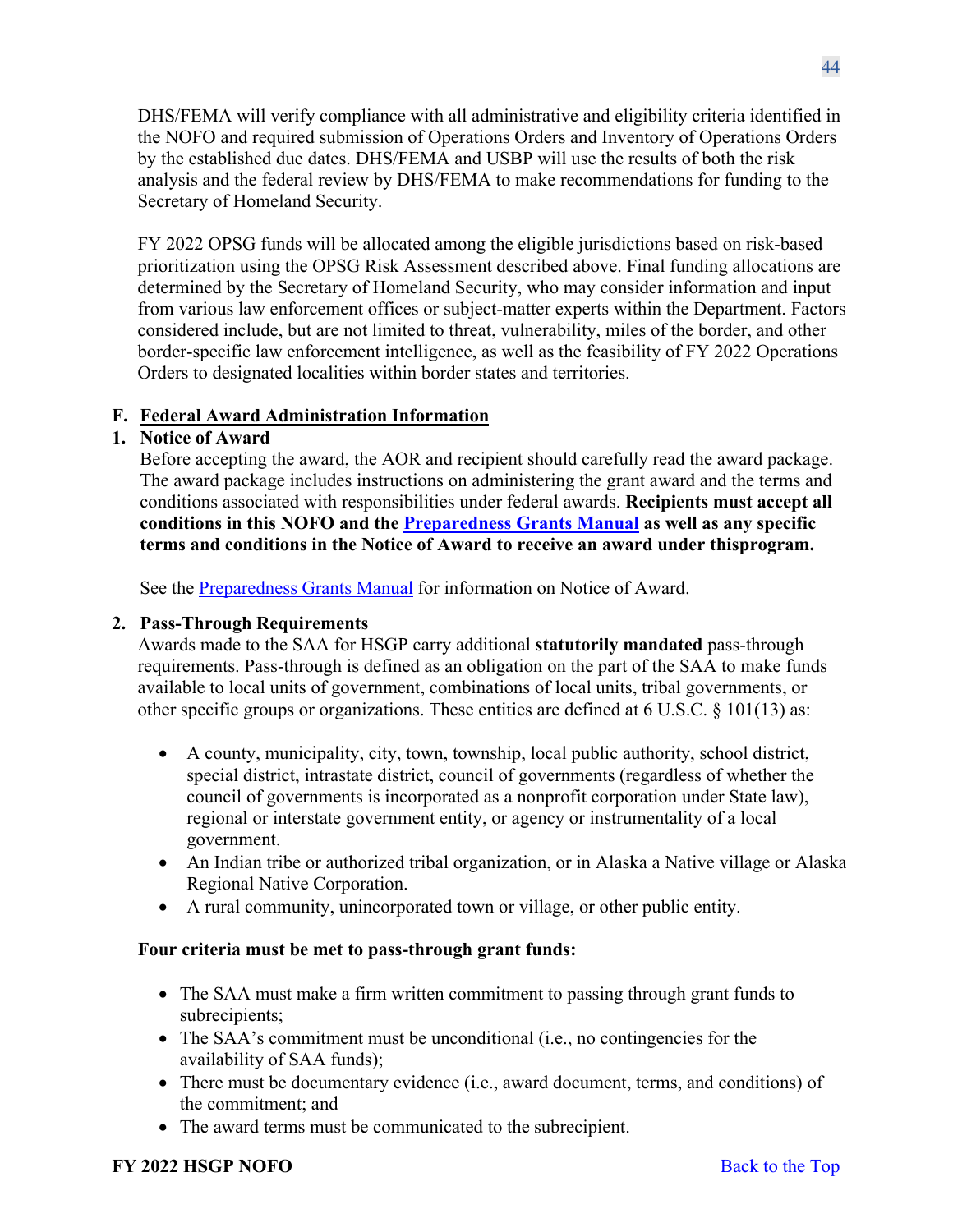DHS/FEMA will verify compliance with all administrative and eligibility criteria identified in the NOFO and required submission of Operations Orders and Inventory of Operations Orders by the established due dates. DHS/FEMA and USBP will use the results of both the risk analysis and the federal review by DHS/FEMA to make recommendations for funding to the Secretary of Homeland Security.

FY 2022 OPSG funds will be allocated among the eligible jurisdictions based on risk-based prioritization using the OPSG Risk Assessment described above. Final funding allocations are determined by the Secretary of Homeland Security, who may consider information and input from various law enforcement offices or subject-matter experts within the Department. Factors considered include, but are not limited to threat, vulnerability, miles of the border, and other border-specific law enforcement intelligence, as well as the feasibility of FY 2022 Operations Orders to designated localities within border states and territories.

### <span id="page-43-0"></span>**F. Federal Award Administration Information**

### <span id="page-43-1"></span>**1. Notice of Award**

Before accepting the award, the AOR and recipient should carefully read the award package. The award package includes instructions on administering the grant award and the terms and conditions associated with responsibilities under federal awards. **Recipients must accept all conditions in this NOFO and the [Preparedness Grants Manual](https://www.fema.gov/media-library/assets/documents/178291) as well as any specific terms and conditions in the Notice of Award to receive an award under thisprogram.**

See the [Preparedness](https://www.fema.gov/media-library/assets/documents/178291) Grants Manual for information on Notice of Award.

### <span id="page-43-2"></span>**2. Pass-Through Requirements**

Awards made to the SAA for HSGP carry additional **statutorily mandated** pass-through requirements. Pass-through is defined as an obligation on the part of the SAA to make funds available to local units of government, combinations of local units, tribal governments, or other specific groups or organizations. These entities are defined at 6 U.S.C. § 101(13) as:

- A county, municipality, city, town, township, local public authority, school district, special district, intrastate district, council of governments (regardless of whether the council of governments is incorporated as a nonprofit corporation under State law), regional or interstate government entity, or agency or instrumentality of a local government.
- An Indian tribe or authorized tribal organization, or in Alaska a Native village or Alaska Regional Native Corporation.
- A rural community, unincorporated town or village, or other public entity.

### **Four criteria must be met to pass-through grant funds:**

- The SAA must make a firm written commitment to passing through grant funds to subrecipients;
- The SAA's commitment must be unconditional (i.e., no contingencies for the availability of SAA funds);
- There must be documentary evidence (i.e., award document, terms, and conditions) of the commitment; and
- The award terms must be communicated to the subrecipient.

### **FY** 2022 **HSGP NOFO** Back to the Top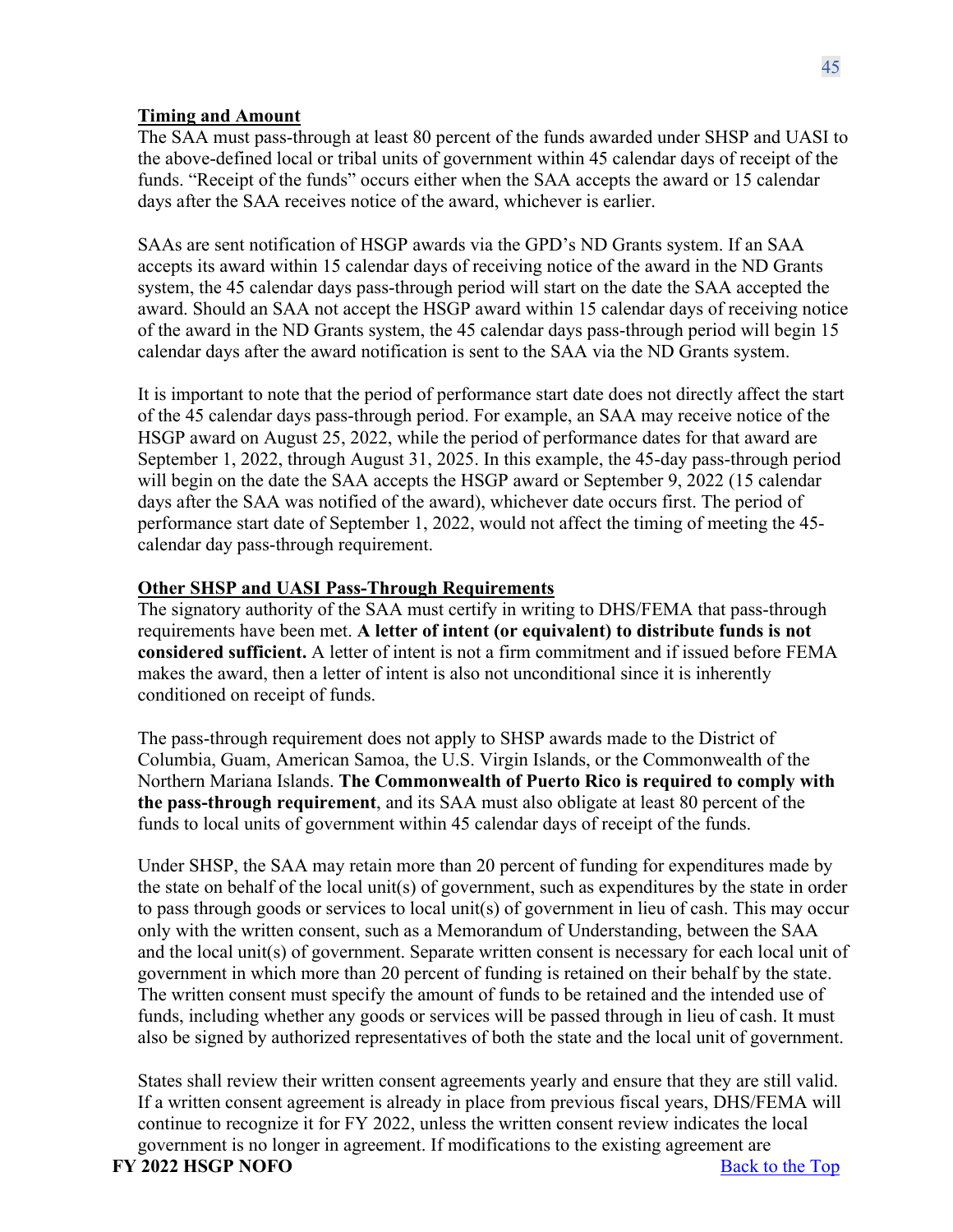### **Timing and Amount**

The SAA must pass-through at least 80 percent of the funds awarded under SHSP and UASI to the above-defined local or tribal units of government within 45 calendar days of receipt of the funds. "Receipt of the funds" occurs either when the SAA accepts the award or 15 calendar days after the SAA receives notice of the award, whichever is earlier.

SAAs are sent notification of HSGP awards via the GPD's ND Grants system. If an SAA accepts its award within 15 calendar days of receiving notice of the award in the ND Grants system, the 45 calendar days pass-through period will start on the date the SAA accepted the award. Should an SAA not accept the HSGP award within 15 calendar days of receiving notice of the award in the ND Grants system, the 45 calendar days pass-through period will begin 15 calendar days after the award notification is sent to the SAA via the ND Grants system.

It is important to note that the period of performance start date does not directly affect the start of the 45 calendar days pass-through period. For example, an SAA may receive notice of the HSGP award on August 25, 2022, while the period of performance dates for that award are September 1, 2022, through August 31, 2025. In this example, the 45-day pass-through period will begin on the date the SAA accepts the HSGP award or September 9, 2022 (15 calendar days after the SAA was notified of the award), whichever date occurs first. The period of performance start date of September 1, 2022, would not affect the timing of meeting the 45 calendar day pass-through requirement.

### **Other SHSP and UASI Pass-Through Requirements**

The signatory authority of the SAA must certify in writing to DHS/FEMA that pass-through requirements have been met. **A letter of intent (or equivalent) to distribute funds is not considered sufficient.** A letter of intent is not a firm commitment and if issued before FEMA makes the award, then a letter of intent is also not unconditional since it is inherently conditioned on receipt of funds.

The pass-through requirement does not apply to SHSP awards made to the District of Columbia, Guam, American Samoa, the U.S. Virgin Islands, or the Commonwealth of the Northern Mariana Islands. **The Commonwealth of Puerto Rico is required to comply with the pass-through requirement**, and its SAA must also obligate at least 80 percent of the funds to local units of government within 45 calendar days of receipt of the funds.

Under SHSP, the SAA may retain more than 20 percent of funding for expenditures made by the state on behalf of the local unit(s) of government, such as expenditures by the state in order to pass through goods or services to local unit(s) of government in lieu of cash. This may occur only with the written consent, such as a Memorandum of Understanding, between the SAA and the local unit(s) of government. Separate written consent is necessary for each local unit of government in which more than 20 percent of funding is retained on their behalf by the state. The written consent must specify the amount of funds to be retained and the intended use of funds, including whether any goods or services will be passed through in lieu of cash. It must also be signed by authorized representatives of both the state and the local unit of government.

States shall review their written consent agreements yearly and ensure that they are still valid. If a written consent agreement is already in place from previous fiscal years, DHS/FEMA will continue to recognize it for FY 2022, unless the written consent review indicates the local government is no longer in agreement. If modifications to the existing agreement are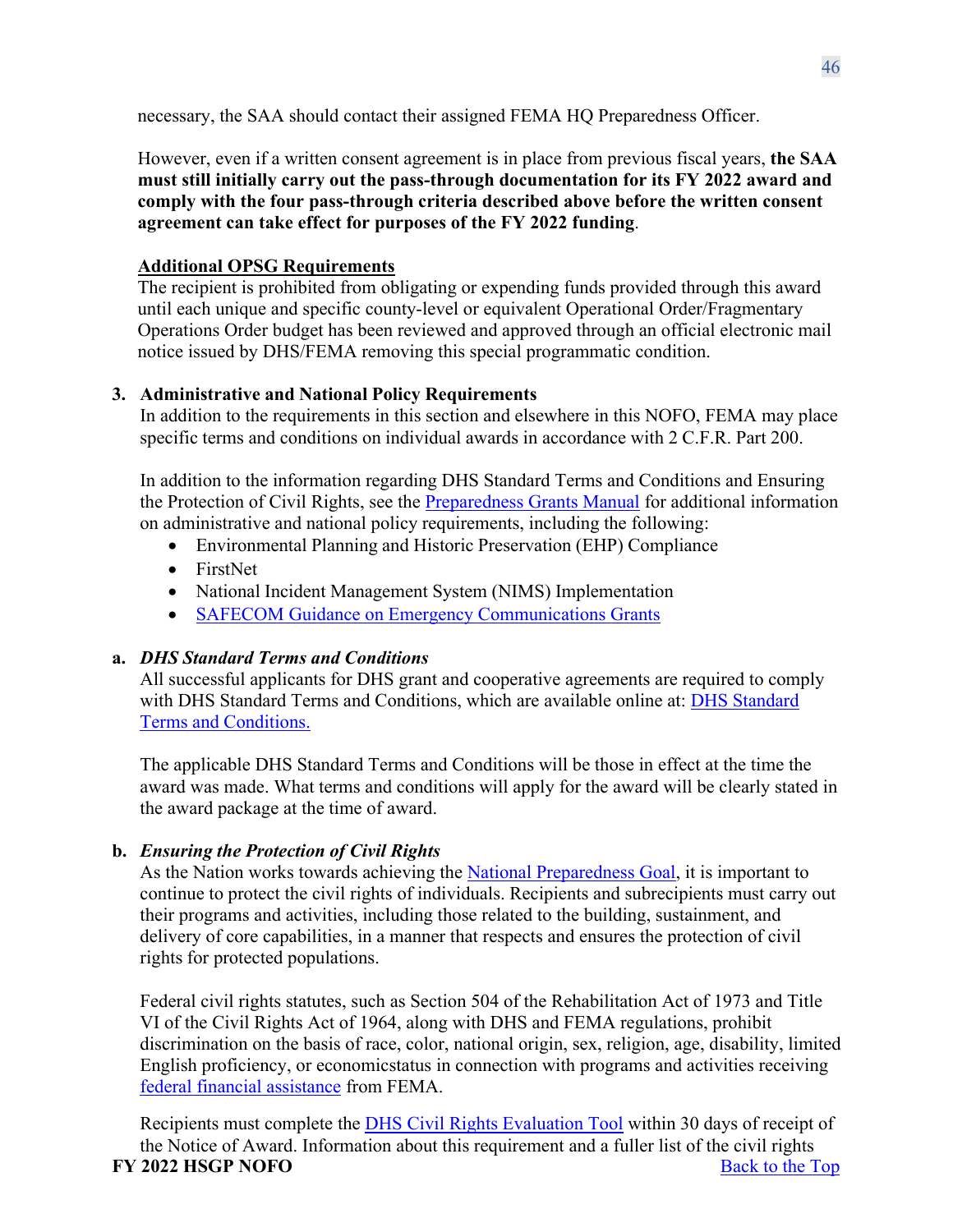necessary, the SAA should contact their assigned FEMA HQ Preparedness Officer.

However, even if a written consent agreement is in place from previous fiscal years, **the SAA must still initially carry out the pass-through documentation for its FY 2022 award and comply with the four pass-through criteria described above before the written consent agreement can take effect for purposes of the FY 2022 funding**.

# **Additional OPSG Requirements**

The recipient is prohibited from obligating or expending funds provided through this award until each unique and specific county-level or equivalent Operational Order/Fragmentary Operations Order budget has been reviewed and approved through an official electronic mail notice issued by DHS/FEMA removing this special programmatic condition.

# <span id="page-45-0"></span>**3. Administrative and National Policy Requirements**

In addition to the requirements in this section and elsewhere in this NOFO, FEMA may place specific terms and conditions on individual awards in accordance with 2 C.F.R. Part 200.

In addition to the information regarding DHS Standard Terms and Conditions and Ensuring the Protection of Civil Rights, see the [Preparedness Grants Manual](https://www.fema.gov/media-library/assets/documents/178291) for additional information on administrative and national policy requirements, including the following:

- Environmental Planning and Historic Preservation (EHP) Compliance
- FirstNet
- National Incident Management System (NIMS) Implementation
- [SAFECOM Guidance on Emergency Communications Grants](http://www.cisa.gov/safecom/funding)

# **a.** *DHS Standard Terms and Conditions*

All successful applicants for DHS grant and cooperative agreements are required to comply with DHS Standard Terms and Conditions, which are available online at: [DHS Standard](http://www.dhs.gov/publication/fy15-dhs-standard-terms-and-conditions) Terms and [Conditions.](http://www.dhs.gov/publication/fy15-dhs-standard-terms-and-conditions)

The applicable DHS Standard Terms and Conditions will be those in effect at the time the award was made. What terms and conditions will apply for the award will be clearly stated in the award package at the time of award.

# **b.** *Ensuring the Protection of Civil Rights*

As the Nation works towards achieving the [National Preparedness Goal,](https://www.fema.gov/national-preparedness-goal) it is important to continue to protect the civil rights of individuals. Recipients and subrecipients must carry out their programs and activities, including those related to the building, sustainment, and delivery of core capabilities, in a manner that respects and ensures the protection of civil rights for protected populations.

Federal civil rights statutes, such as Section 504 of the Rehabilitation Act of 1973 and Title VI of the Civil Rights Act of 1964, along with DHS and FEMA regulations, prohibit discrimination on the basis of race, color, national origin, sex, religion, age, disability, limited English proficiency, or economicstatus in connection with programs and activities receiving [federal financial assistance](https://www.ecfr.gov/cgi-bin/text-idx?SID=5e41f4d1a74f253d602c5a7fdc4fc2d8&mc=true&node=se44.1.7_1913&rgn=div8) from FEMA.

**FY** 2022 **HSGP NOFO** Back to the Top Recipients must complete the [DHS Civil Rights Evaluation Tool](https://www.dhs.gov/publication/dhs-civil-rights-evaluation-tool) within 30 days of receipt of the Notice of Award. Information about this requirement and a fuller list of the civil rights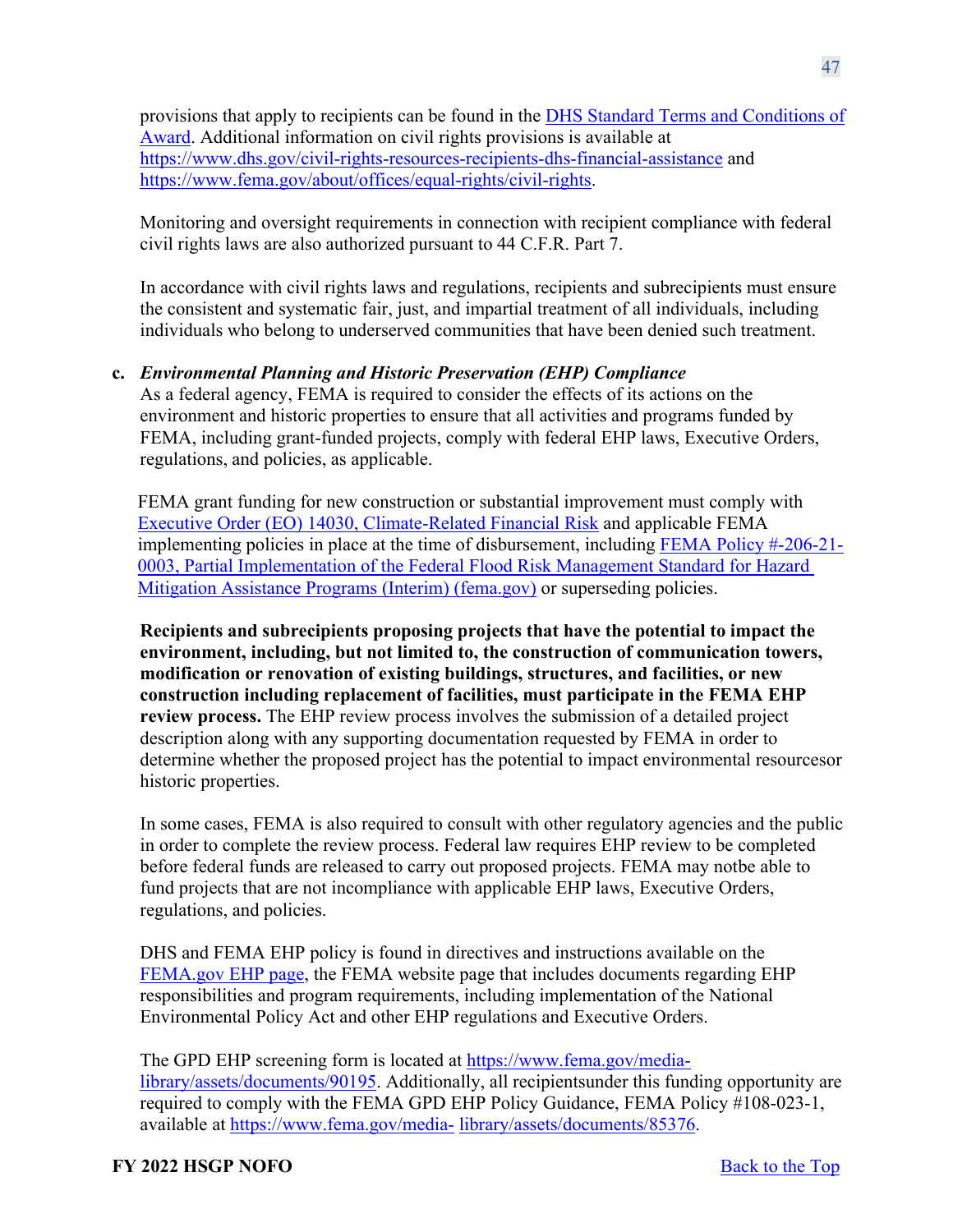provisions that apply to recipients can be found in the [DHS Standard Terms and C](https://www.dhs.gov/publication/fy15-dhs-standard-terms-and-conditions)onditions of Award. Additional information on civil rights provisions is available at <https://www.dhs.gov/civil-rights-resources-recipients-dhs-financial-assistance> and [https://www.fema.gov/about/offices/equal-rights/civil-rights.](https://www.fema.gov/about/offices/equal-rights/civil-rights)

Monitoring and oversight requirements in connection with recipient compliance with federal civil rights laws are also authorized pursuant to 44 C.F.R. Part 7.

In accordance with civil rights laws and regulations, recipients and subrecipients must ensure the consistent and systematic fair, just, and impartial treatment of all individuals, including individuals who belong to underserved communities that have been denied such treatment.

# **c.** *Environmental Planning and Historic Preservation (EHP) Compliance*

As a federal agency, FEMA is required to consider the effects of its actions on the environment and historic properties to ensure that all activities and programs funded by FEMA, including grant-funded projects, comply with federal EHP laws, Executive Orders, regulations, and policies, as applicable.

FEMA grant funding for new construction or substantial improvement must comply with [Executive Order \(EO\) 14030, Climate-Related Financial Risk](https://www.whitehouse.gov/briefing-room/presidential-actions/2021/05/20/executive-order-on-climate-related-financial-risk/) and applicable FEMA implementing policies in place at the time of disbursement, including [FEMA Policy #-206-21-](https://www.fema.gov/sites/default/files/documents/fema_policy-fp-206-21-0003-partial-mplementation-ffrms-hma-programs-interim.pdf) [0003, Partial Implementation of the Federal Flood Risk Management Standard for Hazard](https://www.fema.gov/sites/default/files/documents/fema_policy-fp-206-21-0003-partial-mplementation-ffrms-hma-programs-interim.pdf)  [Mitigation Assistance Programs \(Interim\) \(fema.gov\)](https://www.fema.gov/sites/default/files/documents/fema_policy-fp-206-21-0003-partial-mplementation-ffrms-hma-programs-interim.pdf) or superseding policies.

**Recipients and subrecipients proposing projects that have the potential to impact the environment, including, but not limited to, the construction of communication towers, modification or renovation of existing buildings, structures, and facilities, or new construction including replacement of facilities, must participate in the FEMA EHP review process.** The EHP review process involves the submission of a detailed project description along with any supporting documentation requested by FEMA in order to determine whether the proposed project has the potential to impact environmental resourcesor historic properties.

In some cases, FEMA is also required to consult with other regulatory agencies and the public in order to complete the review process. Federal law requires EHP review to be completed before federal funds are released to carry out proposed projects. FEMA may notbe able to fund projects that are not incompliance with applicable EHP laws, Executive Orders, regulations, and policies.

DHS and FEMA EHP policy is found in directives and instructions available on the [FEMA.gov EHP page,](https://www.fema.gov/grants/guidance-tools/environmental-historic) the FEMA website page that includes documents regarding EHP responsibilities and program requirements, including implementation of the National Environmental Policy Act and other EHP regulations and Executive Orders.

The GPD EHP screening form is located at [https://www.fema.gov/media](https://www.fema.gov/media-library/assets/documents/90195)[library/assets/documents/90195.](https://www.fema.gov/media-library/assets/documents/90195) Additionally, all recipientsunder this funding opportunity are required to comply with the FEMA GPD EHP Policy Guidance, FEMA Policy #108-023-1, available at [https://www.fema.gov/media-](https://www.fema.gov/media-library/assets/documents/85376) [library/assets/documents/85376.](https://www.fema.gov/media-library/assets/documents/85376)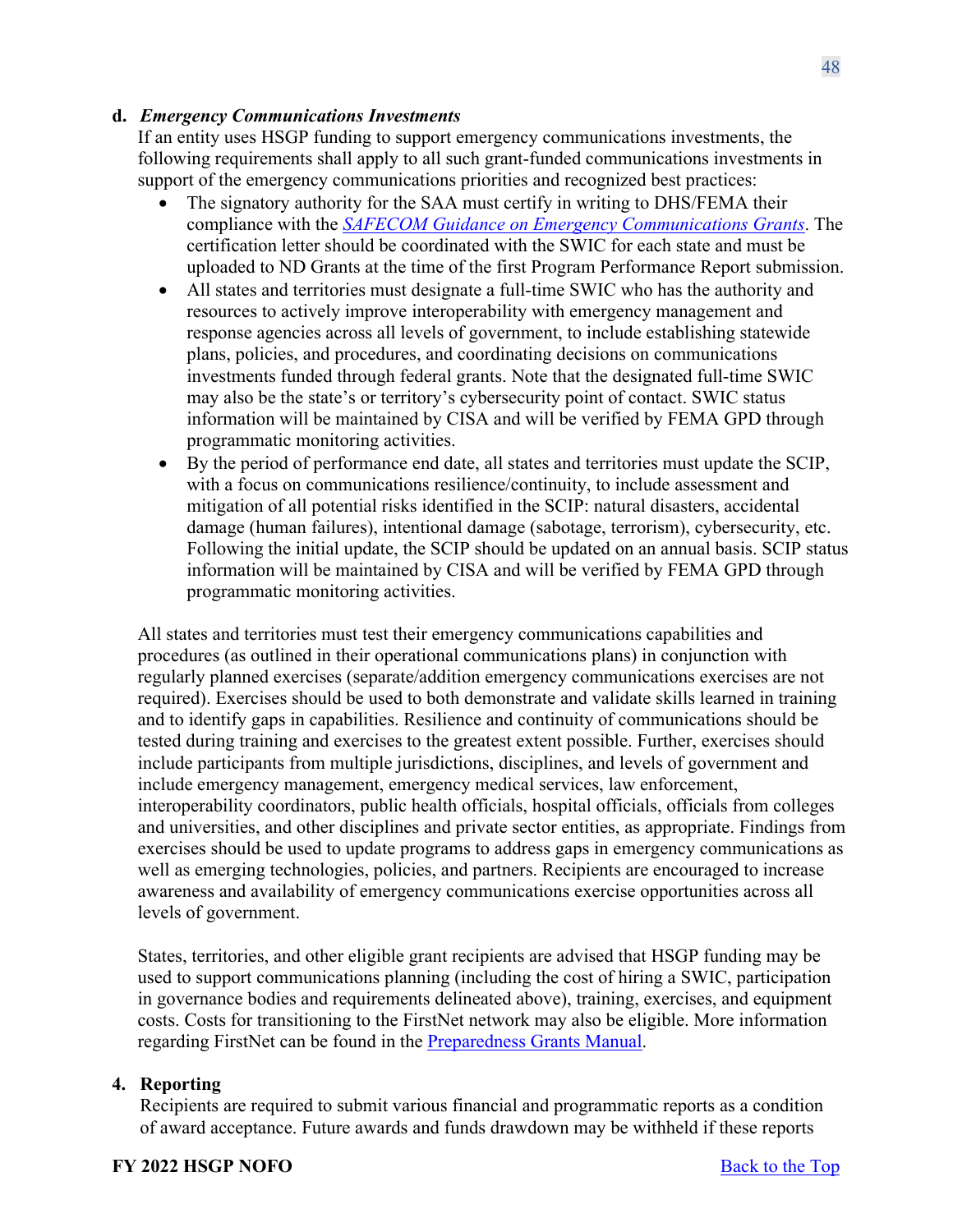### **d.** *Emergency Communications Investments*

If an entity uses HSGP funding to support emergency communications investments, the following requirements shall apply to all such grant-funded communications investments in support of the emergency communications priorities and recognized best practices:

- The signatory authority for the SAA must certify in writing to DHS/FEMA their compliance with the *[SAFECOM Guidance on Emergency Communications Grants](http://www.cisa.gov/safecom/funding)*. The certification letter should be coordinated with the SWIC for each state and must be uploaded to ND Grants at the time of the first Program Performance Report submission.
- All states and territories must designate a full-time SWIC who has the authority and resources to actively improve interoperability with emergency management and response agencies across all levels of government, to include establishing statewide plans, policies, and procedures, and coordinating decisions on communications investments funded through federal grants. Note that the designated full-time SWIC may also be the state's or territory's cybersecurity point of contact. SWIC status information will be maintained by CISA and will be verified by FEMA GPD through programmatic monitoring activities.
- By the period of performance end date, all states and territories must update the SCIP, with a focus on communications resilience/continuity, to include assessment and mitigation of all potential risks identified in the SCIP: natural disasters, accidental damage (human failures), intentional damage (sabotage, terrorism), cybersecurity, etc. Following the initial update, the SCIP should be updated on an annual basis. SCIP status information will be maintained by CISA and will be verified by FEMA GPD through programmatic monitoring activities.

All states and territories must test their emergency communications capabilities and procedures (as outlined in their operational communications plans) in conjunction with regularly planned exercises (separate/addition emergency communications exercises are not required). Exercises should be used to both demonstrate and validate skills learned in training and to identify gaps in capabilities. Resilience and continuity of communications should be tested during training and exercises to the greatest extent possible. Further, exercises should include participants from multiple jurisdictions, disciplines, and levels of government and include emergency management, emergency medical services, law enforcement, interoperability coordinators, public health officials, hospital officials, officials from colleges and universities, and other disciplines and private sector entities, as appropriate. Findings from exercises should be used to update programs to address gaps in emergency communications as well as emerging technologies, policies, and partners. Recipients are encouraged to increase awareness and availability of emergency communications exercise opportunities across all levels of government.

States, territories, and other eligible grant recipients are advised that HSGP funding may be used to support communications planning (including the cost of hiring a SWIC, participation in governance bodies and requirements delineated above), training, exercises, and equipment costs. Costs for transitioning to the FirstNet network may also be eligible. More information regarding FirstNet can be found in the **Preparedness Grants Manual**.

### <span id="page-47-0"></span>**4. Reporting**

Recipients are required to submit various financial and programmatic reports as a condition of award acceptance. Future awards and funds drawdown may be withheld if these reports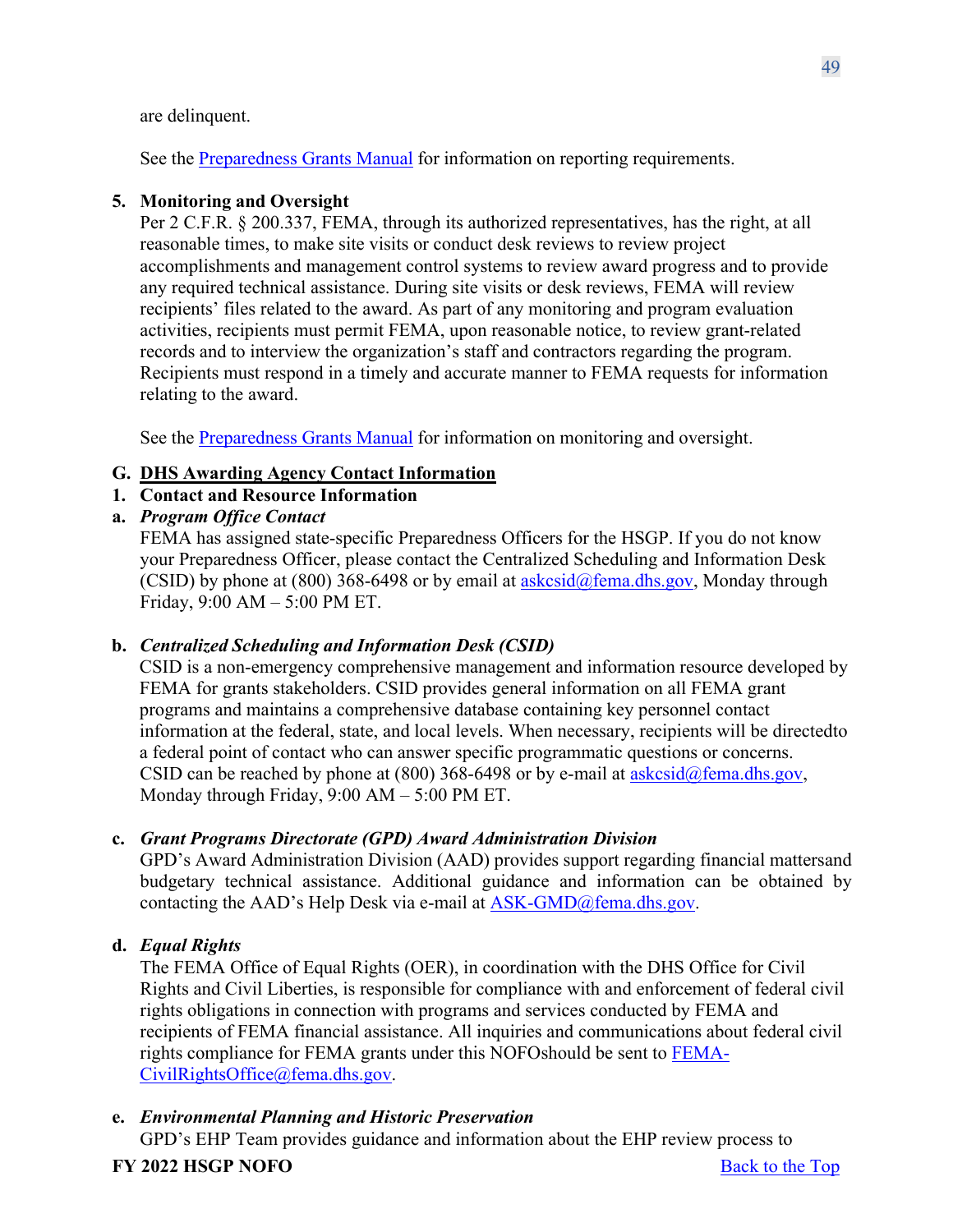are delinquent.

See the [Preparedness](https://www.fema.gov/media-library/assets/documents/178291) Grants Manual for information on reporting requirements.

# <span id="page-48-0"></span>**5. Monitoring and Oversight**

Per 2 C.F.R. § 200.337, FEMA, through its authorized representatives, has the right, at all reasonable times, to make site visits or conduct desk reviews to review project accomplishments and management control systems to review award progress and to provide any required technical assistance. During site visits or desk reviews, FEMA will review recipients' files related to the award. As part of any monitoring and program evaluation activities, recipients must permit FEMA, upon reasonable notice, to review grant-related records and to interview the organization's staff and contractors regarding the program. Recipients must respond in a timely and accurate manner to FEMA requests for information relating to the award.

See the [Preparedness](https://www.fema.gov/media-library/assets/documents/178291) Grants Manual for information on monitoring and oversight.

# <span id="page-48-1"></span>**G. DHS Awarding Agency Contact Information**

<span id="page-48-2"></span>**1. Contact and Resource Information**

# **a.** *Program Office Contact*

FEMA has assigned state-specific Preparedness Officers for the HSGP. If you do not know your Preparedness Officer, please contact the Centralized Scheduling and Information Desk (CSID) by phone at (800) 368-6498 or by email at  $askcsid@fema.dhs.gov$ , Monday through Friday, 9:00 AM – 5:00 PM ET.

# **b.** *Centralized Scheduling and Information Desk (CSID)*

CSID is a non-emergency comprehensive management and information resource developed by FEMA for grants stakeholders. CSID provides general information on all FEMA grant programs and maintains a comprehensive database containing key personnel contact information at the federal, state, and local levels. When necessary, recipients will be directedto a federal point of contact who can answer specific programmatic questions or concerns. CSID can be reached by phone at  $(800)$  368-6498 or by e-mail at [askcsid@fema.dhs.gov,](mailto:askcsid@fema.dhs.gov) Monday through Friday, 9:00 AM – 5:00 PM ET.

# **c.** *Grant Programs Directorate (GPD) Award Administration Division*

GPD's Award Administration Division (AAD) provides support regarding financial mattersand budgetary technical assistance. Additional guidance and information can be obtained by contacting the AAD's Help Desk via e-mail at  $ASK\text{-}GMD@fema.dhs.gov$ .

# **d.** *Equal Rights*

The FEMA Office of Equal Rights (OER), in coordination with the DHS Office for Civil Rights and Civil Liberties, is responsible for compliance with and enforcement of federal civil rights obligations in connection with programs and services conducted by FEMA and recipients of FEMA financial assistance. All inquiries and communications about federal civil rights compliance for FEMA grants under this NOFOshould be sent to [FEMA-](mailto:FEMA-CivilRightsOffice@fema.dhs.gov)[CivilRightsOffice@fema.dhs.gov.](mailto:FEMA-CivilRightsOffice@fema.dhs.gov)

# **e.** *Environmental Planning and Historic Preservation*

GPD's EHP Team provides guidance and information about the EHP review process to

# **FY** 2022 **HSGP NOFO** Back to the Top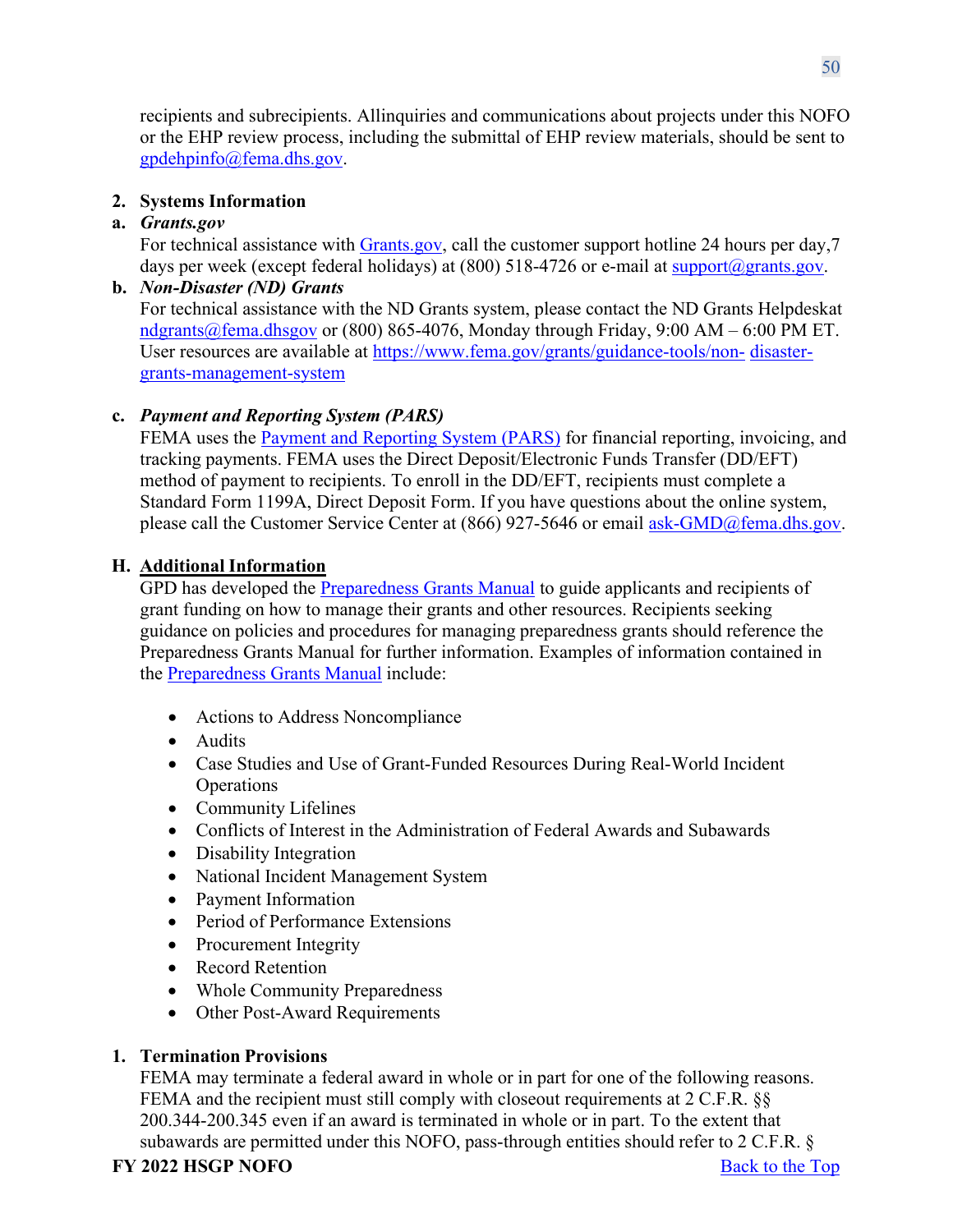recipients and subrecipients. Allinquiries and communications about projects under this NOFO or the EHP review process, including the submittal of EHP review materials, should be sent to [gpdehpinfo@fema.dhs.gov.](mailto:gpdehpinfo@fema.dhs.gov)

# <span id="page-49-0"></span>**2. Systems Information**

# **a.** *Grants.gov*

For technical assistance with [Grants.gov,](https://www.grants.gov/forms/sf-424-family.html) call the customer support hotline 24 hours per day,7 days per week (except federal holidays) at (800) 518-4726 or e-mail at [support@grants.gov.](mailto:support@grants.gov)

# **b.** *Non-Disaster (ND) Grants*

For technical assistance with the ND Grants system, please contact the ND Grants Helpdeskat [ndgrants@fema.dhsgov](mailto:ndgrants@fema.dhsgov) or (800) 865-4076, Monday through Friday, 9:00 AM – 6:00 PM ET. User resources are available at [https://www.fema.gov/grants/guidance-tools/non-](https://www.fema.gov/grants/guidance-tools/non-disaster-grants-management-system) [disaster](https://www.fema.gov/grants/guidance-tools/non-disaster-grants-management-system)[grants-management-system](https://www.fema.gov/grants/guidance-tools/non-disaster-grants-management-system)

# **c.** *Payment and Reporting System (PARS)*

FEMA uses the [Payment and Reporting System \(PARS\)](https://isource.fema.gov/sf269/execute/LogIn?sawContentMessage=true) for financial reporting, invoicing, and tracking payments. FEMA uses the Direct Deposit/Electronic Funds Transfer (DD/EFT) method of payment to recipients. To enroll in the DD/EFT, recipients must complete a Standard Form 1199A, Direct Deposit Form. If you have questions about the online system, please call the Customer Service Center at (866) 927-5646 or email [ask-GMD@fema.dhs.gov.](mailto:ask-GMD@fema.dhs.gov)

# <span id="page-49-1"></span>**H. Additional Information**

GPD has developed the **Preparedness Grants Manual** to guide applicants and recipients of grant funding on how to manage their grants and other resources. Recipients seeking guidance on policies and procedures for managing preparedness grants should reference the Preparedness Grants Manual for further information. Examples of information contained in the [Preparedness Grants](https://www.fema.gov/media-library/assets/documents/178291) Manual include:

- Actions to Address Noncompliance
- Audits
- Case Studies and Use of Grant-Funded Resources During Real-World Incident Operations
- Community Lifelines
- Conflicts of Interest in the Administration of Federal Awards and Subawards
- Disability Integration
- National Incident Management System
- Payment Information
- Period of Performance Extensions
- Procurement Integrity
- Record Retention
- Whole Community Preparedness
- Other Post-Award Requirements

# <span id="page-49-2"></span>**1. Termination Provisions**

FEMA may terminate a federal award in whole or in part for one of the following reasons. FEMA and the recipient must still comply with closeout requirements at 2 C.F.R. §§ 200.344-200.345 even if an award is terminated in whole or in part. To the extent that subawards are permitted under this NOFO, pass-through entities should refer to 2 C.F.R. §

# **FY** 2022 **HSGP NOFO** Back to the Top